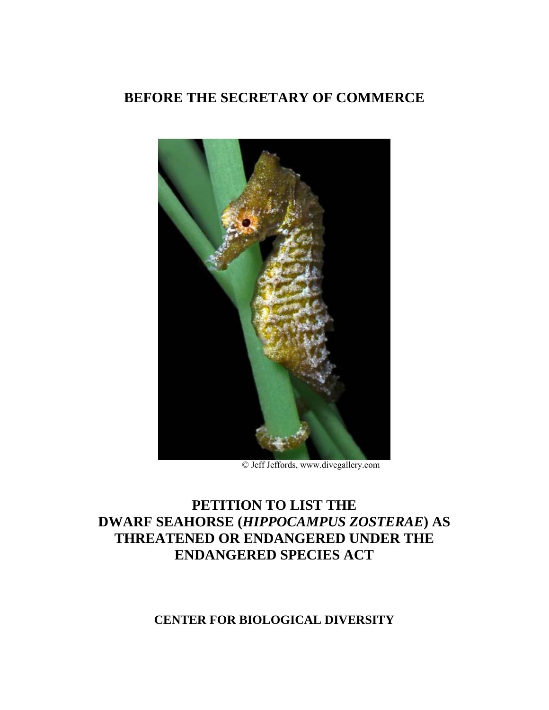## **BEFORE THE SECRETARY OF COMMERCE**



© Jeff Jeffords, [www.divegallery.com](http://www.divegallery.com)

# **PETITION TO LIST THE DWARF SEAHORSE (***HIPPOCAMPUS ZOSTERAE***) AS THREATENED OR ENDANGERED UNDER THE ENDANGERED SPECIES ACT**

## **CENTER FOR BIOLOGICAL DIVERSITY**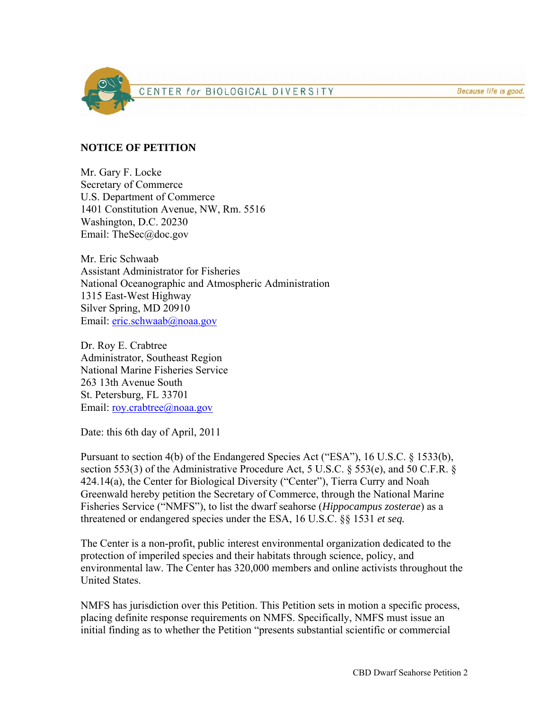

CENTER for BIOLOGICAL DIVERSITY

Because life is good.

#### **NOTICE OF PETITION**

Mr. Gary F. Locke Secretary of Commerce U.S. Department of Commerce 1401 Constitution Avenue, NW, Rm. 5516 Washington, D.C. 20230 Email: TheSec@doc.gov

Mr. Eric Schwaab Assistant Administrator for Fisheries National Oceanographic and Atmospheric Administration 1315 East-West Highway Silver Spring, MD 20910 Email: [eric.schwaab@noaa.gov](mailto:eric.schwaab@noaa.gov)

Dr. Roy E. Crabtree Administrator, Southeast Region National Marine Fisheries Service 263 13th Avenue South St. Petersburg, FL 33701 Email: [roy.crabtree@noaa.gov](mailto:roy.crabtree@noaa.gov)

Date: this 6th day of April, 2011

Pursuant to section 4(b) of the Endangered Species Act ("ESA"), 16 U.S.C. § 1533(b), section 553(3) of the Administrative Procedure Act, 5 U.S.C. § 553(e), and 50 C.F.R. § 424.14(a), the Center for Biological Diversity ("Center"), Tierra Curry and Noah Greenwald hereby petition the Secretary of Commerce, through the National Marine Fisheries Service ("NMFS"), to list the dwarf seahorse (*Hippocampus zosterae*) as a threatened or endangered species under the ESA, 16 U.S.C. §§ 1531 *et seq.* 

The Center is a non-profit, public interest environmental organization dedicated to the protection of imperiled species and their habitats through science, policy, and environmental law. The Center has 320,000 members and online activists throughout the United States.

NMFS has jurisdiction over this Petition. This Petition sets in motion a specific process, placing definite response requirements on NMFS. Specifically, NMFS must issue an initial finding as to whether the Petition "presents substantial scientific or commercial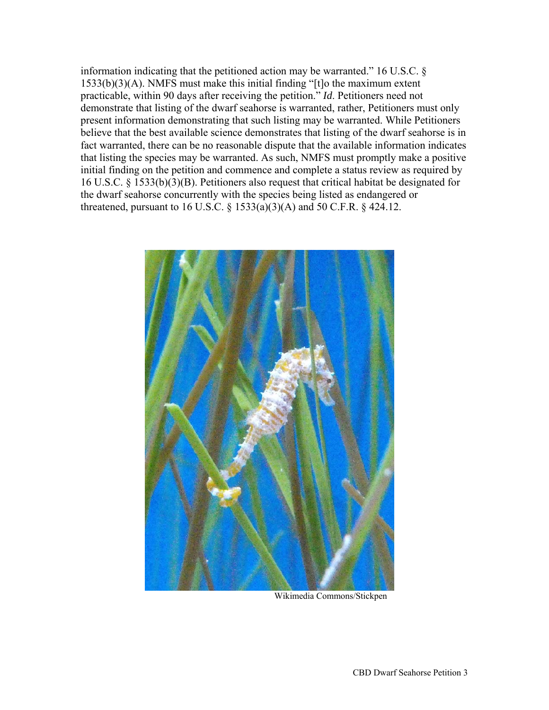information indicating that the petitioned action may be warranted." 16 U.S.C. § 1533(b)(3)(A). NMFS must make this initial finding "[t]o the maximum extent practicable, within 90 days after receiving the petition." *Id*. Petitioners need not demonstrate that listing of the dwarf seahorse is warranted, rather, Petitioners must only present information demonstrating that such listing may be warranted. While Petitioners believe that the best available science demonstrates that listing of the dwarf seahorse is in fact warranted, there can be no reasonable dispute that the available information indicates that listing the species may be warranted. As such, NMFS must promptly make a positive initial finding on the petition and commence and complete a status review as required by 16 U.S.C. § 1533(b)(3)(B). Petitioners also request that critical habitat be designated for the dwarf seahorse concurrently with the species being listed as endangered or threatened, pursuant to 16 U.S.C.  $\S$  1533(a)(3)(A) and 50 C.F.R.  $\S$  424.12.



Wikimedia Commons/Stickpen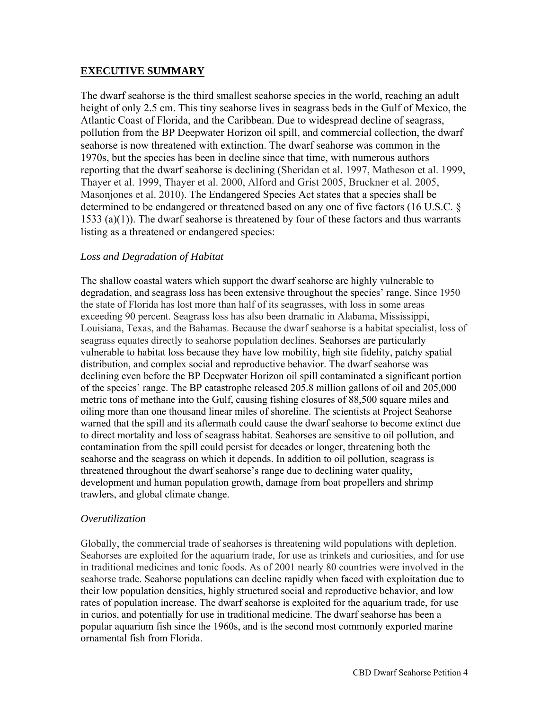### **EXECUTIVE SUMMARY**

The dwarf seahorse is the third smallest seahorse species in the world, reaching an adult height of only 2.5 cm. This tiny seahorse lives in seagrass beds in the Gulf of Mexico, the Atlantic Coast of Florida, and the Caribbean. Due to widespread decline of seagrass, pollution from the BP Deepwater Horizon oil spill, and commercial collection, the dwarf seahorse is now threatened with extinction. The dwarf seahorse was common in the 1970s, but the species has been in decline since that time, with numerous authors reporting that the dwarf seahorse is declining (Sheridan et al. 1997, Matheson et al. 1999, Thayer et al. 1999, Thayer et al. 2000, Alford and Grist 2005, Bruckner et al. 2005, Masonjones et al. 2010). The Endangered Species Act states that a species shall be determined to be endangered or threatened based on any one of five factors (16 U.S.C. § 1533 (a)(1)). The dwarf seahorse is threatened by four of these factors and thus warrants listing as a threatened or endangered species:

#### *Loss and Degradation of Habitat*

The shallow coastal waters which support the dwarf seahorse are highly vulnerable to degradation, and seagrass loss has been extensive throughout the species' range. Since 1950 the state of Florida has lost more than half of its seagrasses, with loss in some areas exceeding 90 percent. Seagrass loss has also been dramatic in Alabama, Mississippi, Louisiana, Texas, and the Bahamas. Because the dwarf seahorse is a habitat specialist, loss of seagrass equates directly to seahorse population declines. Seahorses are particularly vulnerable to habitat loss because they have low mobility, high site fidelity, patchy spatial distribution, and complex social and reproductive behavior. The dwarf seahorse was declining even before the BP Deepwater Horizon oil spill contaminated a significant portion of the species' range. The BP catastrophe released 205.8 million gallons of oil and 205,000 metric tons of methane into the Gulf, causing fishing closures of 88,500 square miles and oiling more than one thousand linear miles of shoreline. The scientists at Project Seahorse warned that the spill and its aftermath could cause the dwarf seahorse to become extinct due to direct mortality and loss of seagrass habitat. Seahorses are sensitive to oil pollution, and contamination from the spill could persist for decades or longer, threatening both the seahorse and the seagrass on which it depends. In addition to oil pollution, seagrass is threatened throughout the dwarf seahorse's range due to declining water quality, development and human population growth, damage from boat propellers and shrimp trawlers, and global climate change.

#### *Overutilization*

Globally, the commercial trade of seahorses is threatening wild populations with depletion. Seahorses are exploited for the aquarium trade, for use as trinkets and curiosities, and for use in traditional medicines and tonic foods. As of 2001 nearly 80 countries were involved in the seahorse trade. Seahorse populations can decline rapidly when faced with exploitation due to their low population densities, highly structured social and reproductive behavior, and low rates of population increase. The dwarf seahorse is exploited for the aquarium trade, for use in curios, and potentially for use in traditional medicine. The dwarf seahorse has been a popular aquarium fish since the 1960s, and is the second most commonly exported marine ornamental fish from Florida.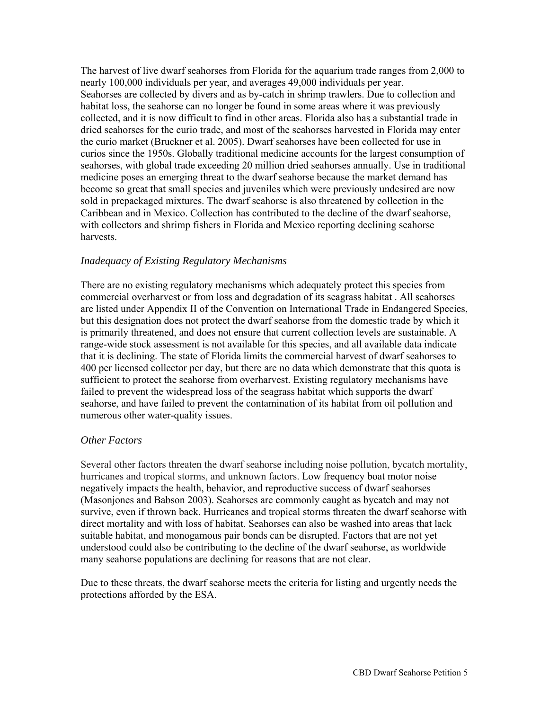The harvest of live dwarf seahorses from Florida for the aquarium trade ranges from 2,000 to nearly 100,000 individuals per year, and averages 49,000 individuals per year. Seahorses are collected by divers and as by-catch in shrimp trawlers. Due to collection and habitat loss, the seahorse can no longer be found in some areas where it was previously collected, and it is now difficult to find in other areas. Florida also has a substantial trade in dried seahorses for the curio trade, and most of the seahorses harvested in Florida may enter the curio market (Bruckner et al. 2005). Dwarf seahorses have been collected for use in curios since the 1950s. Globally traditional medicine accounts for the largest consumption of seahorses, with global trade exceeding 20 million dried seahorses annually. Use in traditional medicine poses an emerging threat to the dwarf seahorse because the market demand has become so great that small species and juveniles which were previously undesired are now sold in prepackaged mixtures. The dwarf seahorse is also threatened by collection in the Caribbean and in Mexico. Collection has contributed to the decline of the dwarf seahorse, with collectors and shrimp fishers in Florida and Mexico reporting declining seahorse harvests.

#### *Inadequacy of Existing Regulatory Mechanisms*

There are no existing regulatory mechanisms which adequately protect this species from commercial overharvest or from loss and degradation of its seagrass habitat . All seahorses are listed under Appendix II of the Convention on International Trade in Endangered Species, but this designation does not protect the dwarf seahorse from the domestic trade by which it is primarily threatened, and does not ensure that current collection levels are sustainable. A range-wide stock assessment is not available for this species, and all available data indicate that it is declining. The state of Florida limits the commercial harvest of dwarf seahorses to 400 per licensed collector per day, but there are no data which demonstrate that this quota is sufficient to protect the seahorse from overharvest. Existing regulatory mechanisms have failed to prevent the widespread loss of the seagrass habitat which supports the dwarf seahorse, and have failed to prevent the contamination of its habitat from oil pollution and numerous other water-quality issues.

#### *Other Factors*

Several other factors threaten the dwarf seahorse including noise pollution, bycatch mortality, hurricanes and tropical storms, and unknown factors. Low frequency boat motor noise negatively impacts the health, behavior, and reproductive success of dwarf seahorses (Masonjones and Babson 2003). Seahorses are commonly caught as bycatch and may not survive, even if thrown back. Hurricanes and tropical storms threaten the dwarf seahorse with direct mortality and with loss of habitat. Seahorses can also be washed into areas that lack suitable habitat, and monogamous pair bonds can be disrupted. Factors that are not yet understood could also be contributing to the decline of the dwarf seahorse, as worldwide many seahorse populations are declining for reasons that are not clear.

Due to these threats, the dwarf seahorse meets the criteria for listing and urgently needs the protections afforded by the ESA.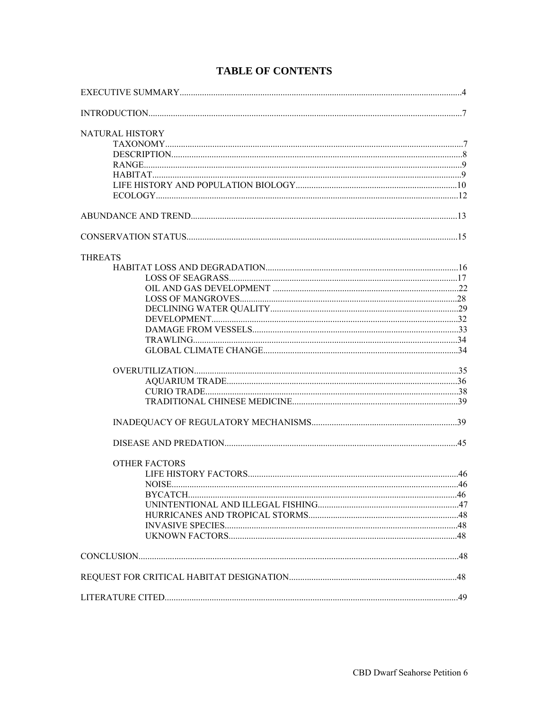| NATURAL HISTORY      |  |
|----------------------|--|
|                      |  |
|                      |  |
|                      |  |
|                      |  |
|                      |  |
|                      |  |
|                      |  |
|                      |  |
| <b>THREATS</b>       |  |
|                      |  |
|                      |  |
|                      |  |
|                      |  |
|                      |  |
|                      |  |
|                      |  |
|                      |  |
|                      |  |
|                      |  |
|                      |  |
|                      |  |
|                      |  |
|                      |  |
|                      |  |
| <b>OTHER FACTORS</b> |  |
|                      |  |
|                      |  |
|                      |  |
|                      |  |
|                      |  |
|                      |  |
|                      |  |
|                      |  |
|                      |  |
|                      |  |

## **TABLE OF CONTENTS**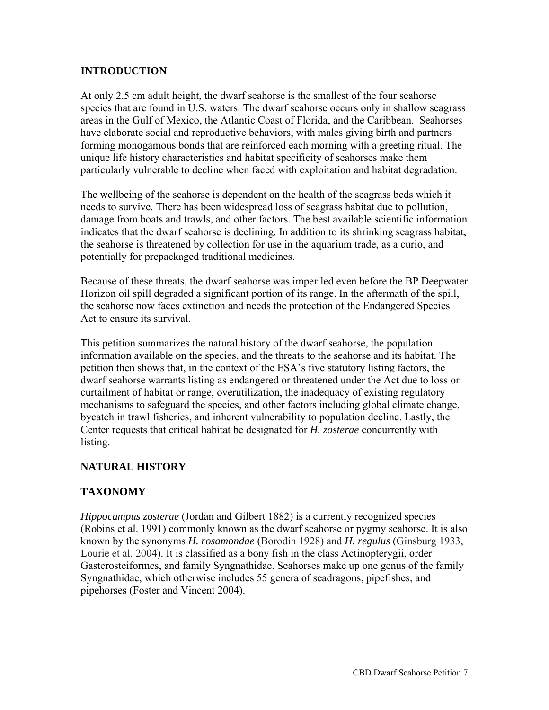### **INTRODUCTION**

At only 2.5 cm adult height, the dwarf seahorse is the smallest of the four seahorse species that are found in U.S. waters. The dwarf seahorse occurs only in shallow seagrass areas in the Gulf of Mexico, the Atlantic Coast of Florida, and the Caribbean. Seahorses have elaborate social and reproductive behaviors, with males giving birth and partners forming monogamous bonds that are reinforced each morning with a greeting ritual. The unique life history characteristics and habitat specificity of seahorses make them particularly vulnerable to decline when faced with exploitation and habitat degradation.

The wellbeing of the seahorse is dependent on the health of the seagrass beds which it needs to survive. There has been widespread loss of seagrass habitat due to pollution, damage from boats and trawls, and other factors. The best available scientific information indicates that the dwarf seahorse is declining. In addition to its shrinking seagrass habitat, the seahorse is threatened by collection for use in the aquarium trade, as a curio, and potentially for prepackaged traditional medicines.

Because of these threats, the dwarf seahorse was imperiled even before the BP Deepwater Horizon oil spill degraded a significant portion of its range. In the aftermath of the spill, the seahorse now faces extinction and needs the protection of the Endangered Species Act to ensure its survival.

This petition summarizes the natural history of the dwarf seahorse, the population information available on the species, and the threats to the seahorse and its habitat. The petition then shows that, in the context of the ESA's five statutory listing factors, the dwarf seahorse warrants listing as endangered or threatened under the Act due to loss or curtailment of habitat or range, overutilization, the inadequacy of existing regulatory mechanisms to safeguard the species, and other factors including global climate change, bycatch in trawl fisheries, and inherent vulnerability to population decline. Lastly, the Center requests that critical habitat be designated for *H. zosterae* concurrently with listing.

## **NATURAL HISTORY**

### **TAXONOMY**

*Hippocampus zosterae* (Jordan and Gilbert 1882) is a currently recognized species (Robins et al. 1991) commonly known as the dwarf seahorse or pygmy seahorse. It is also known by the synonyms *H. rosamondae* (Borodin 1928) and *H. regulus* (Ginsburg 1933, Lourie et al. 2004). It is classified as a bony fish in the class Actinopterygii, order Gasterosteiformes, and family Syngnathidae. Seahorses make up one genus of the family Syngnathidae, which otherwise includes 55 genera of seadragons, pipefishes, and pipehorses (Foster and Vincent 2004).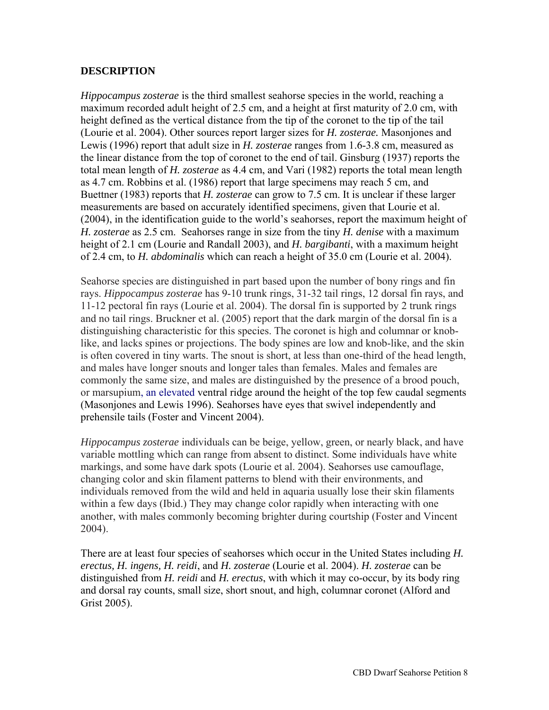#### **DESCRIPTION**

*Hippocampus zosterae* is the third smallest seahorse species in the world, reaching a maximum recorded adult height of 2.5 cm, and a height at first maturity of 2.0 cm, with height defined as the vertical distance from the tip of the coronet to the tip of the tail (Lourie et al. 2004). Other sources report larger sizes for *H. zosterae.* Masonjones and Lewis (1996) report that adult size in *H. zosterae* ranges from 1.6-3.8 cm, measured as the linear distance from the top of coronet to the end of tail. Ginsburg (1937) reports the total mean length of *H. zosterae* as 4.4 cm, and Vari (1982) reports the total mean length as 4.7 cm. Robbins et al. (1986) report that large specimens may reach 5 cm, and Buettner (1983) reports that *H. zosterae* can grow to 7.5 cm. It is unclear if these larger measurements are based on accurately identified specimens, given that Lourie et al. (2004), in the identification guide to the world's seahorses, report the maximum height of *H. zosterae* as 2.5 cm. Seahorses range in size from the tiny *H. denise* with a maximum height of 2.1 cm (Lourie and Randall 2003), and *H. bargibanti*, with a maximum height of 2.4 cm, to *H. abdominalis* which can reach a height of 35.0 cm (Lourie et al. 2004).

Seahorse species are distinguished in part based upon the number of bony rings and fin rays. *Hippocampus zosterae* has 9-10 trunk rings, 31-32 tail rings, 12 dorsal fin rays, and 11-12 pectoral fin rays (Lourie et al. 2004). The dorsal fin is supported by 2 trunk rings and no tail rings. Bruckner et al. (2005) report that the dark margin of the dorsal fin is a distinguishing characteristic for this species. The coronet is high and columnar or knoblike, and lacks spines or projections. The body spines are low and knob-like, and the skin is often covered in tiny warts. The snout is short, at less than one-third of the head length, and males have longer snouts and longer tales than females. Males and females are commonly the same size, and males are distinguished by the presence of a brood pouch, or marsupium, an elevated ventral ridge around the height of the top few caudal segments (Masonjones and Lewis 1996). Seahorses have eyes that swivel independently and prehensile tails (Foster and Vincent 2004).

*Hippocampus zosterae* individuals can be beige, yellow, green, or nearly black, and have variable mottling which can range from absent to distinct. Some individuals have white markings, and some have dark spots (Lourie et al. 2004). Seahorses use camouflage, changing color and skin filament patterns to blend with their environments, and individuals removed from the wild and held in aquaria usually lose their skin filaments within a few days (Ibid.) They may change color rapidly when interacting with one another, with males commonly becoming brighter during courtship (Foster and Vincent 2004).

There are at least four species of seahorses which occur in the United States including *H. erectus, H. ingens, H. reidi*, and *H. zosterae* (Lourie et al. 2004). *H. zosterae* can be distinguished from *H. reidi* and *H. erectus*, with which it may co-occur, by its body ring and dorsal ray counts, small size, short snout, and high, columnar coronet (Alford and Grist 2005).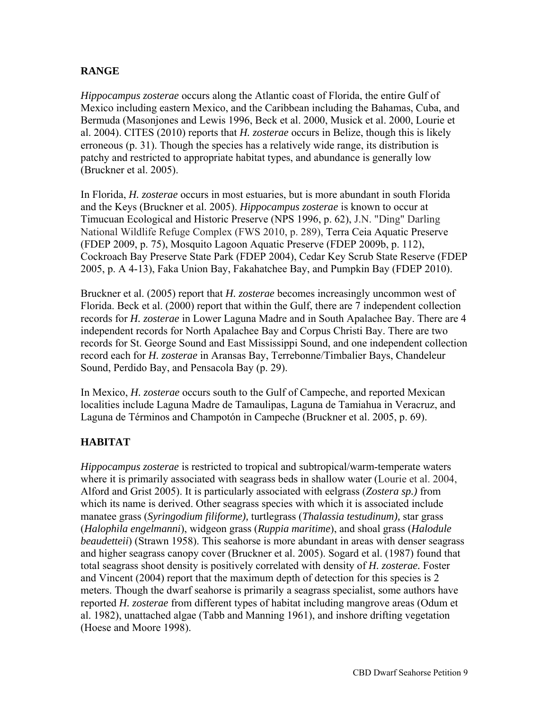## **RANGE**

*Hippocampus zosterae* occurs along the Atlantic coast of Florida, the entire Gulf of Mexico including eastern Mexico, and the Caribbean including the Bahamas, Cuba, and Bermuda (Masonjones and Lewis 1996, Beck et al. 2000, Musick et al. 2000, Lourie et al. 2004). CITES (2010) reports that *H. zosterae* occurs in Belize, though this is likely erroneous (p. 31). Though the species has a relatively wide range, its distribution is patchy and restricted to appropriate habitat types, and abundance is generally low (Bruckner et al. 2005).

In Florida, *H. zosterae* occurs in most estuaries, but is more abundant in south Florida and the Keys (Bruckner et al. 2005). *Hippocampus zosterae* is known to occur at Timucuan Ecological and Historic Preserve (NPS 1996, p. 62), J.N. "Ding" Darling National Wildlife Refuge Complex (FWS 2010, p. 289), Terra Ceia Aquatic Preserve (FDEP 2009, p. 75), Mosquito Lagoon Aquatic Preserve (FDEP 2009b, p. 112), Cockroach Bay Preserve State Park (FDEP 2004), Cedar Key Scrub State Reserve (FDEP 2005, p. A 4-13), Faka Union Bay, Fakahatchee Bay, and Pumpkin Bay (FDEP 2010).

Bruckner et al. (2005) report that *H. zosterae* becomes increasingly uncommon west of Florida. Beck et al. (2000) report that within the Gulf, there are 7 independent collection records for *H. zosterae* in Lower Laguna Madre and in South Apalachee Bay. There are 4 independent records for North Apalachee Bay and Corpus Christi Bay. There are two records for St. George Sound and East Mississippi Sound, and one independent collection record each for *H. zosterae* in Aransas Bay, Terrebonne/Timbalier Bays, Chandeleur Sound, Perdido Bay, and Pensacola Bay (p. 29).

In Mexico, *H. zosterae* occurs south to the Gulf of Campeche, and reported Mexican localities include Laguna Madre de Tamaulipas, Laguna de Tamiahua in Veracruz, and Laguna de Términos and Champotón in Campeche (Bruckner et al. 2005, p. 69).

## **HABITAT**

*Hippocampus zosterae* is restricted to tropical and subtropical/warm-temperate waters where it is primarily associated with seagrass beds in shallow water (Lourie et al. 2004, Alford and Grist 2005). It is particularly associated with eelgrass (*Zostera sp.)* from which its name is derived. Other seagrass species with which it is associated include manatee grass (*Syringodium filiforme),* turtlegrass (*Thalassia testudinum),* star grass (*Halophila engelmanni*), widgeon grass (*Ruppia maritime*), and shoal grass (*Halodule beaudetteii*) (Strawn 1958). This seahorse is more abundant in areas with denser seagrass and higher seagrass canopy cover (Bruckner et al. 2005). Sogard et al. (1987) found that total seagrass shoot density is positively correlated with density of *H. zosterae.* Foster and Vincent (2004) report that the maximum depth of detection for this species is 2 meters. Though the dwarf seahorse is primarily a seagrass specialist, some authors have reported *H. zosterae* from different types of habitat including mangrove areas (Odum et al. 1982), unattached algae (Tabb and Manning 1961), and inshore drifting vegetation (Hoese and Moore 1998).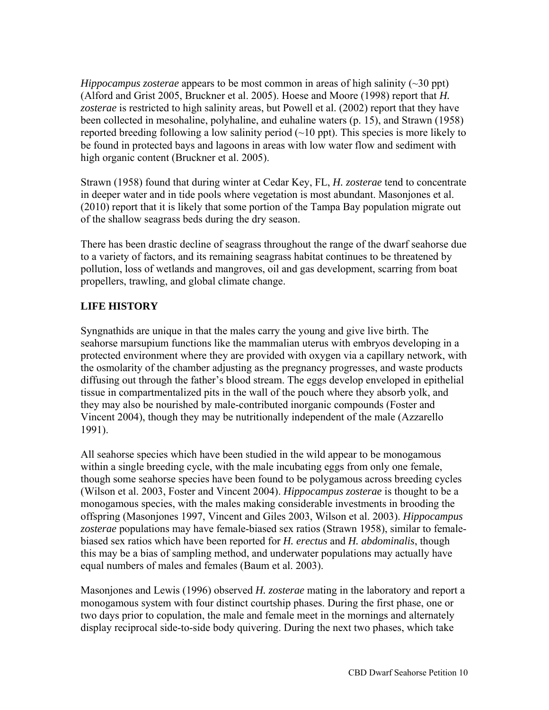*Hippocampus zosterae* appears to be most common in areas of high salinity (~30 ppt) (Alford and Grist 2005, Bruckner et al. 2005). Hoese and Moore (1998) report that *H. zosterae* is restricted to high salinity areas, but Powell et al. (2002) report that they have been collected in mesohaline, polyhaline, and euhaline waters (p. 15), and Strawn (1958) reported breeding following a low salinity period  $(\sim 10 \text{ ppt})$ . This species is more likely to be found in protected bays and lagoons in areas with low water flow and sediment with high organic content (Bruckner et al. 2005).

Strawn (1958) found that during winter at Cedar Key, FL, *H. zosterae* tend to concentrate in deeper water and in tide pools where vegetation is most abundant. Masonjones et al. (2010) report that it is likely that some portion of the Tampa Bay population migrate out of the shallow seagrass beds during the dry season.

There has been drastic decline of seagrass throughout the range of the dwarf seahorse due to a variety of factors, and its remaining seagrass habitat continues to be threatened by pollution, loss of wetlands and mangroves, oil and gas development, scarring from boat propellers, trawling, and global climate change.

## **LIFE HISTORY**

Syngnathids are unique in that the males carry the young and give live birth. The seahorse marsupium functions like the mammalian uterus with embryos developing in a protected environment where they are provided with oxygen via a capillary network, with the osmolarity of the chamber adjusting as the pregnancy progresses, and waste products diffusing out through the father's blood stream. The eggs develop enveloped in epithelial tissue in compartmentalized pits in the wall of the pouch where they absorb yolk, and they may also be nourished by male-contributed inorganic compounds (Foster and Vincent 2004), though they may be nutritionally independent of the male (Azzarello 1991).

All seahorse species which have been studied in the wild appear to be monogamous within a single breeding cycle, with the male incubating eggs from only one female, though some seahorse species have been found to be polygamous across breeding cycles (Wilson et al. 2003, Foster and Vincent 2004). *Hippocampus zosterae* is thought to be a monogamous species, with the males making considerable investments in brooding the offspring (Masonjones 1997, Vincent and Giles 2003, Wilson et al. 2003). *Hippocampus zosterae* populations may have female-biased sex ratios (Strawn 1958), similar to femalebiased sex ratios which have been reported for *H. erectus* and *H. abdominalis*, though this may be a bias of sampling method, and underwater populations may actually have equal numbers of males and females (Baum et al. 2003).

Masonjones and Lewis (1996) observed *H. zosterae* mating in the laboratory and report a monogamous system with four distinct courtship phases. During the first phase, one or two days prior to copulation, the male and female meet in the mornings and alternately display reciprocal side-to-side body quivering. During the next two phases, which take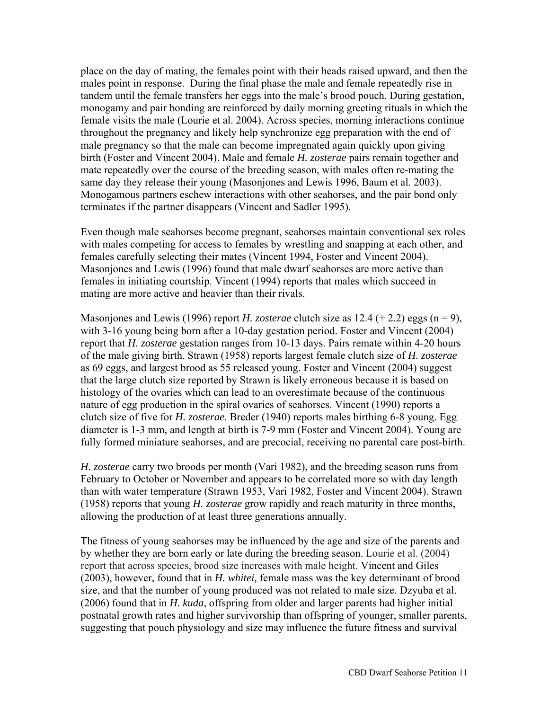place on the day of mating, the females point with their heads raised upward, and then the males point in response. During the final phase the male and female repeatedly rise in tandem until the female transfers her eggs into the male's brood pouch. During gestation, monogamy and pair bonding are reinforced by daily morning greeting rituals in which the female visits the male (Lourie et al. 2004). Across species, morning interactions continue throughout the pregnancy and likely help synchronize egg preparation with the end of male pregnancy so that the male can become impregnated again quickly upon giving birth (Foster and Vincent 2004). Male and female *H. zosterae* pairs remain together and mate repeatedly over the course of the breeding season, with males often re-mating the same day they release their young (Masonjones and Lewis 1996, Baum et al. 2003). Monogamous partners eschew interactions with other seahorses, and the pair bond only terminates if the partner disappears (Vincent and Sadler 1995).

Even though male seahorses become pregnant, seahorses maintain conventional sex roles with males competing for access to females by wrestling and snapping at each other, and females carefully selecting their mates (Vincent 1994, Foster and Vincent 2004). Masonjones and Lewis (1996) found that male dwarf seahorses are more active than females in initiating courtship. Vincent (1994) reports that males which succeed in mating are more active and heavier than their rivals.

Masonjones and Lewis (1996) report *H. zosterae* clutch size as  $12.4$  (+ 2.2) eggs (n = 9), with 3-16 young being born after a 10-day gestation period. Foster and Vincent (2004) report that *H. zosterae* gestation ranges from 10-13 days. Pairs remate within 4-20 hours of the male giving birth. Strawn (1958) reports largest female clutch size of *H. zosterae* as 69 eggs, and largest brood as 55 released young. Foster and Vincent (2004) suggest that the large clutch size reported by Strawn is likely erroneous because it is based on histology of the ovaries which can lead to an overestimate because of the continuous nature of egg production in the spiral ovaries of seahorses. Vincent (1990) reports a clutch size of five for *H. zosterae.* Breder (1940) reports males birthing 6-8 young. Egg diameter is 1-3 mm, and length at birth is 7-9 mm (Foster and Vincent 2004). Young are fully formed miniature seahorses, and are precocial, receiving no parental care post-birth.

*H. zosterae* carry two broods per month (Vari 1982), and the breeding season runs from February to October or November and appears to be correlated more so with day length than with water temperature (Strawn 1953, Vari 1982, Foster and Vincent 2004). Strawn (1958) reports that young *H. zosterae* grow rapidly and reach maturity in three months, allowing the production of at least three generations annually.

The fitness of young seahorses may be influenced by the age and size of the parents and by whether they are born early or late during the breeding season. Lourie et al. (2004) report that across species, brood size increases with male height. Vincent and Giles (2003), however, found that in *H. whitei,* female mass was the key determinant of brood size, and that the number of young produced was not related to male size. Dzyuba et al. (2006) found that in *H. kuda*, offspring from older and larger parents had higher initial postnatal growth rates and higher survivorship than offspring of younger, smaller parents, suggesting that pouch physiology and size may influence the future fitness and survival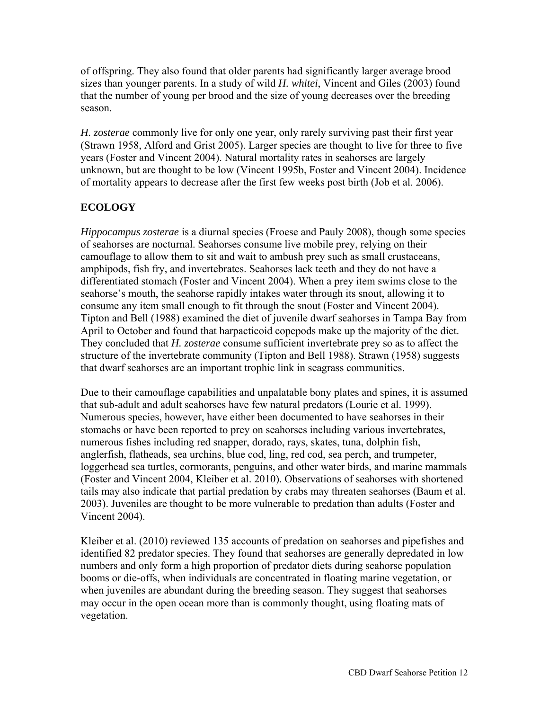of offspring. They also found that older parents had significantly larger average brood sizes than younger parents. In a study of wild *H. whitei*, Vincent and Giles (2003) found that the number of young per brood and the size of young decreases over the breeding season.

*H. zosterae* commonly live for only one year, only rarely surviving past their first year (Strawn 1958, Alford and Grist 2005). Larger species are thought to live for three to five years (Foster and Vincent 2004). Natural mortality rates in seahorses are largely unknown, but are thought to be low (Vincent 1995b, Foster and Vincent 2004). Incidence of mortality appears to decrease after the first few weeks post birth (Job et al. 2006).

## **ECOLOGY**

*Hippocampus zosterae* is a diurnal species (Froese and Pauly 2008), though some species of seahorses are nocturnal. Seahorses consume live mobile prey, relying on their camouflage to allow them to sit and wait to ambush prey such as small crustaceans, amphipods, fish fry, and invertebrates. Seahorses lack teeth and they do not have a differentiated stomach (Foster and Vincent 2004). When a prey item swims close to the seahorse's mouth, the seahorse rapidly intakes water through its snout, allowing it to consume any item small enough to fit through the snout (Foster and Vincent 2004). Tipton and Bell (1988) examined the diet of juvenile dwarf seahorses in Tampa Bay from April to October and found that harpacticoid copepods make up the majority of the diet. They concluded that *H. zosterae* consume sufficient invertebrate prey so as to affect the structure of the invertebrate community (Tipton and Bell 1988). Strawn (1958) suggests that dwarf seahorses are an important trophic link in seagrass communities.

Due to their camouflage capabilities and unpalatable bony plates and spines, it is assumed that sub-adult and adult seahorses have few natural predators (Lourie et al. 1999). Numerous species, however, have either been documented to have seahorses in their stomachs or have been reported to prey on seahorses including various invertebrates, numerous fishes including red snapper, dorado, rays, skates, tuna, dolphin fish, anglerfish, flatheads, sea urchins, blue cod, ling, red cod, sea perch, and trumpeter, loggerhead sea turtles, cormorants, penguins, and other water birds, and marine mammals (Foster and Vincent 2004, Kleiber et al. 2010). Observations of seahorses with shortened tails may also indicate that partial predation by crabs may threaten seahorses (Baum et al. 2003). Juveniles are thought to be more vulnerable to predation than adults (Foster and Vincent 2004).

Kleiber et al. (2010) reviewed 135 accounts of predation on seahorses and pipefishes and identified 82 predator species. They found that seahorses are generally depredated in low numbers and only form a high proportion of predator diets during seahorse population booms or die-offs, when individuals are concentrated in floating marine vegetation, or when juveniles are abundant during the breeding season. They suggest that seahorses may occur in the open ocean more than is commonly thought, using floating mats of vegetation.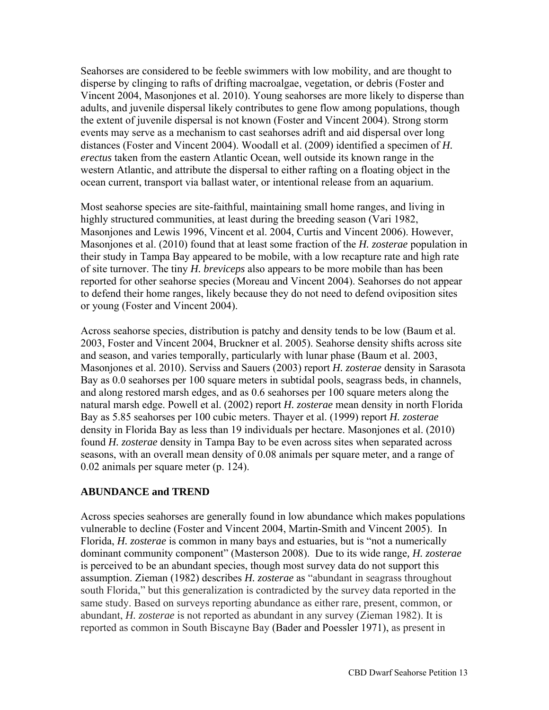Seahorses are considered to be feeble swimmers with low mobility, and are thought to disperse by clinging to rafts of drifting macroalgae, vegetation, or debris (Foster and Vincent 2004, Masonjones et al. 2010). Young seahorses are more likely to disperse than adults, and juvenile dispersal likely contributes to gene flow among populations, though the extent of juvenile dispersal is not known (Foster and Vincent 2004). Strong storm events may serve as a mechanism to cast seahorses adrift and aid dispersal over long distances (Foster and Vincent 2004). Woodall et al. (2009) identified a specimen of *H. erectus* taken from the eastern Atlantic Ocean, well outside its known range in the western Atlantic, and attribute the dispersal to either rafting on a floating object in the ocean current, transport via ballast water, or intentional release from an aquarium.

Most seahorse species are site-faithful, maintaining small home ranges, and living in highly structured communities, at least during the breeding season (Vari 1982, Masonjones and Lewis 1996, Vincent et al. 2004, Curtis and Vincent 2006). However, Masonjones et al. (2010) found that at least some fraction of the *H. zosterae* population in their study in Tampa Bay appeared to be mobile, with a low recapture rate and high rate of site turnover. The tiny *H. breviceps* also appears to be more mobile than has been reported for other seahorse species (Moreau and Vincent 2004). Seahorses do not appear to defend their home ranges, likely because they do not need to defend oviposition sites or young (Foster and Vincent 2004).

Across seahorse species, distribution is patchy and density tends to be low (Baum et al. 2003, Foster and Vincent 2004, Bruckner et al. 2005). Seahorse density shifts across site and season, and varies temporally, particularly with lunar phase (Baum et al. 2003, Masonjones et al. 2010). Serviss and Sauers (2003) report *H. zosterae* density in Sarasota Bay as 0.0 seahorses per 100 square meters in subtidal pools, seagrass beds, in channels, and along restored marsh edges, and as 0.6 seahorses per 100 square meters along the natural marsh edge. Powell et al. (2002) report *H. zosterae* mean density in north Florida Bay as 5.85 seahorses per 100 cubic meters. Thayer et al. (1999) report *H. zosterae* density in Florida Bay as less than 19 individuals per hectare. Masonjones et al. (2010) found *H. zosterae* density in Tampa Bay to be even across sites when separated across seasons, with an overall mean density of 0.08 animals per square meter, and a range of 0.02 animals per square meter (p. 124).

#### **ABUNDANCE and TREND**

Across species seahorses are generally found in low abundance which makes populations vulnerable to decline (Foster and Vincent 2004, Martin-Smith and Vincent 2005). In Florida, *H. zosterae* is common in many bays and estuaries, but is "not a numerically dominant community component" (Masterson 2008). Due to its wide range*, H. zosterae* is perceived to be an abundant species, though most survey data do not support this assumption. Zieman (1982) describes *H. zosterae* as "abundant in seagrass throughout south Florida," but this generalization is contradicted by the survey data reported in the same study. Based on surveys reporting abundance as either rare, present, common, or abundant, *H. zosterae* is not reported as abundant in any survey (Zieman 1982). It is reported as common in South Biscayne Bay (Bader and Poessler 1971), as present in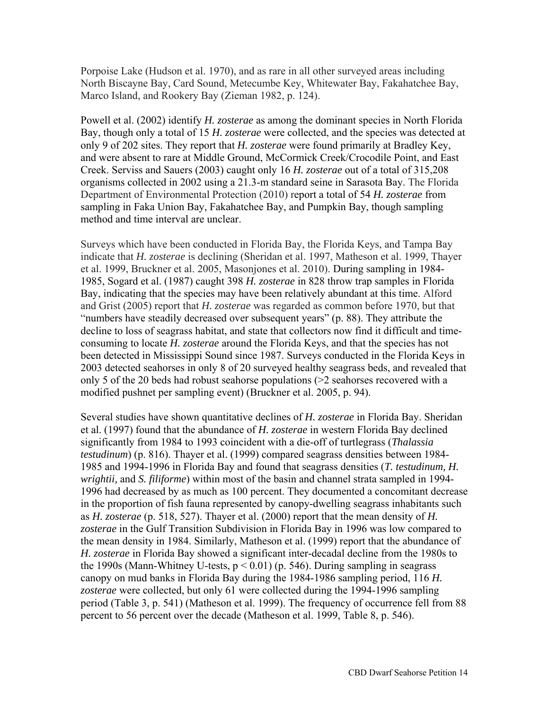Porpoise Lake (Hudson et al. 1970), and as rare in all other surveyed areas including North Biscayne Bay, Card Sound, Metecumbe Key, Whitewater Bay, Fakahatchee Bay, Marco Island, and Rookery Bay (Zieman 1982, p. 124).

Powell et al. (2002) identify *H. zosterae* as among the dominant species in North Florida Bay, though only a total of 15 *H. zosterae* were collected, and the species was detected at only 9 of 202 sites. They report that *H. zosterae* were found primarily at Bradley Key, and were absent to rare at Middle Ground, McCormick Creek/Crocodile Point, and East Creek. Serviss and Sauers (2003) caught only 16 *H. zosterae* out of a total of 315,208 organisms collected in 2002 using a 21.3-m standard seine in Sarasota Bay. The Florida Department of Environmental Protection (2010) report a total of 54 *H. zosterae* from sampling in Faka Union Bay, Fakahatchee Bay, and Pumpkin Bay, though sampling method and time interval are unclear.

Surveys which have been conducted in Florida Bay, the Florida Keys, and Tampa Bay indicate that *H. zosterae* is declining (Sheridan et al. 1997, Matheson et al. 1999, Thayer et al. 1999, Bruckner et al. 2005, Masonjones et al. 2010). During sampling in 1984- 1985, Sogard et al. (1987) caught 398 *H. zosterae* in 828 throw trap samples in Florida Bay, indicating that the species may have been relatively abundant at this time. Alford and Grist (2005) report that *H. zosterae* was regarded as common before 1970, but that "numbers have steadily decreased over subsequent years" (p. 88). They attribute the decline to loss of seagrass habitat, and state that collectors now find it difficult and timeconsuming to locate *H. zosterae* around the Florida Keys, and that the species has not been detected in Mississippi Sound since 1987. Surveys conducted in the Florida Keys in 2003 detected seahorses in only 8 of 20 surveyed healthy seagrass beds, and revealed that only 5 of the 20 beds had robust seahorse populations (>2 seahorses recovered with a modified pushnet per sampling event) (Bruckner et al. 2005, p. 94).

Several studies have shown quantitative declines of *H. zosterae* in Florida Bay. Sheridan et al. (1997) found that the abundance of *H. zosterae* in western Florida Bay declined significantly from 1984 to 1993 coincident with a die-off of turtlegrass (*Thalassia testudinum*) (p. 816). Thayer et al. (1999) compared seagrass densities between 1984- 1985 and 1994-1996 in Florida Bay and found that seagrass densities (*T. testudinum, H. wrightii,* and *S. filiforme*) within most of the basin and channel strata sampled in 1994- 1996 had decreased by as much as 100 percent. They documented a concomitant decrease in the proportion of fish fauna represented by canopy-dwelling seagrass inhabitants such as *H. zosterae* (p. 518, 527). Thayer et al. (2000) report that the mean density of *H. zosterae* in the Gulf Transition Subdivision in Florida Bay in 1996 was low compared to the mean density in 1984. Similarly, Matheson et al. (1999) report that the abundance of *H. zosterae* in Florida Bay showed a significant inter-decadal decline from the 1980s to the 1990s (Mann-Whitney U-tests,  $p < 0.01$ ) (p. 546). During sampling in seagrass canopy on mud banks in Florida Bay during the 1984-1986 sampling period, 116 *H. zosterae* were collected, but only 61 were collected during the 1994-1996 sampling period (Table 3, p. 541) (Matheson et al. 1999). The frequency of occurrence fell from 88 percent to 56 percent over the decade (Matheson et al. 1999, Table 8, p. 546).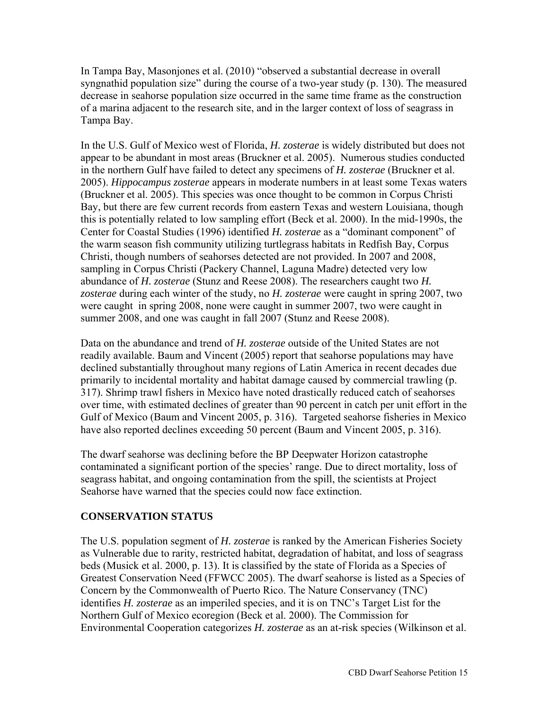In Tampa Bay, Masonjones et al. (2010) "observed a substantial decrease in overall syngnathid population size" during the course of a two-year study (p. 130). The measured decrease in seahorse population size occurred in the same time frame as the construction of a marina adjacent to the research site, and in the larger context of loss of seagrass in Tampa Bay.

In the U.S. Gulf of Mexico west of Florida, *H. zosterae* is widely distributed but does not appear to be abundant in most areas (Bruckner et al. 2005). Numerous studies conducted in the northern Gulf have failed to detect any specimens of *H. zosterae* (Bruckner et al. 2005). *Hippocampus zosterae* appears in moderate numbers in at least some Texas waters (Bruckner et al. 2005). This species was once thought to be common in Corpus Christi Bay, but there are few current records from eastern Texas and western Louisiana, though this is potentially related to low sampling effort (Beck et al. 2000). In the mid-1990s, the Center for Coastal Studies (1996) identified *H. zosterae* as a "dominant component" of the warm season fish community utilizing turtlegrass habitats in Redfish Bay, Corpus Christi, though numbers of seahorses detected are not provided. In 2007 and 2008, sampling in Corpus Christi (Packery Channel, Laguna Madre) detected very low abundance of *H. zosterae* (Stunz and Reese 2008). The researchers caught two *H. zosterae* during each winter of the study, no *H. zosterae* were caught in spring 2007, two were caught in spring 2008, none were caught in summer 2007, two were caught in summer 2008, and one was caught in fall 2007 (Stunz and Reese 2008).

Data on the abundance and trend of *H. zosterae* outside of the United States are not readily available. Baum and Vincent (2005) report that seahorse populations may have declined substantially throughout many regions of Latin America in recent decades due primarily to incidental mortality and habitat damage caused by commercial trawling (p. 317). Shrimp trawl fishers in Mexico have noted drastically reduced catch of seahorses over time, with estimated declines of greater than 90 percent in catch per unit effort in the Gulf of Mexico (Baum and Vincent 2005, p. 316). Targeted seahorse fisheries in Mexico have also reported declines exceeding 50 percent (Baum and Vincent 2005, p. 316).

The dwarf seahorse was declining before the BP Deepwater Horizon catastrophe contaminated a significant portion of the species' range. Due to direct mortality, loss of seagrass habitat, and ongoing contamination from the spill, the scientists at Project Seahorse have warned that the species could now face extinction.

### **CONSERVATION STATUS**

The U.S. population segment of *H. zosterae* is ranked by the American Fisheries Society as Vulnerable due to rarity, restricted habitat, degradation of habitat, and loss of seagrass beds (Musick et al. 2000, p. 13). It is classified by the state of Florida as a Species of Greatest Conservation Need (FFWCC 2005). The dwarf seahorse is listed as a Species of Concern by the Commonwealth of Puerto Rico. The Nature Conservancy (TNC) identifies *H. zosterae* as an imperiled species, and it is on TNC's Target List for the Northern Gulf of Mexico ecoregion (Beck et al. 2000). The Commission for Environmental Cooperation categorizes *H. zosterae* as an at-risk species (Wilkinson et al.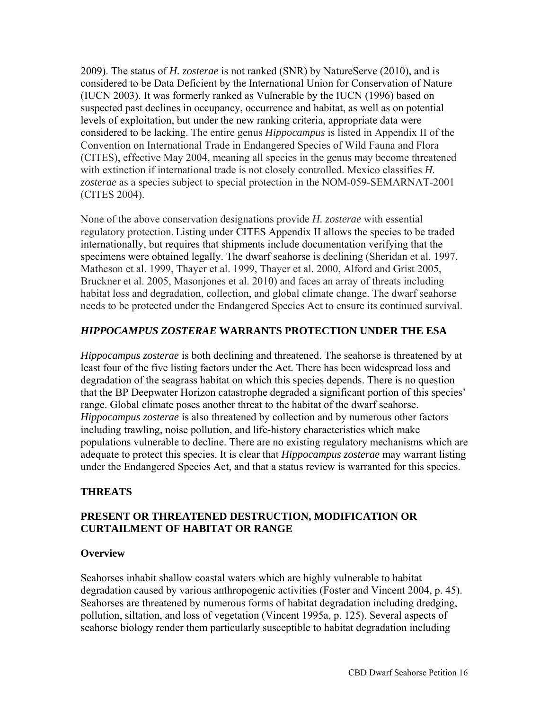2009). The status of *H. zosterae* is not ranked (SNR) by NatureServe (2010), and is considered to be Data Deficient by the International Union for Conservation of Nature (IUCN 2003). It was formerly ranked as Vulnerable by the IUCN (1996) based on suspected past declines in occupancy, occurrence and habitat, as well as on potential levels of exploitation, but under the new ranking criteria, appropriate data were considered to be lacking. The entire genus *Hippocampus* is listed in Appendix II of the Convention on International Trade in Endangered Species of Wild Fauna and Flora (CITES), effective May 2004, meaning all species in the genus may become threatened with extinction if international trade is not closely controlled. Mexico classifies *H. zosterae* as a species subject to special protection in the NOM-059-SEMARNAT-2001 (CITES 2004).

None of the above conservation designations provide *H. zosterae* with essential regulatory protection. Listing under CITES Appendix II allows the species to be traded internationally, but requires that shipments include documentation verifying that the specimens were obtained legally. The dwarf seahorse is declining (Sheridan et al. 1997, Matheson et al. 1999, Thayer et al. 1999, Thayer et al. 2000, Alford and Grist 2005, Bruckner et al. 2005, Masonjones et al. 2010) and faces an array of threats including habitat loss and degradation, collection, and global climate change. The dwarf seahorse needs to be protected under the Endangered Species Act to ensure its continued survival.

#### *HIPPOCAMPUS ZOSTERAE* **WARRANTS PROTECTION UNDER THE ESA**

*Hippocampus zosterae* is both declining and threatened. The seahorse is threatened by at least four of the five listing factors under the Act. There has been widespread loss and degradation of the seagrass habitat on which this species depends. There is no question that the BP Deepwater Horizon catastrophe degraded a significant portion of this species' range. Global climate poses another threat to the habitat of the dwarf seahorse. *Hippocampus zosterae* is also threatened by collection and by numerous other factors including trawling, noise pollution, and life-history characteristics which make populations vulnerable to decline. There are no existing regulatory mechanisms which are adequate to protect this species. It is clear that *Hippocampus zosterae* may warrant listing under the Endangered Species Act, and that a status review is warranted for this species.

### **THREATS**

### **PRESENT OR THREATENED DESTRUCTION, MODIFICATION OR CURTAILMENT OF HABITAT OR RANGE**

#### **Overview**

Seahorses inhabit shallow coastal waters which are highly vulnerable to habitat degradation caused by various anthropogenic activities (Foster and Vincent 2004, p. 45). Seahorses are threatened by numerous forms of habitat degradation including dredging, pollution, siltation, and loss of vegetation (Vincent 1995a, p. 125). Several aspects of seahorse biology render them particularly susceptible to habitat degradation including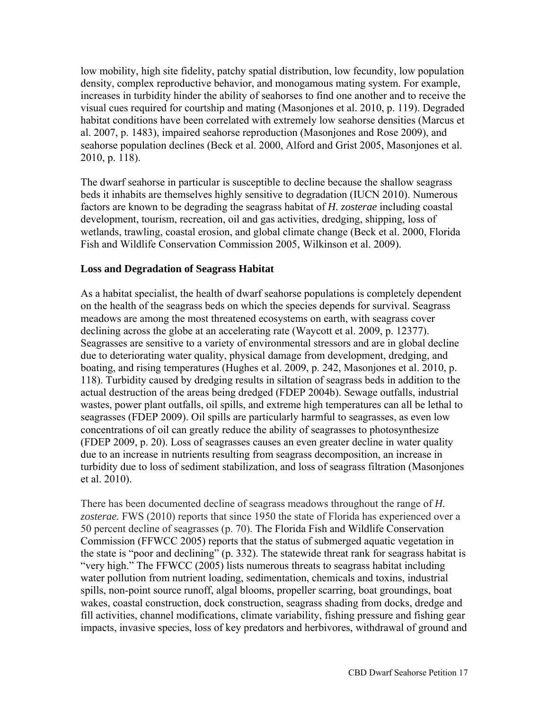low mobility, high site fidelity, patchy spatial distribution, low fecundity, low population density, complex reproductive behavior, and monogamous mating system. For example, increases in turbidity hinder the ability of seahorses to find one another and to receive the visual cues required for courtship and mating (Masonjones et al. 2010, p. 119). Degraded habitat conditions have been correlated with extremely low seahorse densities (Marcus et al. 2007, p. 1483), impaired seahorse reproduction (Masonjones and Rose 2009), and seahorse population declines (Beck et al. 2000, Alford and Grist 2005, Masonjones et al. 2010, p. 118).

The dwarf seahorse in particular is susceptible to decline because the shallow seagrass beds it inhabits are themselves highly sensitive to degradation (IUCN 2010). Numerous factors are known to be degrading the seagrass habitat of *H. zosterae* including coastal development, tourism, recreation, oil and gas activities, dredging, shipping, loss of wetlands, trawling, coastal erosion, and global climate change (Beck et al. 2000, Florida Fish and Wildlife Conservation Commission 2005, Wilkinson et al. 2009).

### **Loss and Degradation of Seagrass Habitat**

As a habitat specialist, the health of dwarf seahorse populations is completely dependent on the health of the seagrass beds on which the species depends for survival. Seagrass meadows are among the most threatened ecosystems on earth, with seagrass cover declining across the globe at an accelerating rate (Waycott et al. 2009, p. 12377). Seagrasses are sensitive to a variety of environmental stressors and are in global decline due to deteriorating water quality, physical damage from development, dredging, and boating, and rising temperatures (Hughes et al. 2009, p. 242, Masonjones et al. 2010, p. 118). Turbidity caused by dredging results in siltation of seagrass beds in addition to the actual destruction of the areas being dredged (FDEP 2004b). Sewage outfalls, industrial wastes, power plant outfalls, oil spills, and extreme high temperatures can all be lethal to seagrasses (FDEP 2009). Oil spills are particularly harmful to seagrasses, as even low concentrations of oil can greatly reduce the ability of seagrasses to photosynthesize (FDEP 2009, p. 20). Loss of seagrasses causes an even greater decline in water quality due to an increase in nutrients resulting from seagrass decomposition, an increase in turbidity due to loss of sediment stabilization, and loss of seagrass filtration (Masonjones et al. 2010).

There has been documented decline of seagrass meadows throughout the range of *H. zosterae.* FWS (2010) reports that since 1950 the state of Florida has experienced over a 50 percent decline of seagrasses (p. 70). The Florida Fish and Wildlife Conservation Commission (FFWCC 2005) reports that the status of submerged aquatic vegetation in the state is "poor and declining" (p. 332). The statewide threat rank for seagrass habitat is "very high." The FFWCC (2005) lists numerous threats to seagrass habitat including water pollution from nutrient loading, sedimentation, chemicals and toxins, industrial spills, non-point source runoff, algal blooms, propeller scarring, boat groundings, boat wakes, coastal construction, dock construction, seagrass shading from docks, dredge and fill activities, channel modifications, climate variability, fishing pressure and fishing gear impacts, invasive species, loss of key predators and herbivores, withdrawal of ground and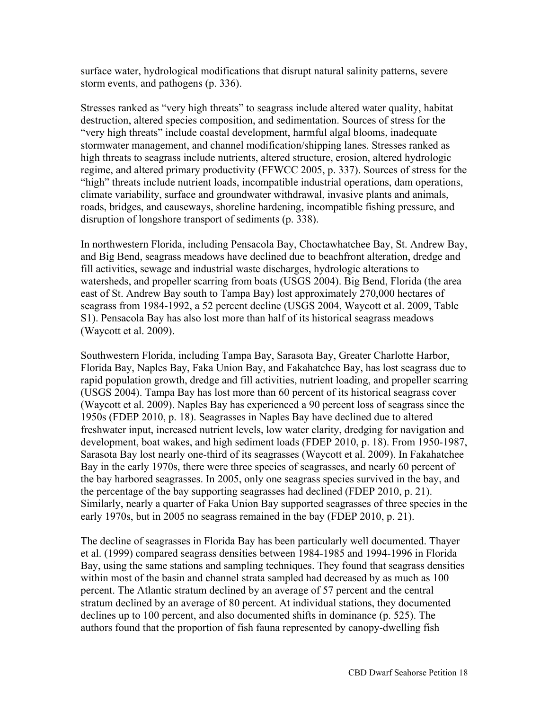surface water, hydrological modifications that disrupt natural salinity patterns, severe storm events, and pathogens (p. 336).

Stresses ranked as "very high threats" to seagrass include altered water quality, habitat destruction, altered species composition, and sedimentation. Sources of stress for the "very high threats" include coastal development, harmful algal blooms, inadequate stormwater management, and channel modification/shipping lanes. Stresses ranked as high threats to seagrass include nutrients, altered structure, erosion, altered hydrologic regime, and altered primary productivity (FFWCC 2005, p. 337). Sources of stress for the "high" threats include nutrient loads, incompatible industrial operations, dam operations, climate variability, surface and groundwater withdrawal, invasive plants and animals, roads, bridges, and causeways, shoreline hardening, incompatible fishing pressure, and disruption of longshore transport of sediments (p. 338).

In northwestern Florida, including Pensacola Bay, Choctawhatchee Bay, St. Andrew Bay, and Big Bend, seagrass meadows have declined due to beachfront alteration, dredge and fill activities, sewage and industrial waste discharges, hydrologic alterations to watersheds, and propeller scarring from boats (USGS 2004). Big Bend, Florida (the area east of St. Andrew Bay south to Tampa Bay) lost approximately 270,000 hectares of seagrass from 1984-1992, a 52 percent decline (USGS 2004, Waycott et al. 2009, Table S1). Pensacola Bay has also lost more than half of its historical seagrass meadows (Waycott et al. 2009).

Southwestern Florida, including Tampa Bay, Sarasota Bay, Greater Charlotte Harbor, Florida Bay, Naples Bay, Faka Union Bay, and Fakahatchee Bay, has lost seagrass due to rapid population growth, dredge and fill activities, nutrient loading, and propeller scarring (USGS 2004). Tampa Bay has lost more than 60 percent of its historical seagrass cover (Waycott et al. 2009). Naples Bay has experienced a 90 percent loss of seagrass since the 1950s (FDEP 2010, p. 18). Seagrasses in Naples Bay have declined due to altered freshwater input, increased nutrient levels, low water clarity, dredging for navigation and development, boat wakes, and high sediment loads (FDEP 2010, p. 18). From 1950-1987, Sarasota Bay lost nearly one-third of its seagrasses (Waycott et al. 2009). In Fakahatchee Bay in the early 1970s, there were three species of seagrasses, and nearly 60 percent of the bay harbored seagrasses. In 2005, only one seagrass species survived in the bay, and the percentage of the bay supporting seagrasses had declined (FDEP 2010, p. 21). Similarly, nearly a quarter of Faka Union Bay supported seagrasses of three species in the early 1970s, but in 2005 no seagrass remained in the bay (FDEP 2010, p. 21).

The decline of seagrasses in Florida Bay has been particularly well documented. Thayer et al. (1999) compared seagrass densities between 1984-1985 and 1994-1996 in Florida Bay, using the same stations and sampling techniques. They found that seagrass densities within most of the basin and channel strata sampled had decreased by as much as 100 percent. The Atlantic stratum declined by an average of 57 percent and the central stratum declined by an average of 80 percent. At individual stations, they documented declines up to 100 percent, and also documented shifts in dominance (p. 525). The authors found that the proportion of fish fauna represented by canopy-dwelling fish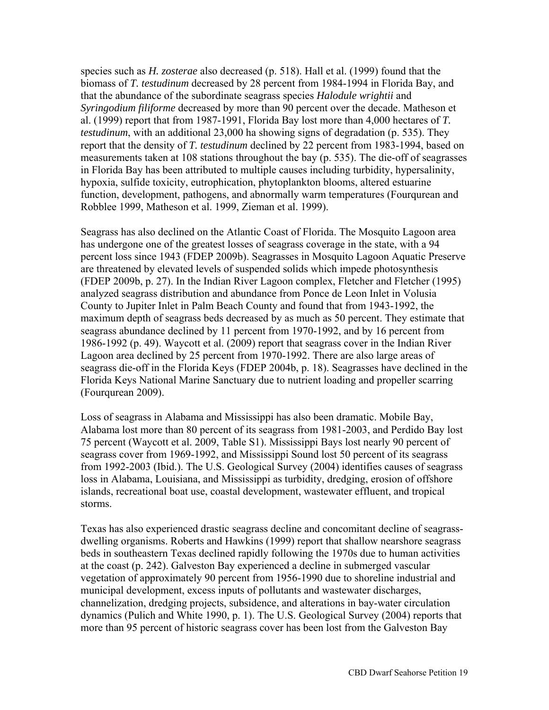species such as *H. zosterae* also decreased (p. 518). Hall et al. (1999) found that the biomass of *T. testudinum* decreased by 28 percent from 1984-1994 in Florida Bay, and that the abundance of the subordinate seagrass species *Halodule wrightii* and *Syringodium filiforme* decreased by more than 90 percent over the decade. Matheson et al. (1999) report that from 1987-1991, Florida Bay lost more than 4,000 hectares of *T. testudinum*, with an additional 23,000 ha showing signs of degradation (p. 535). They report that the density of *T. testudinum* declined by 22 percent from 1983-1994, based on measurements taken at 108 stations throughout the bay (p. 535). The die-off of seagrasses in Florida Bay has been attributed to multiple causes including turbidity, hypersalinity, hypoxia, sulfide toxicity, eutrophication, phytoplankton blooms, altered estuarine function, development, pathogens, and abnormally warm temperatures (Fourqurean and Robblee 1999, Matheson et al. 1999, Zieman et al. 1999).

Seagrass has also declined on the Atlantic Coast of Florida. The Mosquito Lagoon area has undergone one of the greatest losses of seagrass coverage in the state, with a 94 percent loss since 1943 (FDEP 2009b). Seagrasses in Mosquito Lagoon Aquatic Preserve are threatened by elevated levels of suspended solids which impede photosynthesis (FDEP 2009b, p. 27). In the Indian River Lagoon complex, Fletcher and Fletcher (1995) analyzed seagrass distribution and abundance from Ponce de Leon Inlet in Volusia County to Jupiter Inlet in Palm Beach County and found that from 1943-1992, the maximum depth of seagrass beds decreased by as much as 50 percent. They estimate that seagrass abundance declined by 11 percent from 1970-1992, and by 16 percent from 1986-1992 (p. 49). Waycott et al. (2009) report that seagrass cover in the Indian River Lagoon area declined by 25 percent from 1970-1992. There are also large areas of seagrass die-off in the Florida Keys (FDEP 2004b, p. 18). Seagrasses have declined in the Florida Keys National Marine Sanctuary due to nutrient loading and propeller scarring (Fourqurean 2009).

Loss of seagrass in Alabama and Mississippi has also been dramatic. Mobile Bay, Alabama lost more than 80 percent of its seagrass from 1981-2003, and Perdido Bay lost 75 percent (Waycott et al. 2009, Table S1). Mississippi Bays lost nearly 90 percent of seagrass cover from 1969-1992, and Mississippi Sound lost 50 percent of its seagrass from 1992-2003 (Ibid.). The U.S. Geological Survey (2004) identifies causes of seagrass loss in Alabama, Louisiana, and Mississippi as turbidity, dredging, erosion of offshore islands, recreational boat use, coastal development, wastewater effluent, and tropical storms.

Texas has also experienced drastic seagrass decline and concomitant decline of seagrassdwelling organisms. Roberts and Hawkins (1999) report that shallow nearshore seagrass beds in southeastern Texas declined rapidly following the 1970s due to human activities at the coast (p. 242). Galveston Bay experienced a decline in submerged vascular vegetation of approximately 90 percent from 1956-1990 due to shoreline industrial and municipal development, excess inputs of pollutants and wastewater discharges, channelization, dredging projects, subsidence, and alterations in bay-water circulation dynamics (Pulich and White 1990, p. 1). The U.S. Geological Survey (2004) reports that more than 95 percent of historic seagrass cover has been lost from the Galveston Bay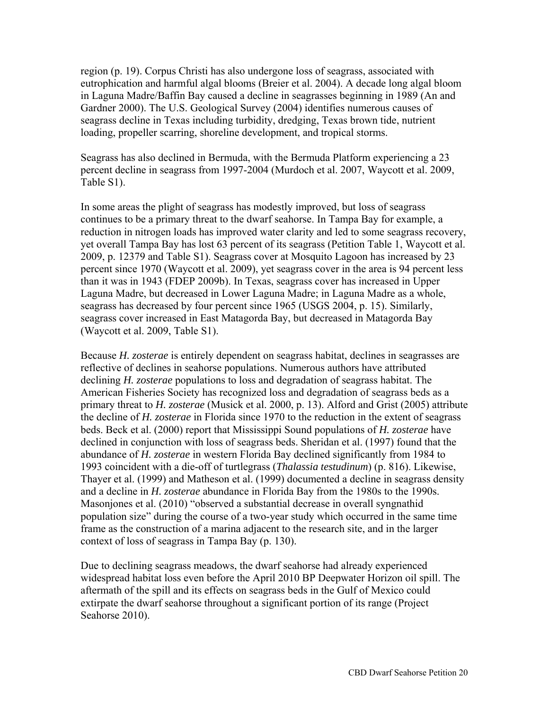region (p. 19). Corpus Christi has also undergone loss of seagrass, associated with eutrophication and harmful algal blooms (Breier et al. 2004). A decade long algal bloom in Laguna Madre/Baffin Bay caused a decline in seagrasses beginning in 1989 (An and Gardner 2000). The U.S. Geological Survey (2004) identifies numerous causes of seagrass decline in Texas including turbidity, dredging, Texas brown tide, nutrient loading, propeller scarring, shoreline development, and tropical storms.

Seagrass has also declined in Bermuda, with the Bermuda Platform experiencing a 23 percent decline in seagrass from 1997-2004 (Murdoch et al. 2007, Waycott et al. 2009, Table S1).

In some areas the plight of seagrass has modestly improved, but loss of seagrass continues to be a primary threat to the dwarf seahorse. In Tampa Bay for example, a reduction in nitrogen loads has improved water clarity and led to some seagrass recovery, yet overall Tampa Bay has lost 63 percent of its seagrass (Petition Table 1, Waycott et al. 2009, p. 12379 and Table S1). Seagrass cover at Mosquito Lagoon has increased by 23 percent since 1970 (Waycott et al. 2009), yet seagrass cover in the area is 94 percent less than it was in 1943 (FDEP 2009b). In Texas, seagrass cover has increased in Upper Laguna Madre, but decreased in Lower Laguna Madre; in Laguna Madre as a whole, seagrass has decreased by four percent since 1965 (USGS 2004, p. 15). Similarly, seagrass cover increased in East Matagorda Bay, but decreased in Matagorda Bay (Waycott et al. 2009, Table S1).

Because *H. zosterae* is entirely dependent on seagrass habitat, declines in seagrasses are reflective of declines in seahorse populations. Numerous authors have attributed declining *H. zosterae* populations to loss and degradation of seagrass habitat. The American Fisheries Society has recognized loss and degradation of seagrass beds as a primary threat to *H. zosterae* (Musick et al. 2000, p. 13). Alford and Grist (2005) attribute the decline of *H. zosterae* in Florida since 1970 to the reduction in the extent of seagrass beds. Beck et al. (2000) report that Mississippi Sound populations of *H. zosterae* have declined in conjunction with loss of seagrass beds. Sheridan et al. (1997) found that the abundance of *H. zosterae* in western Florida Bay declined significantly from 1984 to 1993 coincident with a die-off of turtlegrass (*Thalassia testudinum*) (p. 816). Likewise, Thayer et al. (1999) and Matheson et al. (1999) documented a decline in seagrass density and a decline in *H. zosterae* abundance in Florida Bay from the 1980s to the 1990s. Masonjones et al. (2010) "observed a substantial decrease in overall syngnathid population size" during the course of a two-year study which occurred in the same time frame as the construction of a marina adjacent to the research site, and in the larger context of loss of seagrass in Tampa Bay (p. 130).

Due to declining seagrass meadows, the dwarf seahorse had already experienced widespread habitat loss even before the April 2010 BP Deepwater Horizon oil spill. The aftermath of the spill and its effects on seagrass beds in the Gulf of Mexico could extirpate the dwarf seahorse throughout a significant portion of its range (Project Seahorse 2010).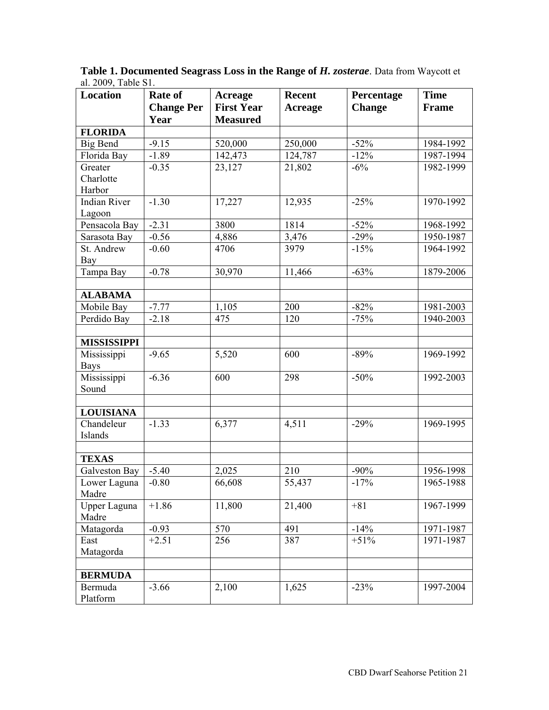| <b>Location</b>       | Rate of            | <b>Acreage</b>    | Recent         | Percentage       | <b>Time</b>            |
|-----------------------|--------------------|-------------------|----------------|------------------|------------------------|
|                       | <b>Change Per</b>  | <b>First Year</b> | <b>Acreage</b> | <b>Change</b>    | Frame                  |
|                       | Year               | <b>Measured</b>   |                |                  |                        |
| <b>FLORIDA</b>        |                    |                   |                |                  |                        |
| <b>Big Bend</b>       | $-9.15$            | 520,000           | 250,000        | $-52%$           | 1984-1992              |
| Florida Bay           | $-1.89$            | 142,473           | 124,787        | $-12%$           | 1987-1994              |
| Greater               | $-0.35$            | 23,127            | 21,802         | $-6%$            | 1982-1999              |
| Charlotte             |                    |                   |                |                  |                        |
| Harbor                |                    |                   |                |                  |                        |
| <b>Indian River</b>   | $-1.30$            | 17,227            | 12,935         | $-25%$           | 1970-1992              |
| Lagoon                |                    |                   |                |                  |                        |
| Pensacola Bay         | $-2.31$            | 3800              | 1814           | $-52%$           | 1968-1992              |
| Sarasota Bay          | $-0.56$            | 4,886             | 3,476          | $-29%$           | 1950-1987              |
| St. Andrew            | $-0.60$            | 4706              | 3979           | $-15%$           | 1964-1992              |
| Bay                   |                    |                   |                |                  |                        |
| Tampa Bay             | $-0.78$            | 30,970            | 11,466         | $-63%$           | 1879-2006              |
|                       |                    |                   |                |                  |                        |
| <b>ALABAMA</b>        |                    |                   |                |                  |                        |
| Mobile Bay            | $-7.77$            | 1,105             | 200            | $-82%$           | 1981-2003              |
| Perdido Bay           | $-2.18$            | 475               | 120            | $-75%$           | 1940-2003              |
|                       |                    |                   |                |                  |                        |
| <b>MISSISSIPPI</b>    |                    |                   |                |                  |                        |
| Mississippi           | $-9.65$            | 5,520             | 600            | $-89%$           | 1969-1992              |
| <b>Bays</b>           |                    |                   |                |                  |                        |
| Mississippi           | $-6.36$            | 600               | 298            | $-50%$           | 1992-2003              |
| Sound                 |                    |                   |                |                  |                        |
|                       |                    |                   |                |                  |                        |
| <b>LOUISIANA</b>      |                    |                   |                |                  |                        |
| Chandeleur            | $-1.33$            | 6,377             | 4,511          | $-29%$           | 1969-1995              |
| Islands               |                    |                   |                |                  |                        |
|                       |                    |                   |                |                  |                        |
| <b>TEXAS</b>          |                    |                   |                |                  |                        |
| Galveston Bay         | $-5.40$            | 2,025             | 210            | $-90%$           | 1956-1998              |
| Lower Laguna          | $-0.80$            | 66,608            | 55,437         | $-17%$           | 1965-1988              |
| Madre                 |                    |                   |                |                  |                        |
| Upper Laguna<br>Madre | $+1.86$            | 11,800            | 21,400         | $+81$            | 1967-1999              |
|                       |                    |                   |                |                  |                        |
| Matagorda<br>East     | $-0.93$<br>$+2.51$ | 570<br>256        | 491<br>387     | $-14%$<br>$+51%$ | 1971-1987<br>1971-1987 |
| Matagorda             |                    |                   |                |                  |                        |
|                       |                    |                   |                |                  |                        |
| <b>BERMUDA</b>        |                    |                   |                |                  |                        |
| Bermuda               | $-3.66$            | 2,100             | 1,625          | $-23%$           | 1997-2004              |
| Platform              |                    |                   |                |                  |                        |
|                       |                    |                   |                |                  |                        |

**Table 1. Documented Seagrass Loss in the Range of** *H. zosterae*. Data from Waycott et al. 2009, Table S1.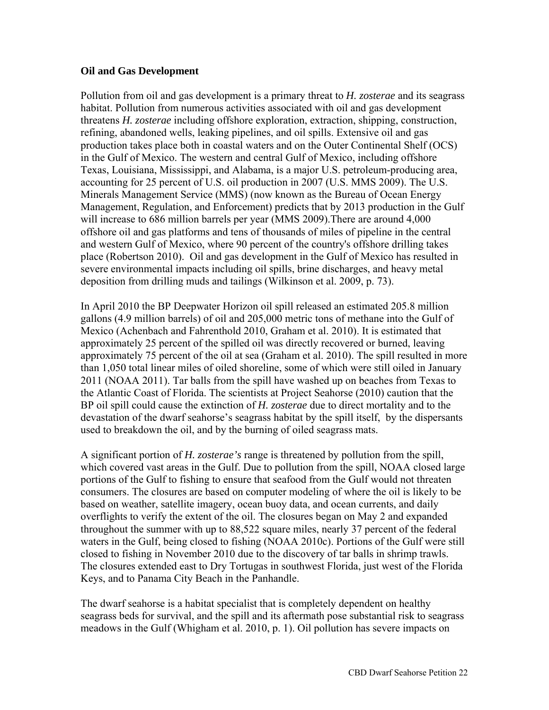#### **Oil and Gas Development**

Pollution from oil and gas development is a primary threat to *H. zosterae* and its seagrass habitat. Pollution from numerous activities associated with oil and gas development threatens *H. zosterae* including offshore exploration, extraction, shipping, construction, refining, abandoned wells, leaking pipelines, and oil spills. Extensive oil and gas production takes place both in coastal waters and on the Outer Continental Shelf (OCS) in the Gulf of Mexico. The western and central Gulf of Mexico, including offshore Texas, Louisiana, Mississippi, and Alabama, is a major U.S. petroleum-producing area, accounting for 25 percent of U.S. oil production in 2007 (U.S. MMS 2009). The U.S. Minerals Management Service (MMS) (now known as the Bureau of Ocean Energy Management, Regulation, and Enforcement) predicts that by 2013 production in the Gulf will increase to 686 million barrels per year (MMS 2009).There are around 4,000 offshore oil and gas platforms and tens of thousands of miles of pipeline in the central and western Gulf of Mexico, where 90 percent of the country's offshore drilling takes place (Robertson 2010). Oil and gas development in the Gulf of Mexico has resulted in severe environmental impacts including oil spills, brine discharges, and heavy metal deposition from drilling muds and tailings (Wilkinson et al. 2009, p. 73).

In April 2010 the BP Deepwater Horizon oil spill released an estimated 205.8 million gallons (4.9 million barrels) of oil and 205,000 metric tons of methane into the Gulf of Mexico (Achenbach and Fahrenthold 2010, Graham et al. 2010). It is estimated that approximately 25 percent of the spilled oil was directly recovered or burned, leaving approximately 75 percent of the oil at sea (Graham et al. 2010). The spill resulted in more than 1,050 total linear miles of oiled shoreline, some of which were still oiled in January 2011 (NOAA 2011). Tar balls from the spill have washed up on beaches from Texas to the Atlantic Coast of Florida. The scientists at Project Seahorse (2010) caution that the BP oil spill could cause the extinction of *H. zosterae* due to direct mortality and to the devastation of the dwarf seahorse's seagrass habitat by the spill itself, by the dispersants used to breakdown the oil, and by the burning of oiled seagrass mats.

A significant portion of *H. zosterae's* range is threatened by pollution from the spill, which covered vast areas in the Gulf. Due to pollution from the spill, NOAA closed large portions of the Gulf to fishing to ensure that seafood from the Gulf would not threaten consumers. The closures are based on computer modeling of where the oil is likely to be based on weather, satellite imagery, ocean buoy data, and ocean currents, and daily overflights to verify the extent of the oil. The closures began on May 2 and expanded throughout the summer with up to 88,522 square miles, nearly 37 percent of the federal waters in the Gulf, being closed to fishing (NOAA 2010c). Portions of the Gulf were still closed to fishing in November 2010 due to the discovery of tar balls in shrimp trawls. The closures extended east to Dry Tortugas in southwest Florida, just west of the Florida Keys, and to Panama City Beach in the Panhandle.

The dwarf seahorse is a habitat specialist that is completely dependent on healthy seagrass beds for survival, and the spill and its aftermath pose substantial risk to seagrass meadows in the Gulf (Whigham et al. 2010, p. 1). Oil pollution has severe impacts on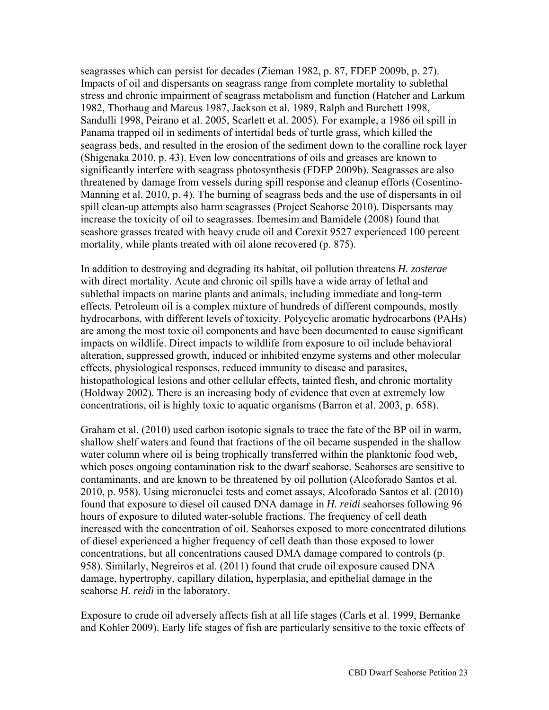seagrasses which can persist for decades (Zieman 1982, p. 87, FDEP 2009b, p. 27). Impacts of oil and dispersants on seagrass range from complete mortality to sublethal stress and chronic impairment of seagrass metabolism and function (Hatcher and Larkum 1982, Thorhaug and Marcus 1987, Jackson et al. 1989, Ralph and Burchett 1998, Sandulli 1998, Peirano et al. 2005, Scarlett et al. 2005). For example, a 1986 oil spill in Panama trapped oil in sediments of intertidal beds of turtle grass, which killed the seagrass beds, and resulted in the erosion of the sediment down to the coralline rock layer (Shigenaka 2010, p. 43). Even low concentrations of oils and greases are known to significantly interfere with seagrass photosynthesis (FDEP 2009b). Seagrasses are also threatened by damage from vessels during spill response and cleanup efforts (Cosentino-Manning et al. 2010, p. 4). The burning of seagrass beds and the use of dispersants in oil spill clean-up attempts also harm seagrasses (Project Seahorse 2010). Dispersants may increase the toxicity of oil to seagrasses. Ibemesim and Bamidele (2008) found that seashore grasses treated with heavy crude oil and Corexit 9527 experienced 100 percent mortality, while plants treated with oil alone recovered (p. 875).

In addition to destroying and degrading its habitat, oil pollution threatens *H. zosterae*  with direct mortality. Acute and chronic oil spills have a wide array of lethal and sublethal impacts on marine plants and animals, including immediate and long-term effects. Petroleum oil is a complex mixture of hundreds of different compounds, mostly hydrocarbons, with different levels of toxicity. Polycyclic aromatic hydrocarbons (PAHs) are among the most toxic oil components and have been documented to cause significant impacts on wildlife. Direct impacts to wildlife from exposure to oil include behavioral alteration, suppressed growth, induced or inhibited enzyme systems and other molecular effects, physiological responses, reduced immunity to disease and parasites, histopathological lesions and other cellular effects, tainted flesh, and chronic mortality (Holdway 2002). There is an increasing body of evidence that even at extremely low concentrations, oil is highly toxic to aquatic organisms (Barron et al. 2003, p. 658).

Graham et al. (2010) used carbon isotopic signals to trace the fate of the BP oil in warm, shallow shelf waters and found that fractions of the oil became suspended in the shallow water column where oil is being trophically transferred within the planktonic food web, which poses ongoing contamination risk to the dwarf seahorse. Seahorses are sensitive to contaminants, and are known to be threatened by oil pollution (Alcoforado Santos et al. 2010, p. 958). Using micronuclei tests and comet assays, Alcoforado Santos et al. (2010) found that exposure to diesel oil caused DNA damage in *H. reidi* seahorses following 96 hours of exposure to diluted water-soluble fractions. The frequency of cell death increased with the concentration of oil. Seahorses exposed to more concentrated dilutions of diesel experienced a higher frequency of cell death than those exposed to lower concentrations, but all concentrations caused DMA damage compared to controls (p. 958). Similarly, Negreiros et al. (2011) found that crude oil exposure caused DNA damage, hypertrophy, capillary dilation, hyperplasia, and epithelial damage in the seahorse *H. reidi* in the laboratory.

Exposure to crude oil adversely affects fish at all life stages (Carls et al. 1999, Bernanke and Kohler 2009). Early life stages of fish are particularly sensitive to the toxic effects of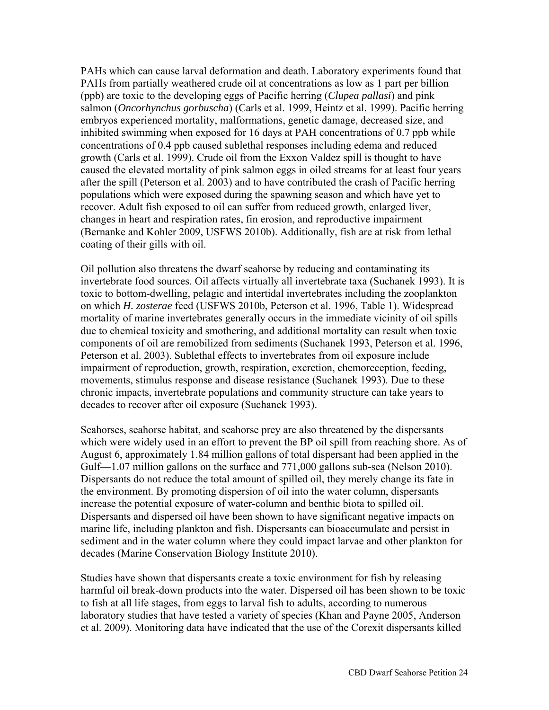PAHs which can cause larval deformation and death. Laboratory experiments found that PAHs from partially weathered crude oil at concentrations as low as 1 part per billion (ppb) are toxic to the developing eggs of Pacific herring (*Clupea pallasi*) and pink salmon (*Oncorhynchus gorbuscha*) (Carls et al. 1999, Heintz et al. 1999). Pacific herring embryos experienced mortality, malformations, genetic damage, decreased size, and inhibited swimming when exposed for 16 days at PAH concentrations of 0.7 ppb while concentrations of 0.4 ppb caused sublethal responses including edema and reduced growth (Carls et al. 1999). Crude oil from the Exxon Valdez spill is thought to have caused the elevated mortality of pink salmon eggs in oiled streams for at least four years after the spill (Peterson et al. 2003) and to have contributed the crash of Pacific herring populations which were exposed during the spawning season and which have yet to recover. Adult fish exposed to oil can suffer from reduced growth, enlarged liver, changes in heart and respiration rates, fin erosion, and reproductive impairment (Bernanke and Kohler 2009, USFWS 2010b). Additionally, fish are at risk from lethal coating of their gills with oil.

Oil pollution also threatens the dwarf seahorse by reducing and contaminating its invertebrate food sources. Oil affects virtually all invertebrate taxa (Suchanek 1993). It is toxic to bottom-dwelling, pelagic and intertidal invertebrates including the zooplankton on which *H. zosterae* feed (USFWS 2010b, Peterson et al. 1996, Table 1). Widespread mortality of marine invertebrates generally occurs in the immediate vicinity of oil spills due to chemical toxicity and smothering, and additional mortality can result when toxic components of oil are remobilized from sediments (Suchanek 1993, Peterson et al. 1996, Peterson et al. 2003). Sublethal effects to invertebrates from oil exposure include impairment of reproduction, growth, respiration, excretion, chemoreception, feeding, movements, stimulus response and disease resistance (Suchanek 1993). Due to these chronic impacts, invertebrate populations and community structure can take years to decades to recover after oil exposure (Suchanek 1993).

Seahorses, seahorse habitat, and seahorse prey are also threatened by the dispersants which were widely used in an effort to prevent the BP oil spill from reaching shore. As of August 6, approximately 1.84 million gallons of total dispersant had been applied in the Gulf—1.07 million gallons on the surface and 771,000 gallons sub-sea (Nelson 2010). Dispersants do not reduce the total amount of spilled oil, they merely change its fate in the environment. By promoting dispersion of oil into the water column, dispersants increase the potential exposure of water-column and benthic biota to spilled oil. Dispersants and dispersed oil have been shown to have significant negative impacts on marine life, including plankton and fish. Dispersants can bioaccumulate and persist in sediment and in the water column where they could impact larvae and other plankton for decades (Marine Conservation Biology Institute 2010).

Studies have shown that dispersants create a toxic environment for fish by releasing harmful oil break-down products into the water. Dispersed oil has been shown to be toxic to fish at all life stages, from eggs to larval fish to adults, according to numerous laboratory studies that have tested a variety of species (Khan and Payne 2005, Anderson et al. 2009). Monitoring data have indicated that the use of the Corexit dispersants killed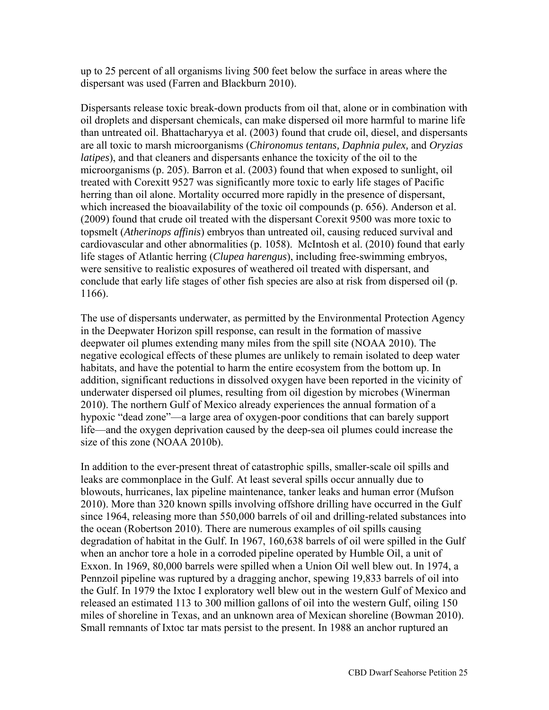up to 25 percent of all organisms living 500 feet below the surface in areas where the dispersant was used (Farren and Blackburn 2010).

Dispersants release toxic break-down products from oil that, alone or in combination with oil droplets and dispersant chemicals, can make dispersed oil more harmful to marine life than untreated oil. Bhattacharyya et al. (2003) found that crude oil, diesel, and dispersants are all toxic to marsh microorganisms (*Chironomus tentans, Daphnia pulex,* and *Oryzias latipes*), and that cleaners and dispersants enhance the toxicity of the oil to the microorganisms (p. 205). Barron et al. (2003) found that when exposed to sunlight, oil treated with Corexitt 9527 was significantly more toxic to early life stages of Pacific herring than oil alone. Mortality occurred more rapidly in the presence of dispersant, which increased the bioavailability of the toxic oil compounds (p. 656). Anderson et al. (2009) found that crude oil treated with the dispersant Corexit 9500 was more toxic to topsmelt (*Atherinops affinis*) embryos than untreated oil, causing reduced survival and cardiovascular and other abnormalities (p. 1058). McIntosh et al. (2010) found that early life stages of Atlantic herring (*Clupea harengus*), including free-swimming embryos, were sensitive to realistic exposures of weathered oil treated with dispersant, and conclude that early life stages of other fish species are also at risk from dispersed oil (p. 1166).

The use of dispersants underwater, as permitted by the Environmental Protection Agency in the Deepwater Horizon spill response, can result in the formation of massive deepwater oil plumes extending many miles from the spill site (NOAA 2010). The negative ecological effects of these plumes are unlikely to remain isolated to deep water habitats, and have the potential to harm the entire ecosystem from the bottom up. In addition, significant reductions in dissolved oxygen have been reported in the vicinity of underwater dispersed oil plumes, resulting from oil digestion by microbes (Winerman 2010). The northern Gulf of Mexico already experiences the annual formation of a hypoxic "dead zone"—a large area of oxygen-poor conditions that can barely support life—and the oxygen deprivation caused by the deep-sea oil plumes could increase the size of this zone (NOAA 2010b).

In addition to the ever-present threat of catastrophic spills, smaller-scale oil spills and leaks are commonplace in the Gulf. At least several spills occur annually due to blowouts, hurricanes, lax pipeline maintenance, tanker leaks and human error (Mufson 2010). More than 320 known spills involving offshore drilling have occurred in the Gulf since 1964, releasing more than 550,000 barrels of oil and drilling-related substances into the ocean (Robertson 2010). There are numerous examples of oil spills causing degradation of habitat in the Gulf. In 1967, 160,638 barrels of oil were spilled in the Gulf when an anchor tore a hole in a corroded pipeline operated by Humble Oil, a unit of Exxon. In 1969, 80,000 barrels were spilled when a Union Oil well blew out. In 1974, a Pennzoil pipeline was ruptured by a dragging anchor, spewing 19,833 barrels of oil into the Gulf. In 1979 the Ixtoc I exploratory well blew out in the western Gulf of Mexico and released an estimated 113 to 300 million gallons of oil into the western Gulf, oiling 150 miles of shoreline in Texas, and an unknown area of Mexican shoreline (Bowman 2010). Small remnants of Ixtoc tar mats persist to the present. In 1988 an anchor ruptured an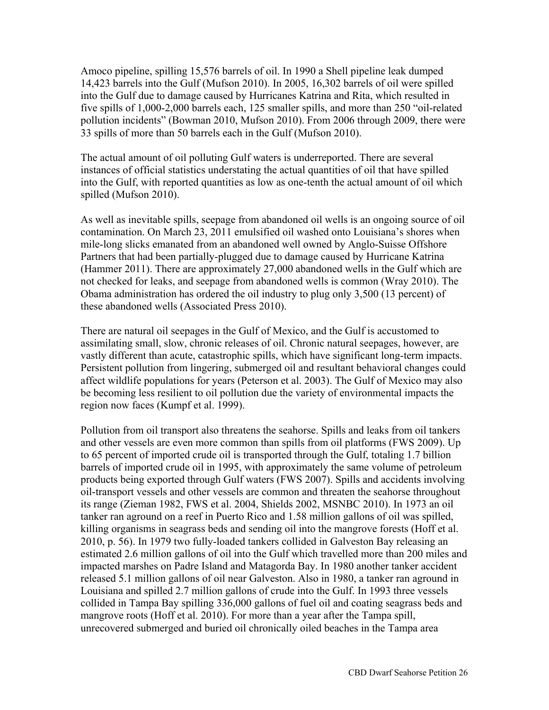Amoco pipeline, spilling 15,576 barrels of oil. In 1990 a Shell pipeline leak dumped 14,423 barrels into the Gulf (Mufson 2010). In 2005, 16,302 barrels of oil were spilled into the Gulf due to damage caused by Hurricanes Katrina and Rita, which resulted in five spills of 1,000-2,000 barrels each, 125 smaller spills, and more than 250 "oil-related pollution incidents" (Bowman 2010, Mufson 2010). From 2006 through 2009, there were 33 spills of more than 50 barrels each in the Gulf (Mufson 2010).

The actual amount of oil polluting Gulf waters is underreported. There are several instances of official statistics understating the actual quantities of oil that have spilled into the Gulf, with reported quantities as low as one-tenth the actual amount of oil which spilled (Mufson 2010).

As well as inevitable spills, seepage from abandoned oil wells is an ongoing source of oil contamination. On March 23, 2011 emulsified oil washed onto Louisiana's shores when mile-long slicks emanated from an abandoned well owned by Anglo-Suisse Offshore Partners that had been partially-plugged due to damage caused by Hurricane Katrina (Hammer 2011). There are approximately 27,000 abandoned wells in the Gulf which are not checked for leaks, and seepage from abandoned wells is common (Wray 2010). The Obama administration has ordered the oil industry to plug only 3,500 (13 percent) of these abandoned wells (Associated Press 2010).

There are natural oil seepages in the Gulf of Mexico, and the Gulf is accustomed to assimilating small, slow, chronic releases of oil. Chronic natural seepages, however, are vastly different than acute, catastrophic spills, which have significant long-term impacts. Persistent pollution from lingering, submerged oil and resultant behavioral changes could affect wildlife populations for years (Peterson et al. 2003). The Gulf of Mexico may also be becoming less resilient to oil pollution due the variety of environmental impacts the region now faces (Kumpf et al. 1999).

Pollution from oil transport also threatens the seahorse. Spills and leaks from oil tankers and other vessels are even more common than spills from oil platforms (FWS 2009). Up to 65 percent of imported crude oil is transported through the Gulf, totaling 1.7 billion barrels of imported crude oil in 1995, with approximately the same volume of petroleum products being exported through Gulf waters (FWS 2007). Spills and accidents involving oil-transport vessels and other vessels are common and threaten the seahorse throughout its range (Zieman 1982, FWS et al. 2004, Shields 2002, MSNBC 2010). In 1973 an oil tanker ran aground on a reef in Puerto Rico and 1.58 million gallons of oil was spilled, killing organisms in seagrass beds and sending oil into the mangrove forests (Hoff et al. 2010, p. 56). In 1979 two fully-loaded tankers collided in Galveston Bay releasing an estimated 2.6 million gallons of oil into the Gulf which travelled more than 200 miles and impacted marshes on Padre Island and Matagorda Bay. In 1980 another tanker accident released 5.1 million gallons of oil near Galveston. Also in 1980, a tanker ran aground in Louisiana and spilled 2.7 million gallons of crude into the Gulf. In 1993 three vessels collided in Tampa Bay spilling 336,000 gallons of fuel oil and coating seagrass beds and mangrove roots (Hoff et al. 2010). For more than a year after the Tampa spill, unrecovered submerged and buried oil chronically oiled beaches in the Tampa area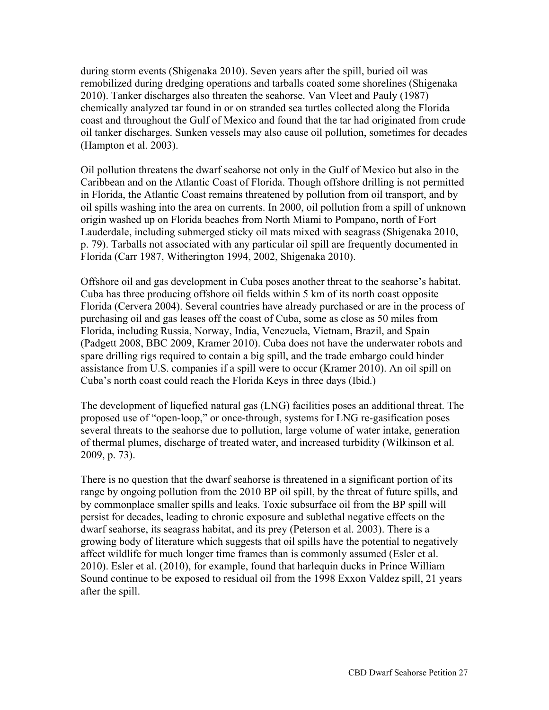during storm events (Shigenaka 2010). Seven years after the spill, buried oil was remobilized during dredging operations and tarballs coated some shorelines (Shigenaka 2010). Tanker discharges also threaten the seahorse. Van Vleet and Pauly (1987) chemically analyzed tar found in or on stranded sea turtles collected along the Florida coast and throughout the Gulf of Mexico and found that the tar had originated from crude oil tanker discharges. Sunken vessels may also cause oil pollution, sometimes for decades (Hampton et al. 2003).

Oil pollution threatens the dwarf seahorse not only in the Gulf of Mexico but also in the Caribbean and on the Atlantic Coast of Florida. Though offshore drilling is not permitted in Florida, the Atlantic Coast remains threatened by pollution from oil transport, and by oil spills washing into the area on currents. In 2000, oil pollution from a spill of unknown origin washed up on Florida beaches from North Miami to Pompano, north of Fort Lauderdale, including submerged sticky oil mats mixed with seagrass (Shigenaka 2010, p. 79). Tarballs not associated with any particular oil spill are frequently documented in Florida (Carr 1987, Witherington 1994, 2002, Shigenaka 2010).

Offshore oil and gas development in Cuba poses another threat to the seahorse's habitat. Cuba has three producing offshore oil fields within 5 km of its north coast opposite Florida (Cervera 2004). Several countries have already purchased or are in the process of purchasing oil and gas leases off the coast of Cuba, some as close as 50 miles from Florida, including Russia, Norway, India, Venezuela, Vietnam, Brazil, and Spain (Padgett 2008, BBC 2009, Kramer 2010). Cuba does not have the underwater robots and spare drilling rigs required to contain a big spill, and the trade embargo could hinder assistance from U.S. companies if a spill were to occur (Kramer 2010). An oil spill on Cuba's north coast could reach the Florida Keys in three days (Ibid.)

The development of liquefied natural gas (LNG) facilities poses an additional threat. The proposed use of "open-loop," or once-through, systems for LNG re-gasification poses several threats to the seahorse due to pollution, large volume of water intake, generation of thermal plumes, discharge of treated water, and increased turbidity (Wilkinson et al. 2009, p. 73).

There is no question that the dwarf seahorse is threatened in a significant portion of its range by ongoing pollution from the 2010 BP oil spill, by the threat of future spills, and by commonplace smaller spills and leaks. Toxic subsurface oil from the BP spill will persist for decades, leading to chronic exposure and sublethal negative effects on the dwarf seahorse, its seagrass habitat, and its prey (Peterson et al. 2003). There is a growing body of literature which suggests that oil spills have the potential to negatively affect wildlife for much longer time frames than is commonly assumed (Esler et al. 2010). Esler et al. (2010), for example, found that harlequin ducks in Prince William Sound continue to be exposed to residual oil from the 1998 Exxon Valdez spill, 21 years after the spill.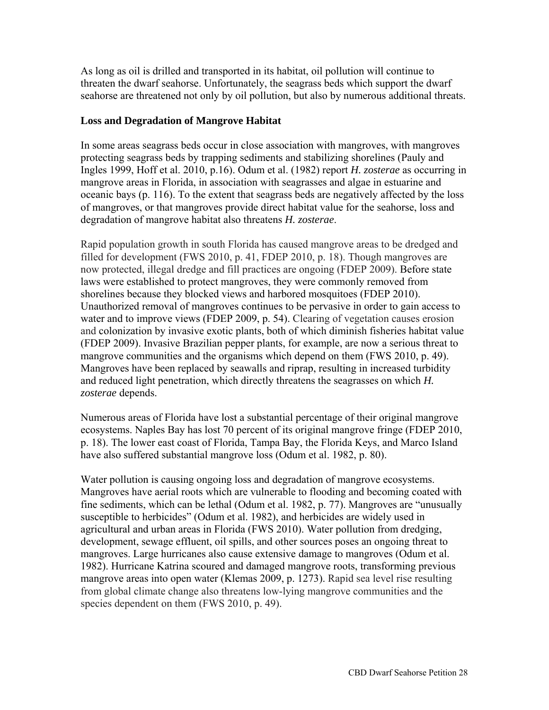As long as oil is drilled and transported in its habitat, oil pollution will continue to threaten the dwarf seahorse. Unfortunately, the seagrass beds which support the dwarf seahorse are threatened not only by oil pollution, but also by numerous additional threats.

#### **Loss and Degradation of Mangrove Habitat**

In some areas seagrass beds occur in close association with mangroves, with mangroves protecting seagrass beds by trapping sediments and stabilizing shorelines (Pauly and Ingles 1999, Hoff et al. 2010, p.16). Odum et al. (1982) report *H. zosterae* as occurring in mangrove areas in Florida, in association with seagrasses and algae in estuarine and oceanic bays (p. 116). To the extent that seagrass beds are negatively affected by the loss of mangroves, or that mangroves provide direct habitat value for the seahorse, loss and degradation of mangrove habitat also threatens *H. zosterae*.

Rapid population growth in south Florida has caused mangrove areas to be dredged and filled for development (FWS 2010, p. 41, FDEP 2010, p. 18). Though mangroves are now protected, illegal dredge and fill practices are ongoing (FDEP 2009). Before state laws were established to protect mangroves, they were commonly removed from shorelines because they blocked views and harbored mosquitoes (FDEP 2010). Unauthorized removal of mangroves continues to be pervasive in order to gain access to water and to improve views (FDEP 2009, p. 54). Clearing of vegetation causes erosion and colonization by invasive exotic plants, both of which diminish fisheries habitat value (FDEP 2009). Invasive Brazilian pepper plants, for example, are now a serious threat to mangrove communities and the organisms which depend on them (FWS 2010, p. 49). Mangroves have been replaced by seawalls and riprap, resulting in increased turbidity and reduced light penetration, which directly threatens the seagrasses on which *H. zosterae* depends.

Numerous areas of Florida have lost a substantial percentage of their original mangrove ecosystems. Naples Bay has lost 70 percent of its original mangrove fringe (FDEP 2010, p. 18). The lower east coast of Florida, Tampa Bay, the Florida Keys, and Marco Island have also suffered substantial mangrove loss (Odum et al. 1982, p. 80).

Water pollution is causing ongoing loss and degradation of mangrove ecosystems. Mangroves have aerial roots which are vulnerable to flooding and becoming coated with fine sediments, which can be lethal (Odum et al. 1982, p. 77). Mangroves are "unusually susceptible to herbicides" (Odum et al. 1982), and herbicides are widely used in agricultural and urban areas in Florida (FWS 2010). Water pollution from dredging, development, sewage effluent, oil spills, and other sources poses an ongoing threat to mangroves. Large hurricanes also cause extensive damage to mangroves (Odum et al. 1982). Hurricane Katrina scoured and damaged mangrove roots, transforming previous mangrove areas into open water (Klemas 2009, p. 1273). Rapid sea level rise resulting from global climate change also threatens low-lying mangrove communities and the species dependent on them (FWS 2010, p. 49).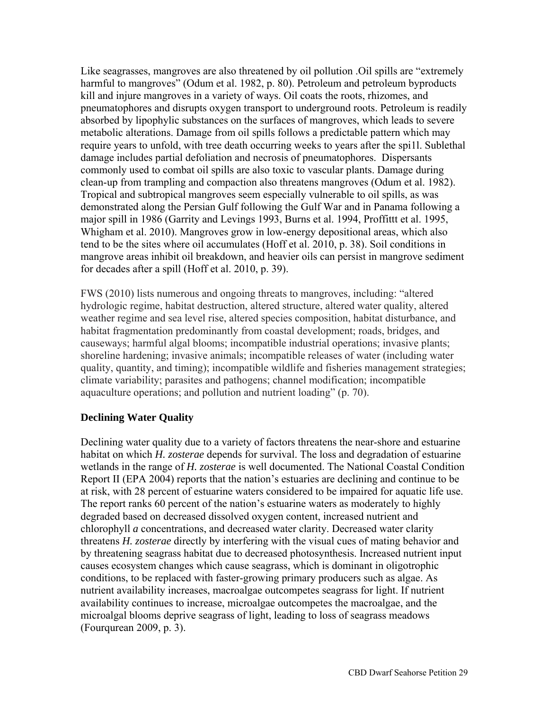Like seagrasses, mangroves are also threatened by oil pollution .Oil spills are "extremely harmful to mangroves" (Odum et al. 1982, p. 80). Petroleum and petroleum byproducts kill and injure mangroves in a variety of ways. Oil coats the roots, rhizomes, and pneumatophores and disrupts oxygen transport to underground roots. Petroleum is readily absorbed by lipophylic substances on the surfaces of mangroves, which leads to severe metabolic alterations. Damage from oil spills follows a predictable pattern which may require years to unfold, with tree death occurring weeks to years after the spi1l. Sublethal damage includes partial defoliation and necrosis of pneumatophores. Dispersants commonly used to combat oil spills are also toxic to vascular plants. Damage during clean-up from trampling and compaction also threatens mangroves (Odum et al. 1982). Tropical and subtropical mangroves seem especially vulnerable to oil spills, as was demonstrated along the Persian Gulf following the Gulf War and in Panama following a major spill in 1986 (Garrity and Levings 1993, Burns et al. 1994, Proffittt et al. 1995, Whigham et al. 2010). Mangroves grow in low-energy depositional areas, which also tend to be the sites where oil accumulates (Hoff et al. 2010, p. 38). Soil conditions in mangrove areas inhibit oil breakdown, and heavier oils can persist in mangrove sediment for decades after a spill (Hoff et al. 2010, p. 39).

FWS (2010) lists numerous and ongoing threats to mangroves, including: "altered hydrologic regime, habitat destruction, altered structure, altered water quality, altered weather regime and sea level rise, altered species composition, habitat disturbance, and habitat fragmentation predominantly from coastal development; roads, bridges, and causeways; harmful algal blooms; incompatible industrial operations; invasive plants; shoreline hardening; invasive animals; incompatible releases of water (including water quality, quantity, and timing); incompatible wildlife and fisheries management strategies; climate variability; parasites and pathogens; channel modification; incompatible aquaculture operations; and pollution and nutrient loading" (p. 70).

#### **Declining Water Quality**

Declining water quality due to a variety of factors threatens the near-shore and estuarine habitat on which *H. zosterae* depends for survival. The loss and degradation of estuarine wetlands in the range of *H. zosterae* is well documented. The National Coastal Condition Report II (EPA 2004) reports that the nation's estuaries are declining and continue to be at risk, with 28 percent of estuarine waters considered to be impaired for aquatic life use. The report ranks 60 percent of the nation's estuarine waters as moderately to highly degraded based on decreased dissolved oxygen content, increased nutrient and chlorophyll *a* concentrations, and decreased water clarity. Decreased water clarity threatens *H. zosterae* directly by interfering with the visual cues of mating behavior and by threatening seagrass habitat due to decreased photosynthesis. Increased nutrient input causes ecosystem changes which cause seagrass, which is dominant in oligotrophic conditions, to be replaced with faster-growing primary producers such as algae. As nutrient availability increases, macroalgae outcompetes seagrass for light. If nutrient availability continues to increase, microalgae outcompetes the macroalgae, and the microalgal blooms deprive seagrass of light, leading to loss of seagrass meadows (Fourqurean 2009, p. 3).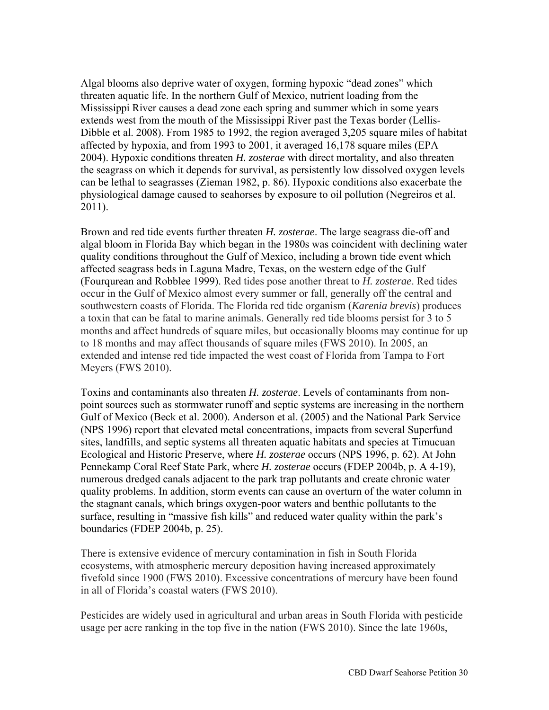Algal blooms also deprive water of oxygen, forming hypoxic "dead zones" which threaten aquatic life. In the northern Gulf of Mexico, nutrient loading from the Mississippi River causes a dead zone each spring and summer which in some years extends west from the mouth of the Mississippi River past the Texas border (Lellis-Dibble et al. 2008). From 1985 to 1992, the region averaged 3,205 square miles of habitat affected by hypoxia, and from 1993 to 2001, it averaged 16,178 square miles (EPA 2004). Hypoxic conditions threaten *H. zosterae* with direct mortality, and also threaten the seagrass on which it depends for survival, as persistently low dissolved oxygen levels can be lethal to seagrasses (Zieman 1982, p. 86). Hypoxic conditions also exacerbate the physiological damage caused to seahorses by exposure to oil pollution (Negreiros et al. 2011).

Brown and red tide events further threaten *H. zosterae*. The large seagrass die-off and algal bloom in Florida Bay which began in the 1980s was coincident with declining water quality conditions throughout the Gulf of Mexico, including a brown tide event which affected seagrass beds in Laguna Madre, Texas, on the western edge of the Gulf (Fourqurean and Robblee 1999). Red tides pose another threat to *H. zosterae*. Red tides occur in the Gulf of Mexico almost every summer or fall, generally off the central and southwestern coasts of Florida. The Florida red tide organism (*Karenia brevis*) produces a toxin that can be fatal to marine animals. Generally red tide blooms persist for 3 to 5 months and affect hundreds of square miles, but occasionally blooms may continue for up to 18 months and may affect thousands of square miles (FWS 2010). In 2005, an extended and intense red tide impacted the west coast of Florida from Tampa to Fort Meyers (FWS 2010).

Toxins and contaminants also threaten *H. zosterae*. Levels of contaminants from nonpoint sources such as stormwater runoff and septic systems are increasing in the northern Gulf of Mexico (Beck et al. 2000). Anderson et al. (2005) and the National Park Service (NPS 1996) report that elevated metal concentrations, impacts from several Superfund sites, landfills, and septic systems all threaten aquatic habitats and species at Timucuan Ecological and Historic Preserve, where *H. zosterae* occurs (NPS 1996, p. 62). At John Pennekamp Coral Reef State Park, where *H. zosterae* occurs (FDEP 2004b, p. A 4-19), numerous dredged canals adjacent to the park trap pollutants and create chronic water quality problems. In addition, storm events can cause an overturn of the water column in the stagnant canals, which brings oxygen-poor waters and benthic pollutants to the surface, resulting in "massive fish kills" and reduced water quality within the park's boundaries (FDEP 2004b, p. 25).

There is extensive evidence of mercury contamination in fish in South Florida ecosystems, with atmospheric mercury deposition having increased approximately fivefold since 1900 (FWS 2010). Excessive concentrations of mercury have been found in all of Florida's coastal waters (FWS 2010).

Pesticides are widely used in agricultural and urban areas in South Florida with pesticide usage per acre ranking in the top five in the nation (FWS 2010). Since the late 1960s,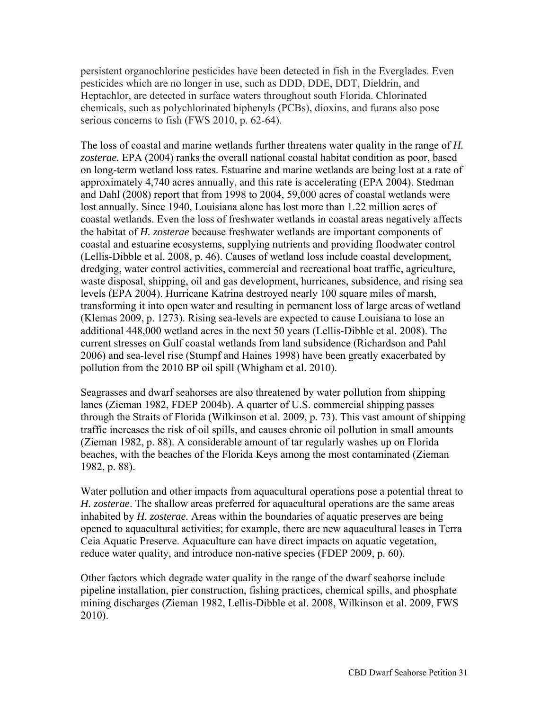persistent organochlorine pesticides have been detected in fish in the Everglades. Even pesticides which are no longer in use, such as DDD, DDE, DDT, Dieldrin, and Heptachlor, are detected in surface waters throughout south Florida. Chlorinated chemicals, such as polychlorinated biphenyls (PCBs), dioxins, and furans also pose serious concerns to fish (FWS 2010, p. 62-64).

The loss of coastal and marine wetlands further threatens water quality in the range of *H. zosterae.* EPA (2004) ranks the overall national coastal habitat condition as poor, based on long-term wetland loss rates. Estuarine and marine wetlands are being lost at a rate of approximately 4,740 acres annually, and this rate is accelerating (EPA 2004). Stedman and Dahl (2008) report that from 1998 to 2004, 59,000 acres of coastal wetlands were lost annually. Since 1940, Louisiana alone has lost more than 1.22 million acres of coastal wetlands. Even the loss of freshwater wetlands in coastal areas negatively affects the habitat of *H. zosterae* because freshwater wetlands are important components of coastal and estuarine ecosystems, supplying nutrients and providing floodwater control (Lellis-Dibble et al. 2008, p. 46). Causes of wetland loss include coastal development, dredging, water control activities, commercial and recreational boat traffic, agriculture, waste disposal, shipping, oil and gas development, hurricanes, subsidence, and rising sea levels (EPA 2004). Hurricane Katrina destroyed nearly 100 square miles of marsh, transforming it into open water and resulting in permanent loss of large areas of wetland (Klemas 2009, p. 1273). Rising sea-levels are expected to cause Louisiana to lose an additional 448,000 wetland acres in the next 50 years (Lellis-Dibble et al. 2008). The current stresses on Gulf coastal wetlands from land subsidence (Richardson and Pahl 2006) and sea-level rise (Stumpf and Haines 1998) have been greatly exacerbated by pollution from the 2010 BP oil spill (Whigham et al. 2010).

Seagrasses and dwarf seahorses are also threatened by water pollution from shipping lanes (Zieman 1982, FDEP 2004b). A quarter of U.S. commercial shipping passes through the Straits of Florida (Wilkinson et al. 2009, p. 73). This vast amount of shipping traffic increases the risk of oil spills, and causes chronic oil pollution in small amounts (Zieman 1982, p. 88). A considerable amount of tar regularly washes up on Florida beaches, with the beaches of the Florida Keys among the most contaminated (Zieman 1982, p. 88).

Water pollution and other impacts from aquacultural operations pose a potential threat to *H. zosterae*. The shallow areas preferred for aquacultural operations are the same areas inhabited by *H. zosterae.* Areas within the boundaries of aquatic preserves are being opened to aquacultural activities; for example, there are new aquacultural leases in Terra Ceia Aquatic Preserve. Aquaculture can have direct impacts on aquatic vegetation, reduce water quality, and introduce non-native species (FDEP 2009, p. 60).

Other factors which degrade water quality in the range of the dwarf seahorse include pipeline installation, pier construction, fishing practices, chemical spills, and phosphate mining discharges (Zieman 1982, Lellis-Dibble et al. 2008, Wilkinson et al. 2009, FWS 2010).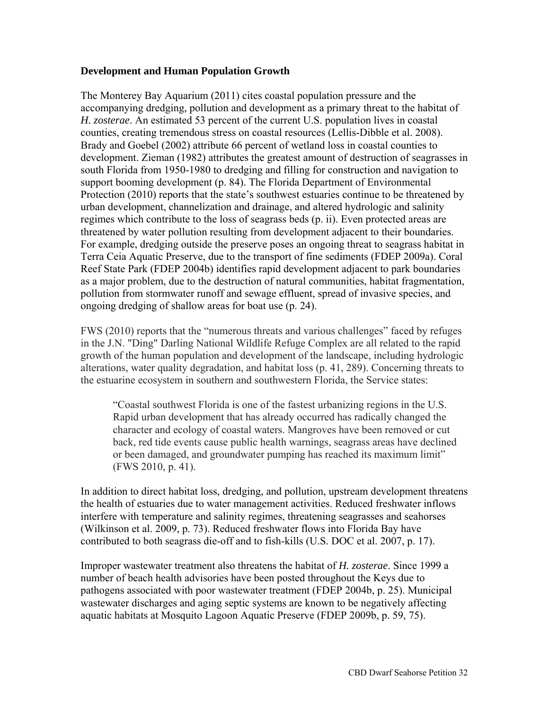#### **Development and Human Population Growth**

The Monterey Bay Aquarium (2011) cites coastal population pressure and the accompanying dredging, pollution and development as a primary threat to the habitat of *H. zosterae*. An estimated 53 percent of the current U.S. population lives in coastal counties, creating tremendous stress on coastal resources (Lellis-Dibble et al. 2008). Brady and Goebel (2002) attribute 66 percent of wetland loss in coastal counties to development. Zieman (1982) attributes the greatest amount of destruction of seagrasses in south Florida from 1950-1980 to dredging and filling for construction and navigation to support booming development (p. 84). The Florida Department of Environmental Protection (2010) reports that the state's southwest estuaries continue to be threatened by urban development, channelization and drainage, and altered hydrologic and salinity regimes which contribute to the loss of seagrass beds (p. ii). Even protected areas are threatened by water pollution resulting from development adjacent to their boundaries. For example, dredging outside the preserve poses an ongoing threat to seagrass habitat in Terra Ceia Aquatic Preserve, due to the transport of fine sediments (FDEP 2009a). Coral Reef State Park (FDEP 2004b) identifies rapid development adjacent to park boundaries as a major problem, due to the destruction of natural communities, habitat fragmentation, pollution from stormwater runoff and sewage effluent, spread of invasive species, and ongoing dredging of shallow areas for boat use (p. 24).

FWS (2010) reports that the "numerous threats and various challenges" faced by refuges in the J.N. "Ding" Darling National Wildlife Refuge Complex are all related to the rapid growth of the human population and development of the landscape, including hydrologic alterations, water quality degradation, and habitat loss (p. 41, 289). Concerning threats to the estuarine ecosystem in southern and southwestern Florida, the Service states:

"Coastal southwest Florida is one of the fastest urbanizing regions in the U.S. Rapid urban development that has already occurred has radically changed the character and ecology of coastal waters. Mangroves have been removed or cut back, red tide events cause public health warnings, seagrass areas have declined or been damaged, and groundwater pumping has reached its maximum limit" (FWS 2010, p. 41).

In addition to direct habitat loss, dredging, and pollution, upstream development threatens the health of estuaries due to water management activities. Reduced freshwater inflows interfere with temperature and salinity regimes, threatening seagrasses and seahorses (Wilkinson et al. 2009, p. 73). Reduced freshwater flows into Florida Bay have contributed to both seagrass die-off and to fish-kills (U.S. DOC et al. 2007, p. 17).

Improper wastewater treatment also threatens the habitat of *H. zosterae*. Since 1999 a number of beach health advisories have been posted throughout the Keys due to pathogens associated with poor wastewater treatment (FDEP 2004b, p. 25). Municipal wastewater discharges and aging septic systems are known to be negatively affecting aquatic habitats at Mosquito Lagoon Aquatic Preserve (FDEP 2009b, p. 59, 75).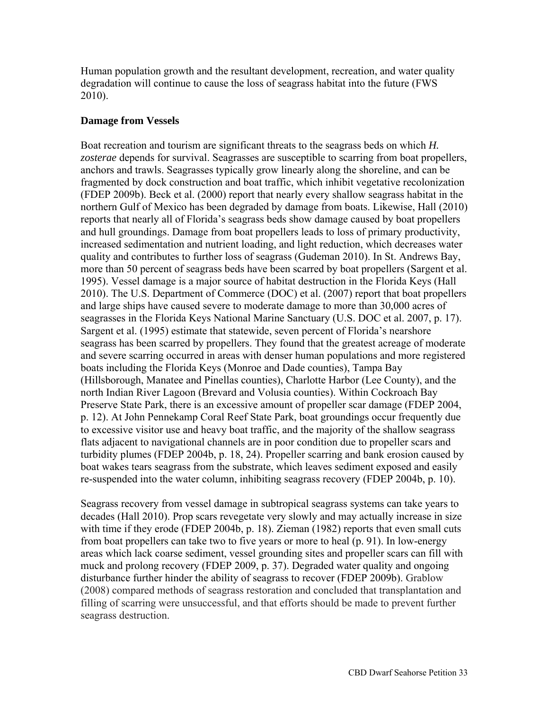Human population growth and the resultant development, recreation, and water quality degradation will continue to cause the loss of seagrass habitat into the future (FWS 2010).

#### **Damage from Vessels**

Boat recreation and tourism are significant threats to the seagrass beds on which *H. zosterae* depends for survival. Seagrasses are susceptible to scarring from boat propellers, anchors and trawls. Seagrasses typically grow linearly along the shoreline, and can be fragmented by dock construction and boat traffic, which inhibit vegetative recolonization (FDEP 2009b). Beck et al. (2000) report that nearly every shallow seagrass habitat in the northern Gulf of Mexico has been degraded by damage from boats. Likewise, Hall (2010) reports that nearly all of Florida's seagrass beds show damage caused by boat propellers and hull groundings. Damage from boat propellers leads to loss of primary productivity, increased sedimentation and nutrient loading, and light reduction, which decreases water quality and contributes to further loss of seagrass (Gudeman 2010). In St. Andrews Bay, more than 50 percent of seagrass beds have been scarred by boat propellers (Sargent et al. 1995). Vessel damage is a major source of habitat destruction in the Florida Keys (Hall 2010). The U.S. Department of Commerce (DOC) et al. (2007) report that boat propellers and large ships have caused severe to moderate damage to more than 30,000 acres of seagrasses in the Florida Keys National Marine Sanctuary (U.S. DOC et al. 2007, p. 17). Sargent et al. (1995) estimate that statewide, seven percent of Florida's nearshore seagrass has been scarred by propellers. They found that the greatest acreage of moderate and severe scarring occurred in areas with denser human populations and more registered boats including the Florida Keys (Monroe and Dade counties), Tampa Bay (Hillsborough, Manatee and Pinellas counties), Charlotte Harbor (Lee County), and the north Indian River Lagoon (Brevard and Volusia counties). Within Cockroach Bay Preserve State Park, there is an excessive amount of propeller scar damage (FDEP 2004, p. 12). At John Pennekamp Coral Reef State Park, boat groundings occur frequently due to excessive visitor use and heavy boat traffic, and the majority of the shallow seagrass flats adjacent to navigational channels are in poor condition due to propeller scars and turbidity plumes (FDEP 2004b, p. 18, 24). Propeller scarring and bank erosion caused by boat wakes tears seagrass from the substrate, which leaves sediment exposed and easily re-suspended into the water column, inhibiting seagrass recovery (FDEP 2004b, p. 10).

Seagrass recovery from vessel damage in subtropical seagrass systems can take years to decades (Hall 2010). Prop scars revegetate very slowly and may actually increase in size with time if they erode (FDEP 2004b, p. 18). Zieman (1982) reports that even small cuts from boat propellers can take two to five years or more to heal (p. 91). In low-energy areas which lack coarse sediment, vessel grounding sites and propeller scars can fill with muck and prolong recovery (FDEP 2009, p. 37). Degraded water quality and ongoing disturbance further hinder the ability of seagrass to recover (FDEP 2009b). Grablow (2008) compared methods of seagrass restoration and concluded that transplantation and filling of scarring were unsuccessful, and that efforts should be made to prevent further seagrass destruction.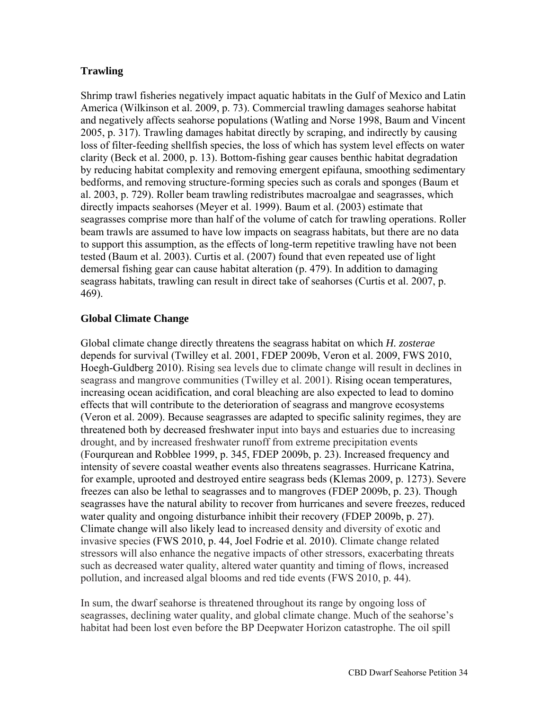## **Trawling**

Shrimp trawl fisheries negatively impact aquatic habitats in the Gulf of Mexico and Latin America (Wilkinson et al. 2009, p. 73). Commercial trawling damages seahorse habitat and negatively affects seahorse populations (Watling and Norse 1998, Baum and Vincent 2005, p. 317). Trawling damages habitat directly by scraping, and indirectly by causing loss of filter-feeding shellfish species, the loss of which has system level effects on water clarity (Beck et al. 2000, p. 13). Bottom-fishing gear causes benthic habitat degradation by reducing habitat complexity and removing emergent epifauna, smoothing sedimentary bedforms, and removing structure-forming species such as corals and sponges (Baum et al. 2003, p. 729). Roller beam trawling redistributes macroalgae and seagrasses, which directly impacts seahorses (Meyer et al. 1999). Baum et al. (2003) estimate that seagrasses comprise more than half of the volume of catch for trawling operations. Roller beam trawls are assumed to have low impacts on seagrass habitats, but there are no data to support this assumption, as the effects of long-term repetitive trawling have not been tested (Baum et al. 2003). Curtis et al. (2007) found that even repeated use of light demersal fishing gear can cause habitat alteration (p. 479). In addition to damaging seagrass habitats, trawling can result in direct take of seahorses (Curtis et al. 2007, p. 469).

## **Global Climate Change**

Global climate change directly threatens the seagrass habitat on which *H. zosterae* depends for survival (Twilley et al. 2001, FDEP 2009b, Veron et al. 2009, FWS 2010, Hoegh-Guldberg 2010). Rising sea levels due to climate change will result in declines in seagrass and mangrove communities (Twilley et al. 2001). Rising ocean temperatures, increasing ocean acidification, and coral bleaching are also expected to lead to domino effects that will contribute to the deterioration of seagrass and mangrove ecosystems (Veron et al. 2009). Because seagrasses are adapted to specific salinity regimes, they are threatened both by decreased freshwater input into bays and estuaries due to increasing drought, and by increased freshwater runoff from extreme precipitation events (Fourqurean and Robblee 1999, p. 345, FDEP 2009b, p. 23). Increased frequency and intensity of severe coastal weather events also threatens seagrasses. Hurricane Katrina, for example, uprooted and destroyed entire seagrass beds (Klemas 2009, p. 1273). Severe freezes can also be lethal to seagrasses and to mangroves (FDEP 2009b, p. 23). Though seagrasses have the natural ability to recover from hurricanes and severe freezes, reduced water quality and ongoing disturbance inhibit their recovery (FDEP 2009b, p. 27). Climate change will also likely lead to increased density and diversity of exotic and invasive species (FWS 2010, p. 44, Joel Fodrie et al. 2010). Climate change related stressors will also enhance the negative impacts of other stressors, exacerbating threats such as decreased water quality, altered water quantity and timing of flows, increased pollution, and increased algal blooms and red tide events (FWS 2010, p. 44).

In sum, the dwarf seahorse is threatened throughout its range by ongoing loss of seagrasses, declining water quality, and global climate change. Much of the seahorse's habitat had been lost even before the BP Deepwater Horizon catastrophe. The oil spill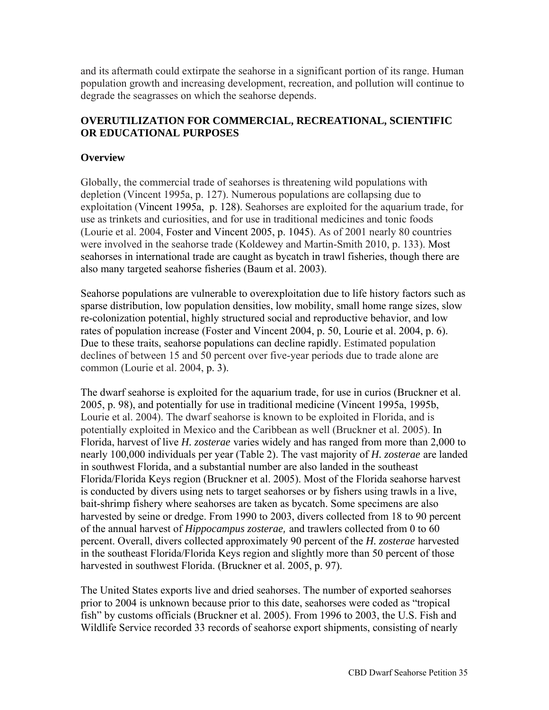and its aftermath could extirpate the seahorse in a significant portion of its range. Human population growth and increasing development, recreation, and pollution will continue to degrade the seagrasses on which the seahorse depends.

## **OVERUTILIZATION FOR COMMERCIAL, RECREATIONAL, SCIENTIFIC OR EDUCATIONAL PURPOSES**

## **Overview**

Globally, the commercial trade of seahorses is threatening wild populations with depletion (Vincent 1995a, p. 127). Numerous populations are collapsing due to exploitation (Vincent 1995a, p. 128). Seahorses are exploited for the aquarium trade, for use as trinkets and curiosities, and for use in traditional medicines and tonic foods (Lourie et al. 2004, Foster and Vincent 2005, p. 1045). As of 2001 nearly 80 countries were involved in the seahorse trade (Koldewey and Martin-Smith 2010, p. 133). Most seahorses in international trade are caught as bycatch in trawl fisheries, though there are also many targeted seahorse fisheries (Baum et al. 2003).

Seahorse populations are vulnerable to overexploitation due to life history factors such as sparse distribution, low population densities, low mobility, small home range sizes, slow re-colonization potential, highly structured social and reproductive behavior, and low rates of population increase (Foster and Vincent 2004, p. 50, Lourie et al. 2004, p. 6). Due to these traits, seahorse populations can decline rapidly. Estimated population declines of between 15 and 50 percent over five-year periods due to trade alone are common (Lourie et al. 2004, p. 3).

The dwarf seahorse is exploited for the aquarium trade, for use in curios (Bruckner et al. 2005, p. 98), and potentially for use in traditional medicine (Vincent 1995a, 1995b, Lourie et al. 2004). The dwarf seahorse is known to be exploited in Florida, and is potentially exploited in Mexico and the Caribbean as well (Bruckner et al. 2005). In Florida, harvest of live *H. zosterae* varies widely and has ranged from more than 2,000 to nearly 100,000 individuals per year (Table 2). The vast majority of *H. zosterae* are landed in southwest Florida, and a substantial number are also landed in the southeast Florida/Florida Keys region (Bruckner et al. 2005). Most of the Florida seahorse harvest is conducted by divers using nets to target seahorses or by fishers using trawls in a live, bait-shrimp fishery where seahorses are taken as bycatch. Some specimens are also harvested by seine or dredge. From 1990 to 2003, divers collected from 18 to 90 percent of the annual harvest of *Hippocampus zosterae,* and trawlers collected from 0 to 60 percent. Overall, divers collected approximately 90 percent of the *H. zosterae* harvested in the southeast Florida/Florida Keys region and slightly more than 50 percent of those harvested in southwest Florida. (Bruckner et al. 2005, p. 97).

The United States exports live and dried seahorses. The number of exported seahorses prior to 2004 is unknown because prior to this date, seahorses were coded as "tropical fish" by customs officials (Bruckner et al. 2005). From 1996 to 2003, the U.S. Fish and Wildlife Service recorded 33 records of seahorse export shipments, consisting of nearly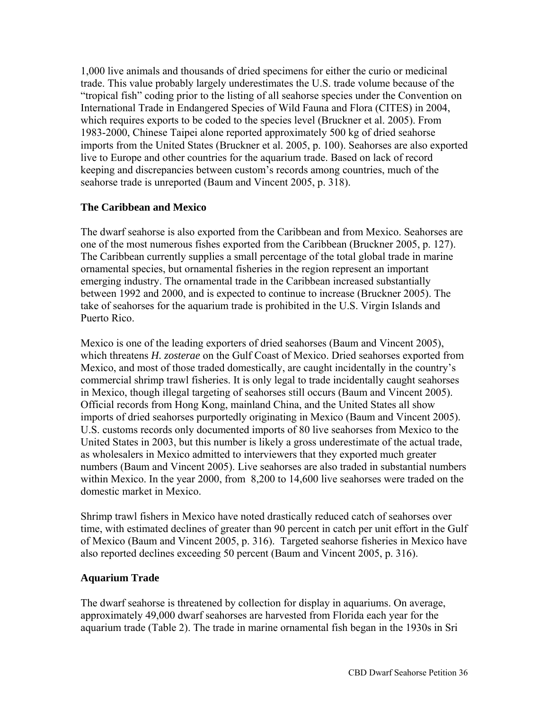1,000 live animals and thousands of dried specimens for either the curio or medicinal trade. This value probably largely underestimates the U.S. trade volume because of the "tropical fish" coding prior to the listing of all seahorse species under the Convention on International Trade in Endangered Species of Wild Fauna and Flora (CITES) in 2004, which requires exports to be coded to the species level (Bruckner et al. 2005). From 1983-2000, Chinese Taipei alone reported approximately 500 kg of dried seahorse imports from the United States (Bruckner et al. 2005, p. 100). Seahorses are also exported live to Europe and other countries for the aquarium trade. Based on lack of record keeping and discrepancies between custom's records among countries, much of the seahorse trade is unreported (Baum and Vincent 2005, p. 318).

### **The Caribbean and Mexico**

The dwarf seahorse is also exported from the Caribbean and from Mexico. Seahorses are one of the most numerous fishes exported from the Caribbean (Bruckner 2005, p. 127). The Caribbean currently supplies a small percentage of the total global trade in marine ornamental species, but ornamental fisheries in the region represent an important emerging industry. The ornamental trade in the Caribbean increased substantially between 1992 and 2000, and is expected to continue to increase (Bruckner 2005). The take of seahorses for the aquarium trade is prohibited in the U.S. Virgin Islands and Puerto Rico.

Mexico is one of the leading exporters of dried seahorses (Baum and Vincent 2005), which threatens *H. zosterae* on the Gulf Coast of Mexico. Dried seahorses exported from Mexico, and most of those traded domestically, are caught incidentally in the country's commercial shrimp trawl fisheries. It is only legal to trade incidentally caught seahorses in Mexico, though illegal targeting of seahorses still occurs (Baum and Vincent 2005). Official records from Hong Kong, mainland China, and the United States all show imports of dried seahorses purportedly originating in Mexico (Baum and Vincent 2005). U.S. customs records only documented imports of 80 live seahorses from Mexico to the United States in 2003, but this number is likely a gross underestimate of the actual trade, as wholesalers in Mexico admitted to interviewers that they exported much greater numbers (Baum and Vincent 2005). Live seahorses are also traded in substantial numbers within Mexico. In the year 2000, from 8,200 to 14,600 live seahorses were traded on the domestic market in Mexico.

Shrimp trawl fishers in Mexico have noted drastically reduced catch of seahorses over time, with estimated declines of greater than 90 percent in catch per unit effort in the Gulf of Mexico (Baum and Vincent 2005, p. 316). Targeted seahorse fisheries in Mexico have also reported declines exceeding 50 percent (Baum and Vincent 2005, p. 316).

### **Aquarium Trade**

The dwarf seahorse is threatened by collection for display in aquariums. On average, approximately 49,000 dwarf seahorses are harvested from Florida each year for the aquarium trade (Table 2). The trade in marine ornamental fish began in the 1930s in Sri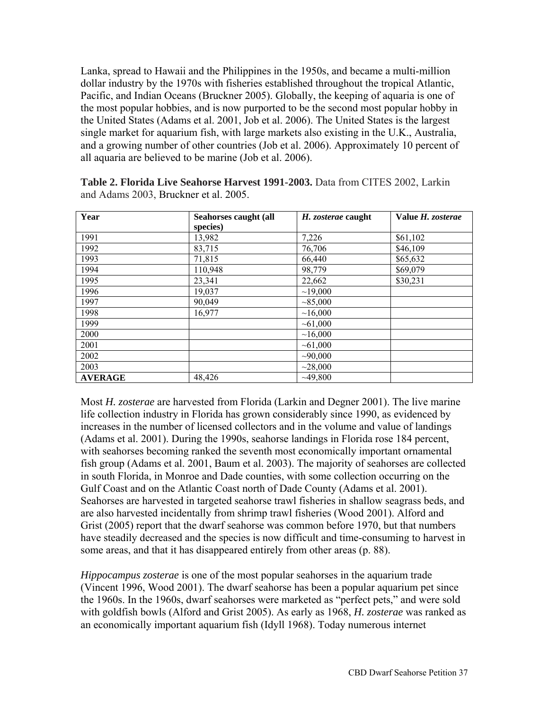Lanka, spread to Hawaii and the Philippines in the 1950s, and became a multi-million dollar industry by the 1970s with fisheries established throughout the tropical Atlantic, Pacific, and Indian Oceans (Bruckner 2005). Globally, the keeping of aquaria is one of the most popular hobbies, and is now purported to be the second most popular hobby in the United States (Adams et al. 2001, Job et al. 2006). The United States is the largest single market for aquarium fish, with large markets also existing in the U.K., Australia, and a growing number of other countries (Job et al. 2006). Approximately 10 percent of all aquaria are believed to be marine (Job et al. 2006).

| Year           | Seahorses caught (all | H. zosterae caught | Value H. zosterae |
|----------------|-----------------------|--------------------|-------------------|
|                | species)              |                    |                   |
| 1991           | 13,982                | 7,226              | \$61,102          |
| 1992           | 83,715                | 76,706             | \$46,109          |
| 1993           | 71,815                | 66,440             | \$65,632          |
| 1994           | 110,948               | 98,779             | \$69,079          |
| 1995           | 23,341                | 22,662             | \$30,231          |
| 1996           | 19,037                | ~19,000            |                   |
| 1997           | 90,049                | ~1000              |                   |
| 1998           | 16,977                | ~16,000            |                   |
| 1999           |                       | ~1,000             |                   |
| 2000           |                       | ~16,000            |                   |
| 2001           |                       | ~1,000             |                   |
| 2002           |                       | $\sim 90,000$      |                   |
| 2003           |                       | ~28,000            |                   |
| <b>AVERAGE</b> | 48,426                | ~149,800           |                   |

**Table 2. Florida Live Seahorse Harvest 1991-2003.** Data from CITES 2002, Larkin and Adams 2003, Bruckner et al. 2005.

Most *H. zosterae* are harvested from Florida (Larkin and Degner 2001). The live marine life collection industry in Florida has grown considerably since 1990, as evidenced by increases in the number of licensed collectors and in the volume and value of landings (Adams et al. 2001). During the 1990s, seahorse landings in Florida rose 184 percent, with seahorses becoming ranked the seventh most economically important ornamental fish group (Adams et al. 2001, Baum et al. 2003). The majority of seahorses are collected in south Florida, in Monroe and Dade counties, with some collection occurring on the Gulf Coast and on the Atlantic Coast north of Dade County (Adams et al. 2001). Seahorses are harvested in targeted seahorse trawl fisheries in shallow seagrass beds, and are also harvested incidentally from shrimp trawl fisheries (Wood 2001). Alford and Grist (2005) report that the dwarf seahorse was common before 1970, but that numbers have steadily decreased and the species is now difficult and time-consuming to harvest in some areas, and that it has disappeared entirely from other areas (p. 88).

*Hippocampus zosterae* is one of the most popular seahorses in the aquarium trade (Vincent 1996, Wood 2001). The dwarf seahorse has been a popular aquarium pet since the 1960s. In the 1960s, dwarf seahorses were marketed as "perfect pets," and were sold with goldfish bowls (Alford and Grist 2005). As early as 1968, *H. zosterae* was ranked as an economically important aquarium fish (Idyll 1968). Today numerous internet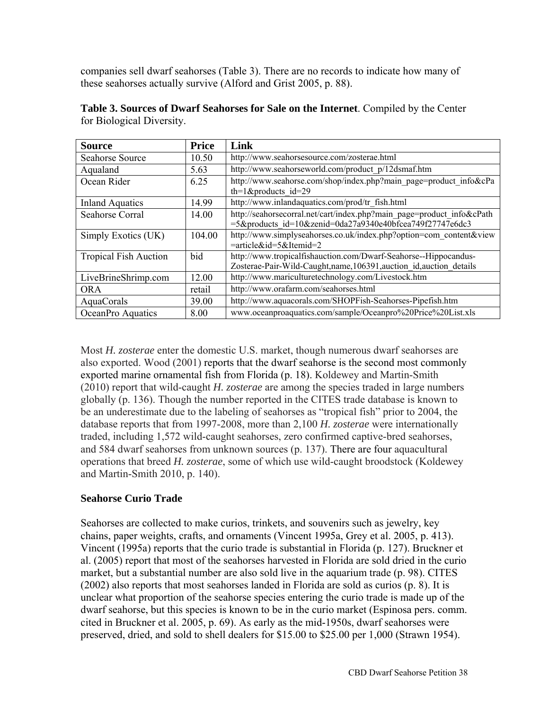companies sell dwarf seahorses (Table 3). There are no records to indicate how many of these seahorses actually survive (Alford and Grist 2005, p. 88).

| <b>Source</b>                | <b>Price</b> | Link                                                                                                                                |
|------------------------------|--------------|-------------------------------------------------------------------------------------------------------------------------------------|
| <b>Seahorse Source</b>       | 10.50        | http://www.seahorsesource.com/zosterae.html                                                                                         |
| Aqualand                     | 5.63         | http://www.seahorseworld.com/product_p/12dsmaf.htm                                                                                  |
| Ocean Rider                  | 6.25         | http://www.seahorse.com/shop/index.php?main_page=product_info&cPa<br>th=1&products id=29                                            |
| <b>Inland Aquatics</b>       | 14.99        | http://www.inlandaquatics.com/prod/tr fish.html                                                                                     |
| Seahorse Corral              | 14.00        | http://seahorsecorral.net/cart/index.php?main_page=product_info&cPath<br>=5&products id=10&zenid=0da27a9340e40bfcea749f27747e6dc3   |
| Simply Exotics (UK)          | 104.00       | http://www.simplyseahorses.co.uk/index.php?option=com_content&view<br>=article&id=5&Itemid=2                                        |
| <b>Tropical Fish Auction</b> | bid          | http://www.tropicalfishauction.com/Dwarf-Seahorse--Hippocandus-<br>Zosterae-Pair-Wild-Caught,name,106391,auction id,auction details |
| LiveBrineShrimp.com          | 12.00        | http://www.mariculturetechnology.com/Livestock.htm                                                                                  |
| <b>ORA</b>                   | retail       | http://www.orafarm.com/seahorses.html                                                                                               |
| AquaCorals                   | 39.00        | http://www.aquacorals.com/SHOPFish-Seahorses-Pipefish.htm                                                                           |
| OceanPro Aquatics            | 8.00         | www.oceanproaquatics.com/sample/Oceanpro%20Price%20List.xls                                                                         |

**Table 3. Sources of Dwarf Seahorses for Sale on the Internet**. Compiled by the Center for Biological Diversity.

Most *H. zosterae* enter the domestic U.S. market, though numerous dwarf seahorses are also exported. Wood (2001) reports that the dwarf seahorse is the second most commonly exported marine ornamental fish from Florida (p. 18). Koldewey and Martin-Smith (2010) report that wild-caught *H. zosterae* are among the species traded in large numbers globally (p. 136). Though the number reported in the CITES trade database is known to be an underestimate due to the labeling of seahorses as "tropical fish" prior to 2004, the database reports that from 1997-2008, more than 2,100 *H. zosterae* were internationally traded, including 1,572 wild-caught seahorses, zero confirmed captive-bred seahorses, and 584 dwarf seahorses from unknown sources (p. 137). There are four aquacultural operations that breed *H. zosterae*, some of which use wild-caught broodstock (Koldewey and Martin-Smith 2010, p. 140).

### **Seahorse Curio Trade**

Seahorses are collected to make curios, trinkets, and souvenirs such as jewelry, key chains, paper weights, crafts, and ornaments (Vincent 1995a, Grey et al. 2005, p. 413). Vincent (1995a) reports that the curio trade is substantial in Florida (p. 127). Bruckner et al. (2005) report that most of the seahorses harvested in Florida are sold dried in the curio market, but a substantial number are also sold live in the aquarium trade (p. 98). CITES (2002) also reports that most seahorses landed in Florida are sold as curios (p. 8). It is unclear what proportion of the seahorse species entering the curio trade is made up of the dwarf seahorse, but this species is known to be in the curio market (Espinosa pers. comm. cited in Bruckner et al. 2005, p. 69). As early as the mid-1950s, dwarf seahorses were preserved, dried, and sold to shell dealers for \$15.00 to \$25.00 per 1,000 (Strawn 1954).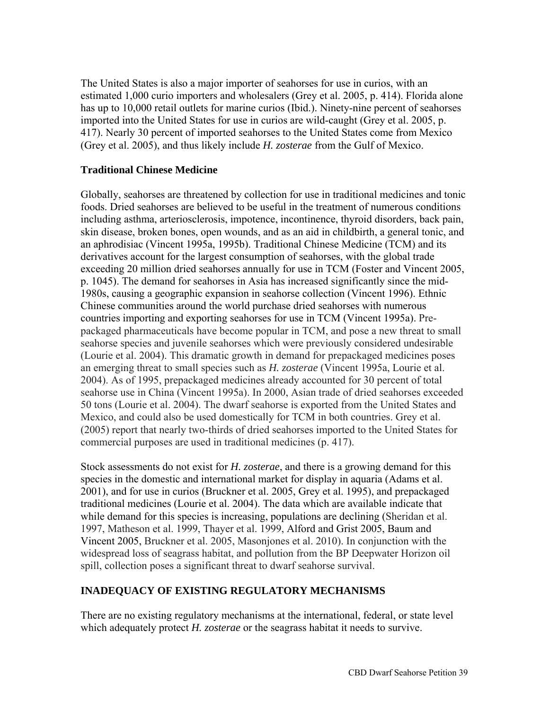The United States is also a major importer of seahorses for use in curios, with an estimated 1,000 curio importers and wholesalers (Grey et al. 2005, p. 414). Florida alone has up to 10,000 retail outlets for marine curios (Ibid.). Ninety-nine percent of seahorses imported into the United States for use in curios are wild-caught (Grey et al. 2005, p. 417). Nearly 30 percent of imported seahorses to the United States come from Mexico (Grey et al. 2005), and thus likely include *H. zosterae* from the Gulf of Mexico.

### **Traditional Chinese Medicine**

Globally, seahorses are threatened by collection for use in traditional medicines and tonic foods. Dried seahorses are believed to be useful in the treatment of numerous conditions including asthma, arteriosclerosis, impotence, incontinence, thyroid disorders, back pain, skin disease, broken bones, open wounds, and as an aid in childbirth, a general tonic, and an aphrodisiac (Vincent 1995a, 1995b). Traditional Chinese Medicine (TCM) and its derivatives account for the largest consumption of seahorses, with the global trade exceeding 20 million dried seahorses annually for use in TCM (Foster and Vincent 2005, p. 1045). The demand for seahorses in Asia has increased significantly since the mid-1980s, causing a geographic expansion in seahorse collection (Vincent 1996). Ethnic Chinese communities around the world purchase dried seahorses with numerous countries importing and exporting seahorses for use in TCM (Vincent 1995a). Prepackaged pharmaceuticals have become popular in TCM, and pose a new threat to small seahorse species and juvenile seahorses which were previously considered undesirable (Lourie et al. 2004). This dramatic growth in demand for prepackaged medicines poses an emerging threat to small species such as *H. zosterae* (Vincent 1995a, Lourie et al. 2004). As of 1995, prepackaged medicines already accounted for 30 percent of total seahorse use in China (Vincent 1995a). In 2000, Asian trade of dried seahorses exceeded 50 tons (Lourie et al. 2004). The dwarf seahorse is exported from the United States and Mexico, and could also be used domestically for TCM in both countries. Grey et al. (2005) report that nearly two-thirds of dried seahorses imported to the United States for commercial purposes are used in traditional medicines (p. 417).

Stock assessments do not exist for *H. zosterae*, and there is a growing demand for this species in the domestic and international market for display in aquaria (Adams et al. 2001), and for use in curios (Bruckner et al. 2005, Grey et al. 1995), and prepackaged traditional medicines (Lourie et al. 2004). The data which are available indicate that while demand for this species is increasing, populations are declining (Sheridan et al. 1997, Matheson et al. 1999, Thayer et al. 1999, Alford and Grist 2005, Baum and Vincent 2005, Bruckner et al. 2005, Masonjones et al. 2010). In conjunction with the widespread loss of seagrass habitat, and pollution from the BP Deepwater Horizon oil spill, collection poses a significant threat to dwarf seahorse survival.

### **INADEQUACY OF EXISTING REGULATORY MECHANISMS**

There are no existing regulatory mechanisms at the international, federal, or state level which adequately protect *H. zosterae* or the seagrass habitat it needs to survive.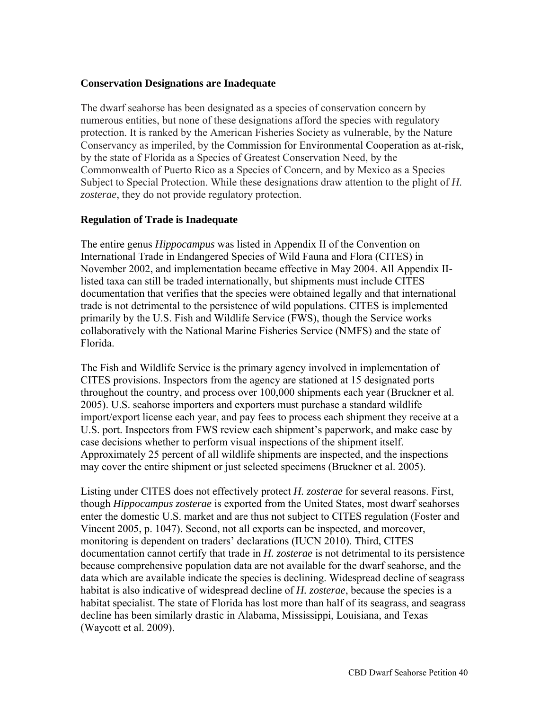#### **Conservation Designations are Inadequate**

The dwarf seahorse has been designated as a species of conservation concern by numerous entities, but none of these designations afford the species with regulatory protection. It is ranked by the American Fisheries Society as vulnerable, by the Nature Conservancy as imperiled, by the Commission for Environmental Cooperation as at-risk, by the state of Florida as a Species of Greatest Conservation Need, by the Commonwealth of Puerto Rico as a Species of Concern, and by Mexico as a Species Subject to Special Protection. While these designations draw attention to the plight of *H. zosterae*, they do not provide regulatory protection.

#### **Regulation of Trade is Inadequate**

The entire genus *Hippocampus* was listed in Appendix II of the Convention on International Trade in Endangered Species of Wild Fauna and Flora (CITES) in November 2002, and implementation became effective in May 2004. All Appendix IIlisted taxa can still be traded internationally, but shipments must include CITES documentation that verifies that the species were obtained legally and that international trade is not detrimental to the persistence of wild populations. CITES is implemented primarily by the U.S. Fish and Wildlife Service (FWS), though the Service works collaboratively with the National Marine Fisheries Service (NMFS) and the state of Florida.

The Fish and Wildlife Service is the primary agency involved in implementation of CITES provisions. Inspectors from the agency are stationed at 15 designated ports throughout the country, and process over 100,000 shipments each year (Bruckner et al. 2005). U.S. seahorse importers and exporters must purchase a standard wildlife import/export license each year, and pay fees to process each shipment they receive at a U.S. port. Inspectors from FWS review each shipment's paperwork, and make case by case decisions whether to perform visual inspections of the shipment itself. Approximately 25 percent of all wildlife shipments are inspected, and the inspections may cover the entire shipment or just selected specimens (Bruckner et al. 2005).

Listing under CITES does not effectively protect *H. zosterae* for several reasons. First, though *Hippocampus zosterae* is exported from the United States, most dwarf seahorses enter the domestic U.S. market and are thus not subject to CITES regulation (Foster and Vincent 2005, p. 1047). Second, not all exports can be inspected, and moreover, monitoring is dependent on traders' declarations (IUCN 2010). Third, CITES documentation cannot certify that trade in *H. zosterae* is not detrimental to its persistence because comprehensive population data are not available for the dwarf seahorse, and the data which are available indicate the species is declining. Widespread decline of seagrass habitat is also indicative of widespread decline of *H. zosterae*, because the species is a habitat specialist. The state of Florida has lost more than half of its seagrass, and seagrass decline has been similarly drastic in Alabama, Mississippi, Louisiana, and Texas (Waycott et al. 2009).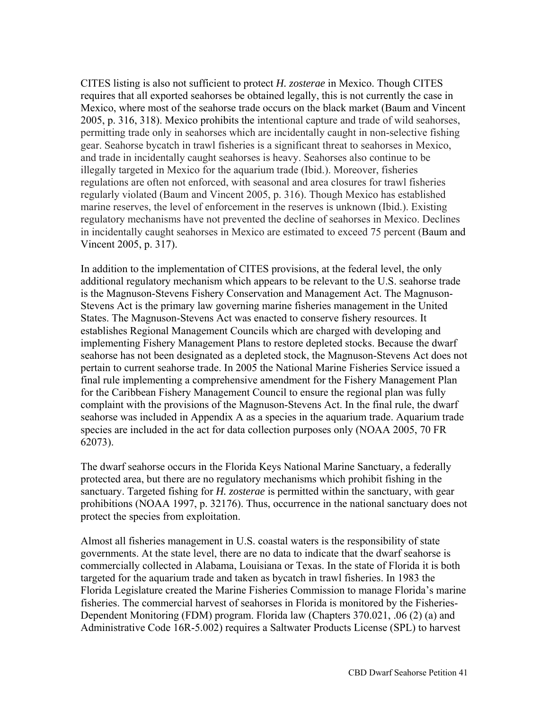CITES listing is also not sufficient to protect *H. zosterae* in Mexico. Though CITES requires that all exported seahorses be obtained legally, this is not currently the case in Mexico, where most of the seahorse trade occurs on the black market (Baum and Vincent 2005, p. 316, 318). Mexico prohibits the intentional capture and trade of wild seahorses, permitting trade only in seahorses which are incidentally caught in non-selective fishing gear. Seahorse bycatch in trawl fisheries is a significant threat to seahorses in Mexico, and trade in incidentally caught seahorses is heavy. Seahorses also continue to be illegally targeted in Mexico for the aquarium trade (Ibid.). Moreover, fisheries regulations are often not enforced, with seasonal and area closures for trawl fisheries regularly violated (Baum and Vincent 2005, p. 316). Though Mexico has established marine reserves, the level of enforcement in the reserves is unknown (Ibid.). Existing regulatory mechanisms have not prevented the decline of seahorses in Mexico. Declines in incidentally caught seahorses in Mexico are estimated to exceed 75 percent (Baum and Vincent 2005, p. 317).

In addition to the implementation of CITES provisions, at the federal level, the only additional regulatory mechanism which appears to be relevant to the U.S. seahorse trade is the Magnuson-Stevens Fishery Conservation and Management Act. The Magnuson-Stevens Act is the primary law governing marine fisheries management in the United States. The Magnuson-Stevens Act was enacted to conserve fishery resources. It establishes Regional Management Councils which are charged with developing and implementing Fishery Management Plans to restore depleted stocks. Because the dwarf seahorse has not been designated as a depleted stock, the Magnuson-Stevens Act does not pertain to current seahorse trade. In 2005 the National Marine Fisheries Service issued a final rule implementing a comprehensive amendment for the Fishery Management Plan for the Caribbean Fishery Management Council to ensure the regional plan was fully complaint with the provisions of the Magnuson-Stevens Act. In the final rule, the dwarf seahorse was included in Appendix A as a species in the aquarium trade. Aquarium trade species are included in the act for data collection purposes only (NOAA 2005, 70 FR 62073).

The dwarf seahorse occurs in the Florida Keys National Marine Sanctuary, a federally protected area, but there are no regulatory mechanisms which prohibit fishing in the sanctuary. Targeted fishing for *H. zosterae* is permitted within the sanctuary, with gear prohibitions (NOAA 1997, p. 32176). Thus, occurrence in the national sanctuary does not protect the species from exploitation.

Almost all fisheries management in U.S. coastal waters is the responsibility of state governments. At the state level, there are no data to indicate that the dwarf seahorse is commercially collected in Alabama, Louisiana or Texas. In the state of Florida it is both targeted for the aquarium trade and taken as bycatch in trawl fisheries. In 1983 the Florida Legislature created the Marine Fisheries Commission to manage Florida's marine fisheries. The commercial harvest of seahorses in Florida is monitored by the Fisheries-Dependent Monitoring (FDM) program. Florida law (Chapters 370.021, .06 (2) (a) and Administrative Code 16R-5.002) requires a Saltwater Products License (SPL) to harvest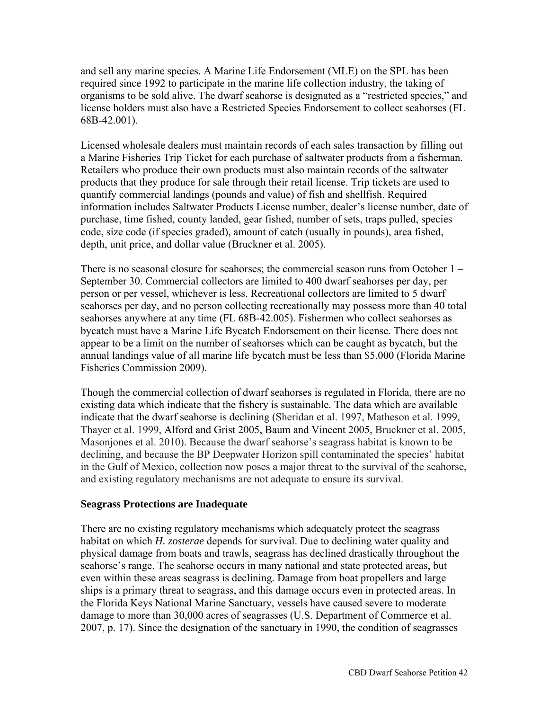and sell any marine species. A Marine Life Endorsement (MLE) on the SPL has been required since 1992 to participate in the marine life collection industry, the taking of organisms to be sold alive. The dwarf seahorse is designated as a "restricted species," and license holders must also have a Restricted Species Endorsement to collect seahorses (FL 68B-42.001).

Licensed wholesale dealers must maintain records of each sales transaction by filling out a Marine Fisheries Trip Ticket for each purchase of saltwater products from a fisherman. Retailers who produce their own products must also maintain records of the saltwater products that they produce for sale through their retail license. Trip tickets are used to quantify commercial landings (pounds and value) of fish and shellfish. Required information includes Saltwater Products License number, dealer's license number, date of purchase, time fished, county landed, gear fished, number of sets, traps pulled, species code, size code (if species graded), amount of catch (usually in pounds), area fished, depth, unit price, and dollar value (Bruckner et al. 2005).

There is no seasonal closure for seahorses; the commercial season runs from October 1 – September 30. Commercial collectors are limited to 400 dwarf seahorses per day, per person or per vessel, whichever is less. Recreational collectors are limited to 5 dwarf seahorses per day, and no person collecting recreationally may possess more than 40 total seahorses anywhere at any time (FL 68B-42.005). Fishermen who collect seahorses as bycatch must have a Marine Life Bycatch Endorsement on their license. There does not appear to be a limit on the number of seahorses which can be caught as bycatch, but the annual landings value of all marine life bycatch must be less than \$5,000 (Florida Marine Fisheries Commission 2009).

Though the commercial collection of dwarf seahorses is regulated in Florida, there are no existing data which indicate that the fishery is sustainable. The data which are available indicate that the dwarf seahorse is declining (Sheridan et al. 1997, Matheson et al. 1999, Thayer et al. 1999, Alford and Grist 2005, Baum and Vincent 2005, Bruckner et al. 2005, Masonjones et al. 2010). Because the dwarf seahorse's seagrass habitat is known to be declining, and because the BP Deepwater Horizon spill contaminated the species' habitat in the Gulf of Mexico, collection now poses a major threat to the survival of the seahorse, and existing regulatory mechanisms are not adequate to ensure its survival.

#### **Seagrass Protections are Inadequate**

There are no existing regulatory mechanisms which adequately protect the seagrass habitat on which *H. zosterae* depends for survival. Due to declining water quality and physical damage from boats and trawls, seagrass has declined drastically throughout the seahorse's range. The seahorse occurs in many national and state protected areas, but even within these areas seagrass is declining. Damage from boat propellers and large ships is a primary threat to seagrass, and this damage occurs even in protected areas. In the Florida Keys National Marine Sanctuary, vessels have caused severe to moderate damage to more than 30,000 acres of seagrasses (U.S. Department of Commerce et al. 2007, p. 17). Since the designation of the sanctuary in 1990, the condition of seagrasses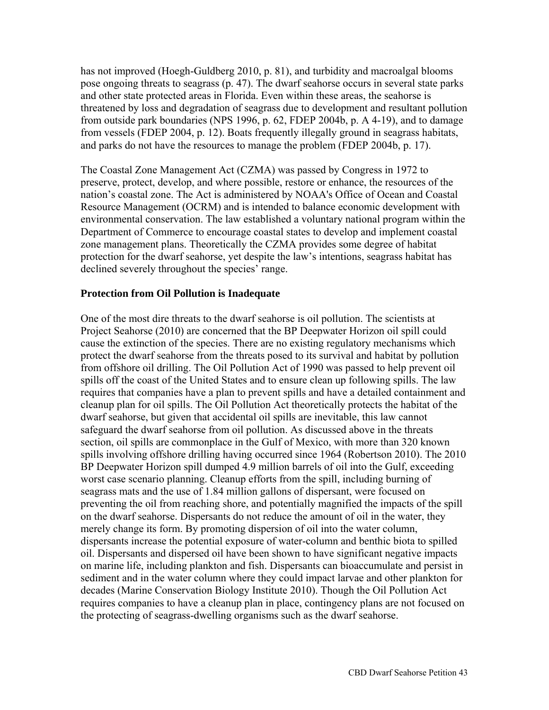has not improved (Hoegh-Guldberg 2010, p. 81), and turbidity and macroalgal blooms pose ongoing threats to seagrass (p. 47). The dwarf seahorse occurs in several state parks and other state protected areas in Florida. Even within these areas, the seahorse is threatened by loss and degradation of seagrass due to development and resultant pollution from outside park boundaries (NPS 1996, p. 62, FDEP 2004b, p. A 4-19), and to damage from vessels (FDEP 2004, p. 12). Boats frequently illegally ground in seagrass habitats, and parks do not have the resources to manage the problem (FDEP 2004b, p. 17).

The Coastal Zone Management Act (CZMA) was passed by Congress in 1972 to preserve, protect, develop, and where possible, restore or enhance, the resources of the nation's coastal zone. The Act is administered by NOAA's Office of Ocean and Coastal Resource Management (OCRM) and is intended to balance economic development with environmental conservation. The law established a voluntary national program within the Department of Commerce to encourage coastal states to develop and implement coastal zone management plans. Theoretically the CZMA provides some degree of habitat protection for the dwarf seahorse, yet despite the law's intentions, seagrass habitat has declined severely throughout the species' range.

#### **Protection from Oil Pollution is Inadequate**

One of the most dire threats to the dwarf seahorse is oil pollution. The scientists at Project Seahorse (2010) are concerned that the BP Deepwater Horizon oil spill could cause the extinction of the species. There are no existing regulatory mechanisms which protect the dwarf seahorse from the threats posed to its survival and habitat by pollution from offshore oil drilling. The Oil Pollution Act of 1990 was passed to help prevent oil spills off the coast of the United States and to ensure clean up following spills. The law requires that companies have a plan to prevent spills and have a detailed containment and cleanup plan for oil spills. The Oil Pollution Act theoretically protects the habitat of the dwarf seahorse, but given that accidental oil spills are inevitable, this law cannot safeguard the dwarf seahorse from oil pollution. As discussed above in the threats section, oil spills are commonplace in the Gulf of Mexico, with more than 320 known spills involving offshore drilling having occurred since 1964 (Robertson 2010). The 2010 BP Deepwater Horizon spill dumped 4.9 million barrels of oil into the Gulf, exceeding worst case scenario planning. Cleanup efforts from the spill, including burning of seagrass mats and the use of 1.84 million gallons of dispersant, were focused on preventing the oil from reaching shore, and potentially magnified the impacts of the spill on the dwarf seahorse. Dispersants do not reduce the amount of oil in the water, they merely change its form. By promoting dispersion of oil into the water column, dispersants increase the potential exposure of water-column and benthic biota to spilled oil. Dispersants and dispersed oil have been shown to have significant negative impacts on marine life, including plankton and fish. Dispersants can bioaccumulate and persist in sediment and in the water column where they could impact larvae and other plankton for decades (Marine Conservation Biology Institute 2010). Though the Oil Pollution Act requires companies to have a cleanup plan in place, contingency plans are not focused on the protecting of seagrass-dwelling organisms such as the dwarf seahorse.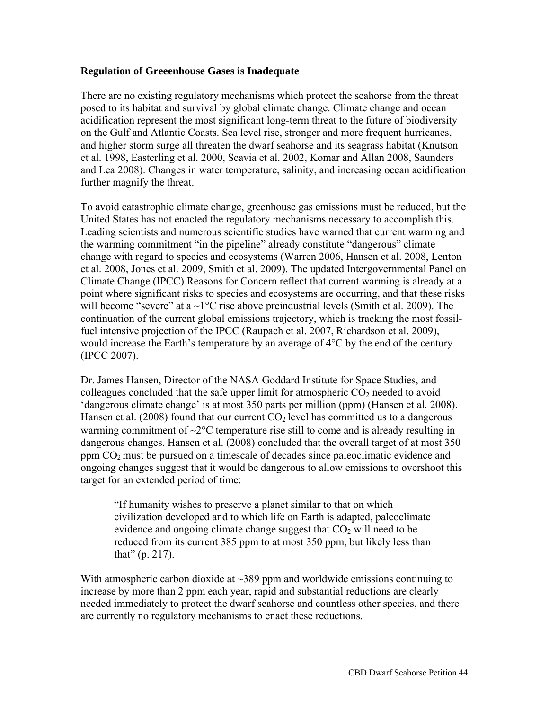#### **Regulation of Greeenhouse Gases is Inadequate**

There are no existing regulatory mechanisms which protect the seahorse from the threat posed to its habitat and survival by global climate change. Climate change and ocean acidification represent the most significant long-term threat to the future of biodiversity on the Gulf and Atlantic Coasts. Sea level rise, stronger and more frequent hurricanes, and higher storm surge all threaten the dwarf seahorse and its seagrass habitat (Knutson et al. 1998, Easterling et al. 2000, Scavia et al. 2002, Komar and Allan 2008, Saunders and Lea 2008). Changes in water temperature, salinity, and increasing ocean acidification further magnify the threat.

To avoid catastrophic climate change, greenhouse gas emissions must be reduced, but the United States has not enacted the regulatory mechanisms necessary to accomplish this. Leading scientists and numerous scientific studies have warned that current warming and the warming commitment "in the pipeline" already constitute "dangerous" climate change with regard to species and ecosystems (Warren 2006, Hansen et al. 2008, Lenton et al. 2008, Jones et al. 2009, Smith et al. 2009). The updated Intergovernmental Panel on Climate Change (IPCC) Reasons for Concern reflect that current warming is already at a point where significant risks to species and ecosystems are occurring, and that these risks will become "severe" at a  $\sim$ 1°C rise above preindustrial levels (Smith et al. 2009). The continuation of the current global emissions trajectory, which is tracking the most fossilfuel intensive projection of the IPCC (Raupach et al. 2007, Richardson et al. 2009), would increase the Earth's temperature by an average of 4°C by the end of the century (IPCC 2007).

Dr. James Hansen, Director of the NASA Goddard Institute for Space Studies, and colleagues concluded that the safe upper limit for atmospheric  $CO<sub>2</sub>$  needed to avoid 'dangerous climate change' is at most 350 parts per million (ppm) (Hansen et al. 2008). Hansen et al. (2008) found that our current  $CO<sub>2</sub>$  level has committed us to a dangerous warming commitment of  $\sim$ 2 $\degree$ C temperature rise still to come and is already resulting in dangerous changes. Hansen et al. (2008) concluded that the overall target of at most 350 ppm  $CO<sub>2</sub>$  must be pursued on a timescale of decades since paleoclimatic evidence and ongoing changes suggest that it would be dangerous to allow emissions to overshoot this target for an extended period of time:

"If humanity wishes to preserve a planet similar to that on which civilization developed and to which life on Earth is adapted, paleoclimate evidence and ongoing climate change suggest that  $CO<sub>2</sub>$  will need to be reduced from its current 385 ppm to at most 350 ppm, but likely less than that" (p. 217).

With atmospheric carbon dioxide at  $\sim$ 389 ppm and worldwide emissions continuing to increase by more than 2 ppm each year, rapid and substantial reductions are clearly needed immediately to protect the dwarf seahorse and countless other species, and there are currently no regulatory mechanisms to enact these reductions.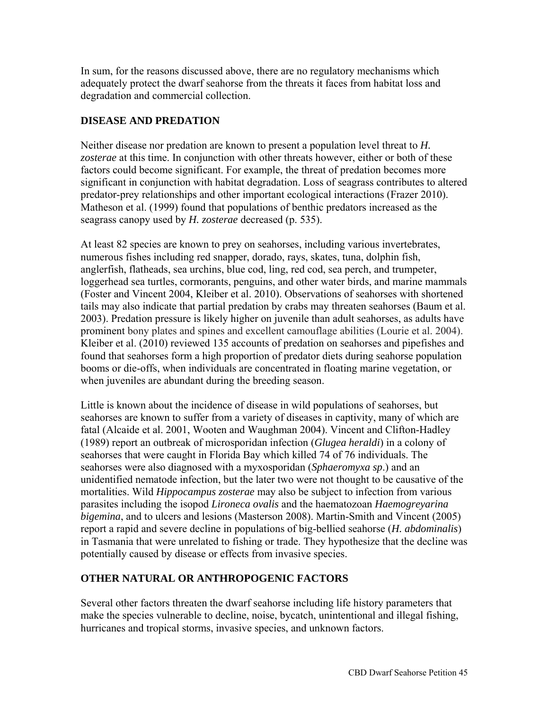In sum, for the reasons discussed above, there are no regulatory mechanisms which adequately protect the dwarf seahorse from the threats it faces from habitat loss and degradation and commercial collection.

## **DISEASE AND PREDATION**

Neither disease nor predation are known to present a population level threat to *H. zosterae* at this time. In conjunction with other threats however, either or both of these factors could become significant. For example, the threat of predation becomes more significant in conjunction with habitat degradation. Loss of seagrass contributes to altered predator-prey relationships and other important ecological interactions (Frazer 2010). Matheson et al. (1999) found that populations of benthic predators increased as the seagrass canopy used by *H. zosterae* decreased (p. 535).

At least 82 species are known to prey on seahorses, including various invertebrates, numerous fishes including red snapper, dorado, rays, skates, tuna, dolphin fish, anglerfish, flatheads, sea urchins, blue cod, ling, red cod, sea perch, and trumpeter, loggerhead sea turtles, cormorants, penguins, and other water birds, and marine mammals (Foster and Vincent 2004, Kleiber et al. 2010). Observations of seahorses with shortened tails may also indicate that partial predation by crabs may threaten seahorses (Baum et al. 2003). Predation pressure is likely higher on juvenile than adult seahorses, as adults have prominent bony plates and spines and excellent camouflage abilities (Lourie et al. 2004). Kleiber et al. (2010) reviewed 135 accounts of predation on seahorses and pipefishes and found that seahorses form a high proportion of predator diets during seahorse population booms or die-offs, when individuals are concentrated in floating marine vegetation, or when juveniles are abundant during the breeding season.

Little is known about the incidence of disease in wild populations of seahorses, but seahorses are known to suffer from a variety of diseases in captivity, many of which are fatal (Alcaide et al. 2001, Wooten and Waughman 2004). Vincent and Clifton-Hadley (1989) report an outbreak of microsporidan infection (*Glugea heraldi*) in a colony of seahorses that were caught in Florida Bay which killed 74 of 76 individuals. The seahorses were also diagnosed with a myxosporidan (*Sphaeromyxa sp*.) and an unidentified nematode infection, but the later two were not thought to be causative of the mortalities. Wild *Hippocampus zosterae* may also be subject to infection from various parasites including the isopod *Lironeca ovalis* and the haematozoan *Haemogreyarina bigemina*, and to ulcers and lesions (Masterson 2008). Martin-Smith and Vincent (2005) report a rapid and severe decline in populations of big-bellied seahorse (*H. abdominalis*) in Tasmania that were unrelated to fishing or trade. They hypothesize that the decline was potentially caused by disease or effects from invasive species.

## **OTHER NATURAL OR ANTHROPOGENIC FACTORS**

Several other factors threaten the dwarf seahorse including life history parameters that make the species vulnerable to decline, noise, bycatch, unintentional and illegal fishing, hurricanes and tropical storms, invasive species, and unknown factors.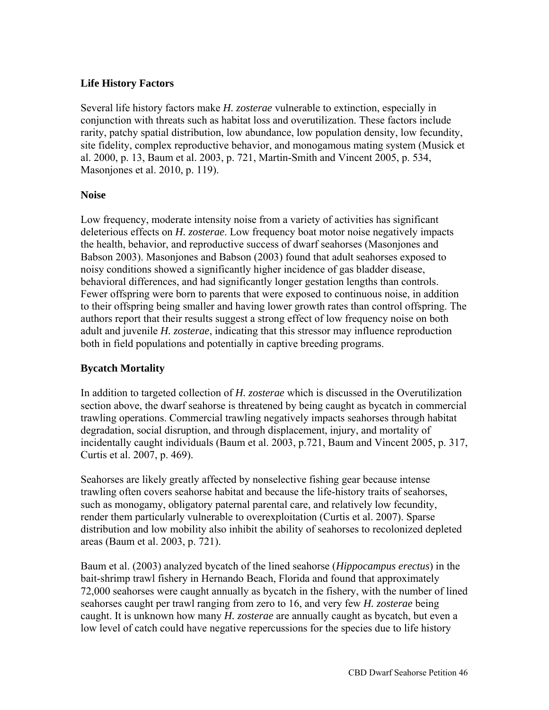### **Life History Factors**

Several life history factors make *H. zosterae* vulnerable to extinction, especially in conjunction with threats such as habitat loss and overutilization. These factors include rarity, patchy spatial distribution, low abundance, low population density, low fecundity, site fidelity, complex reproductive behavior, and monogamous mating system (Musick et al. 2000, p. 13, Baum et al. 2003, p. 721, Martin-Smith and Vincent 2005, p. 534, Masonjones et al. 2010, p. 119).

### **Noise**

Low frequency, moderate intensity noise from a variety of activities has significant deleterious effects on *H. zosterae*. Low frequency boat motor noise negatively impacts the health, behavior, and reproductive success of dwarf seahorses (Masonjones and Babson 2003). Masonjones and Babson (2003) found that adult seahorses exposed to noisy conditions showed a significantly higher incidence of gas bladder disease, behavioral differences, and had significantly longer gestation lengths than controls. Fewer offspring were born to parents that were exposed to continuous noise, in addition to their offspring being smaller and having lower growth rates than control offspring. The authors report that their results suggest a strong effect of low frequency noise on both adult and juvenile *H. zosterae*, indicating that this stressor may influence reproduction both in field populations and potentially in captive breeding programs.

### **Bycatch Mortality**

In addition to targeted collection of *H. zosterae* which is discussed in the Overutilization section above, the dwarf seahorse is threatened by being caught as bycatch in commercial trawling operations. Commercial trawling negatively impacts seahorses through habitat degradation, social disruption, and through displacement, injury, and mortality of incidentally caught individuals (Baum et al. 2003, p.721, Baum and Vincent 2005, p. 317, Curtis et al. 2007, p. 469).

Seahorses are likely greatly affected by nonselective fishing gear because intense trawling often covers seahorse habitat and because the life-history traits of seahorses, such as monogamy, obligatory paternal parental care, and relatively low fecundity, render them particularly vulnerable to overexploitation (Curtis et al. 2007). Sparse distribution and low mobility also inhibit the ability of seahorses to recolonized depleted areas (Baum et al. 2003, p. 721).

Baum et al. (2003) analyzed bycatch of the lined seahorse (*Hippocampus erectus*) in the bait-shrimp trawl fishery in Hernando Beach, Florida and found that approximately 72,000 seahorses were caught annually as bycatch in the fishery, with the number of lined seahorses caught per trawl ranging from zero to 16, and very few *H. zosterae* being caught. It is unknown how many *H. zosterae* are annually caught as bycatch, but even a low level of catch could have negative repercussions for the species due to life history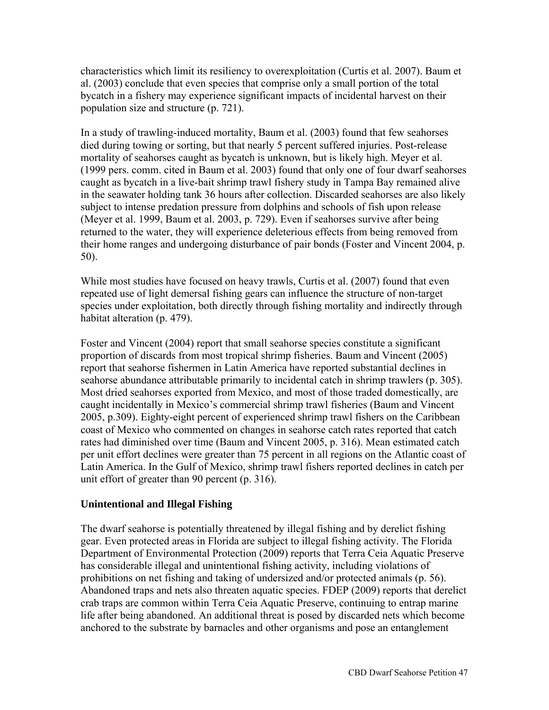characteristics which limit its resiliency to overexploitation (Curtis et al. 2007). Baum et al. (2003) conclude that even species that comprise only a small portion of the total bycatch in a fishery may experience significant impacts of incidental harvest on their population size and structure (p. 721).

In a study of trawling-induced mortality, Baum et al. (2003) found that few seahorses died during towing or sorting, but that nearly 5 percent suffered injuries. Post-release mortality of seahorses caught as bycatch is unknown, but is likely high. Meyer et al. (1999 pers. comm. cited in Baum et al. 2003) found that only one of four dwarf seahorses caught as bycatch in a live-bait shrimp trawl fishery study in Tampa Bay remained alive in the seawater holding tank 36 hours after collection. Discarded seahorses are also likely subject to intense predation pressure from dolphins and schools of fish upon release (Meyer et al. 1999, Baum et al. 2003, p. 729). Even if seahorses survive after being returned to the water, they will experience deleterious effects from being removed from their home ranges and undergoing disturbance of pair bonds (Foster and Vincent 2004, p. 50).

While most studies have focused on heavy trawls, Curtis et al. (2007) found that even repeated use of light demersal fishing gears can influence the structure of non-target species under exploitation, both directly through fishing mortality and indirectly through habitat alteration (p. 479).

Foster and Vincent (2004) report that small seahorse species constitute a significant proportion of discards from most tropical shrimp fisheries. Baum and Vincent (2005) report that seahorse fishermen in Latin America have reported substantial declines in seahorse abundance attributable primarily to incidental catch in shrimp trawlers (p. 305). Most dried seahorses exported from Mexico, and most of those traded domestically, are caught incidentally in Mexico's commercial shrimp trawl fisheries (Baum and Vincent 2005, p.309). Eighty-eight percent of experienced shrimp trawl fishers on the Caribbean coast of Mexico who commented on changes in seahorse catch rates reported that catch rates had diminished over time (Baum and Vincent 2005, p. 316). Mean estimated catch per unit effort declines were greater than 75 percent in all regions on the Atlantic coast of Latin America. In the Gulf of Mexico, shrimp trawl fishers reported declines in catch per unit effort of greater than 90 percent (p. 316).

### **Unintentional and Illegal Fishing**

The dwarf seahorse is potentially threatened by illegal fishing and by derelict fishing gear. Even protected areas in Florida are subject to illegal fishing activity. The Florida Department of Environmental Protection (2009) reports that Terra Ceia Aquatic Preserve has considerable illegal and unintentional fishing activity, including violations of prohibitions on net fishing and taking of undersized and/or protected animals (p. 56). Abandoned traps and nets also threaten aquatic species. FDEP (2009) reports that derelict crab traps are common within Terra Ceia Aquatic Preserve, continuing to entrap marine life after being abandoned. An additional threat is posed by discarded nets which become anchored to the substrate by barnacles and other organisms and pose an entanglement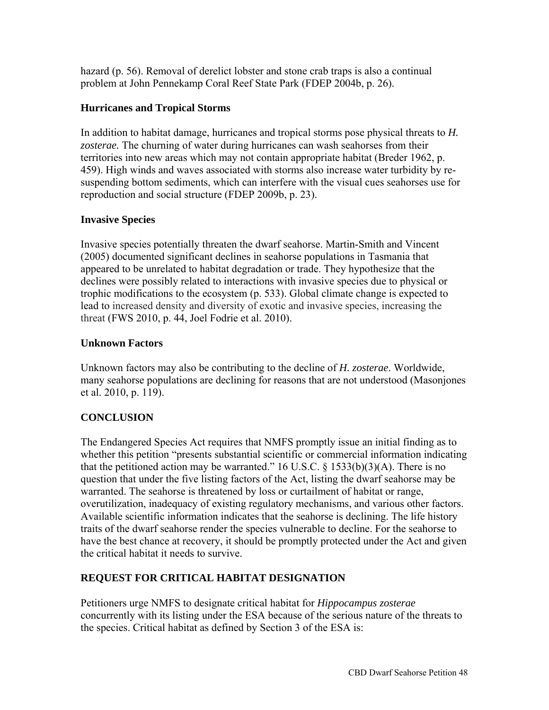hazard (p. 56). Removal of derelict lobster and stone crab traps is also a continual problem at John Pennekamp Coral Reef State Park (FDEP 2004b, p. 26).

## **Hurricanes and Tropical Storms**

In addition to habitat damage, hurricanes and tropical storms pose physical threats to *H. zosterae.* The churning of water during hurricanes can wash seahorses from their territories into new areas which may not contain appropriate habitat (Breder 1962, p. 459). High winds and waves associated with storms also increase water turbidity by resuspending bottom sediments, which can interfere with the visual cues seahorses use for reproduction and social structure (FDEP 2009b, p. 23).

## **Invasive Species**

Invasive species potentially threaten the dwarf seahorse. Martin-Smith and Vincent (2005) documented significant declines in seahorse populations in Tasmania that appeared to be unrelated to habitat degradation or trade. They hypothesize that the declines were possibly related to interactions with invasive species due to physical or trophic modifications to the ecosystem (p. 533). Global climate change is expected to lead to increased density and diversity of exotic and invasive species, increasing the threat (FWS 2010, p. 44, Joel Fodrie et al. 2010).

## **Unknown Factors**

Unknown factors may also be contributing to the decline of *H. zosterae*. Worldwide, many seahorse populations are declining for reasons that are not understood (Masonjones et al. 2010, p. 119).

## **CONCLUSION**

The Endangered Species Act requires that NMFS promptly issue an initial finding as to whether this petition "presents substantial scientific or commercial information indicating that the petitioned action may be warranted." 16 U.S.C.  $\S$  1533(b)(3)(A). There is no question that under the five listing factors of the Act, listing the dwarf seahorse may be warranted. The seahorse is threatened by loss or curtailment of habitat or range, overutilization, inadequacy of existing regulatory mechanisms, and various other factors. Available scientific information indicates that the seahorse is declining. The life history traits of the dwarf seahorse render the species vulnerable to decline. For the seahorse to have the best chance at recovery, it should be promptly protected under the Act and given the critical habitat it needs to survive.

## **REQUEST FOR CRITICAL HABITAT DESIGNATION**

Petitioners urge NMFS to designate critical habitat for *Hippocampus zosterae* concurrently with its listing under the ESA because of the serious nature of the threats to the species. Critical habitat as defined by Section 3 of the ESA is: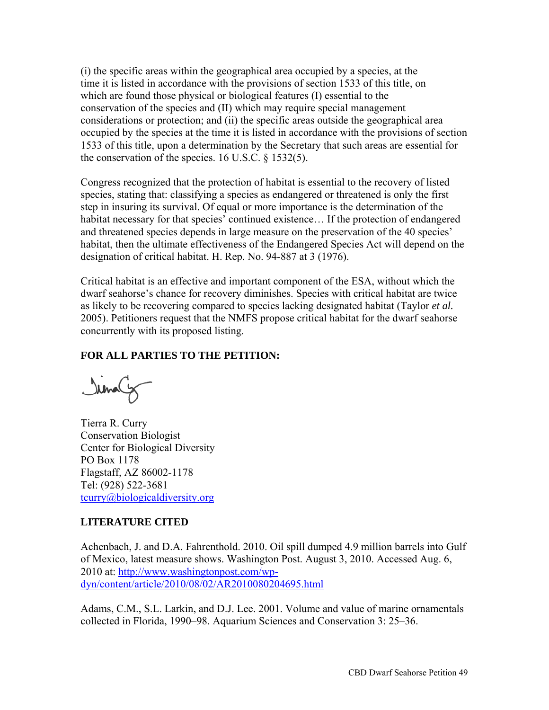(i) the specific areas within the geographical area occupied by a species, at the time it is listed in accordance with the provisions of section 1533 of this title, on which are found those physical or biological features (I) essential to the conservation of the species and (II) which may require special management considerations or protection; and (ii) the specific areas outside the geographical area occupied by the species at the time it is listed in accordance with the provisions of section 1533 of this title, upon a determination by the Secretary that such areas are essential for the conservation of the species. 16 U.S.C. § 1532(5).

Congress recognized that the protection of habitat is essential to the recovery of listed species, stating that: classifying a species as endangered or threatened is only the first step in insuring its survival. Of equal or more importance is the determination of the habitat necessary for that species' continued existence... If the protection of endangered and threatened species depends in large measure on the preservation of the 40 species' habitat, then the ultimate effectiveness of the Endangered Species Act will depend on the designation of critical habitat. H. Rep. No. 94-887 at 3 (1976).

Critical habitat is an effective and important component of the ESA, without which the dwarf seahorse's chance for recovery diminishes. Species with critical habitat are twice as likely to be recovering compared to species lacking designated habitat (Taylor *et al.*  2005). Petitioners request that the NMFS propose critical habitat for the dwarf seahorse concurrently with its proposed listing.

## **FOR ALL PARTIES TO THE PETITION:**

Irmaly

Tierra R. Curry Conservation Biologist Center for Biological Diversity PO Box 1178 Flagstaff, AZ 86002-1178 Tel: (928) 522-3681 [tcurry@biologicaldiversity.org](mailto:tcurry@biologicaldiversity.org)

## **LITERATURE CITED**

Achenbach, J. and D.A. Fahrenthold. 2010. Oil spill dumped 4.9 million barrels into Gulf of Mexico, latest measure shows. Washington Post. August 3, 2010. Accessed Aug. 6, 2010 at: [http://www.washingtonpost.com/wp](http://www.washingtonpost.com/wp-dyn/CBD)[dyn/content/article/2010/08/02/AR20100802046](http://www.washingtonpost.com/wp-dyn/CBD)95.html

Adams, C.M., S.L. Larkin, and D.J. Lee. 2001. Volume and value of marine ornamentals collected in Florida, 1990–98. Aquarium Sciences and Conservation 3: 25–36.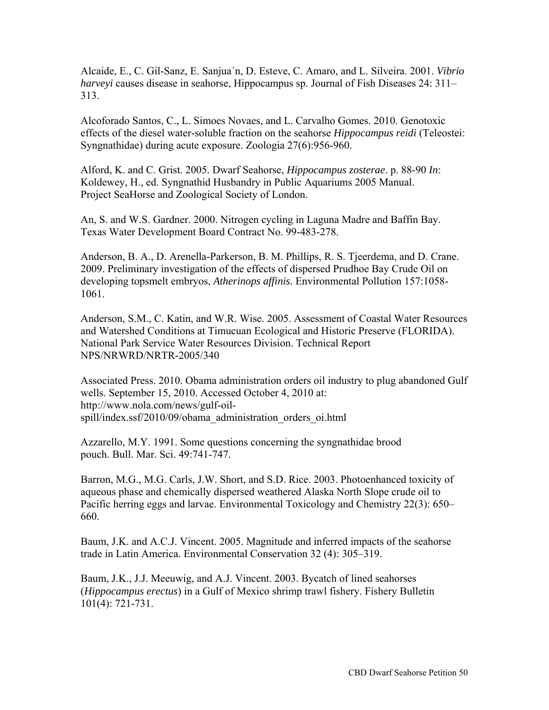Alcaide, E., C. Gil-Sanz, E. Sanjua´n, D. Esteve, C. Amaro, and L. Silveira. 2001. *Vibrio harveyi* causes disease in seahorse, Hippocampus sp. Journal of Fish Diseases 24: 311– 313.

Alcoforado Santos, C., L. Simoes Novaes, and L. Carvalho Gomes. 2010. Genotoxic effects of the diesel water-soluble fraction on the seahorse *Hippocampus reidi* (Teleostei: Syngnathidae) during acute exposure. Zoologia 27(6):956-960.

Alford, K. and C. Grist. 2005. Dwarf Seahorse, *Hippocampus zosterae*. p. 88-90 *In*: Koldewey, H., ed. Syngnathid Husbandry in Public Aquariums 2005 Manual. Project SeaHorse and Zoological Society of London.

An, S. and W.S. Gardner. 2000. Nitrogen cycling in Laguna Madre and Baffin Bay. Texas Water Development Board Contract No. 99-483-278.

Anderson, B. A., D. Arenella-Parkerson, B. M. Phillips, R. S. Tjeerdema, and D. Crane. 2009. Preliminary investigation of the effects of dispersed Prudhoe Bay Crude Oil on developing topsmelt embryos, *Atherinops affinis*. Environmental Pollution 157:1058- 1061.

Anderson, S.M., C. Katin, and W.R. Wise. 2005. Assessment of Coastal Water Resources and Watershed Conditions at Timucuan Ecological and Historic Preserve (FLORIDA). National Park Service Water Resources Division. Technical Report NPS/NRWRD/NRTR-2005/340

Associated Press. 2010. Obama administration orders oil industry to plug abandoned Gulf wells. September 15, 2010. Accessed October 4, 2010 at: [http://www.nola.com/news/gulf-oil](http://www.nola.com/news/gulf-oil-spill/CBD)[spill/index.ssf/2010/09/obama\\_adminis](http://www.nola.com/news/gulf-oil-spill/CBD)tration\_orders\_oi.html

Azzarello, M.Y. 1991. Some questions concerning the syngnathidae brood pouch. Bull. Mar. Sci. 49:741-747.

Barron, M.G., M.G. Carls, J.W. Short, and S.D. Rice. 2003. Photoenhanced toxicity of aqueous phase and chemically dispersed weathered Alaska North Slope crude oil to Pacific herring eggs and larvae. Environmental Toxicology and Chemistry 22(3): 650– 660.

Baum, J.K. and A.C.J. Vincent. 2005. Magnitude and inferred impacts of the seahorse trade in Latin America. Environmental Conservation 32 (4): 305–319.

Baum, J.K., J.J. Meeuwig, and A.J. Vincent. 2003. Bycatch of lined seahorses (*Hippocampus erectus*) in a Gulf of Mexico shrimp trawl fishery. Fishery Bulletin 101(4): 721-731.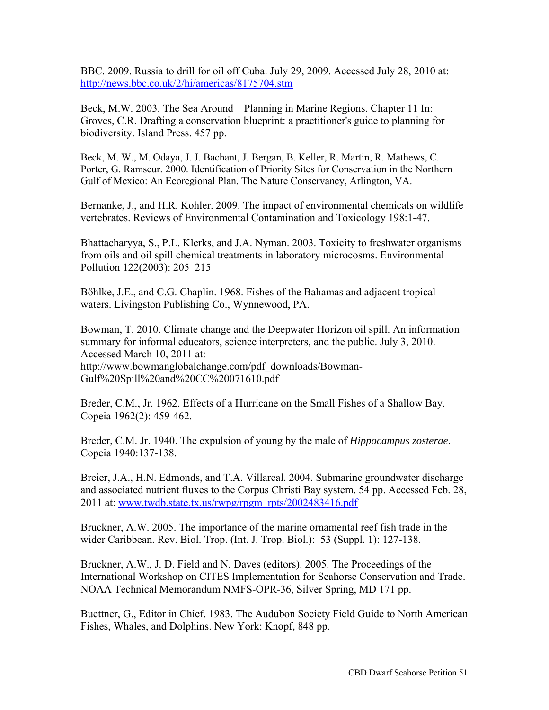BBC. 2009. Russia to drill for oil off Cuba. July 29, 2009. Accessed July 28, 2010 at: <http://news.bbc.co.uk/2/hi/americas/8175704.stm>

Beck, M.W. 2003. The Sea Around—Planning in Marine Regions. Chapter 11 In: Groves, C.R. Drafting a conservation blueprint: a practitioner's guide to planning for biodiversity. Island Press. 457 pp.

Beck, M. W., M. Odaya, J. J. Bachant, J. Bergan, B. Keller, R. Martin, R. Mathews, C. Porter, G. Ramseur. 2000. Identification of Priority Sites for Conservation in the Northern Gulf of Mexico: An Ecoregional Plan. The Nature Conservancy, Arlington, VA.

Bernanke, J., and H.R. Kohler. 2009. The impact of environmental chemicals on wildlife vertebrates. Reviews of Environmental Contamination and Toxicology 198:1-47.

Bhattacharyya, S., P.L. Klerks, and J.A. Nyman. 2003. Toxicity to freshwater organisms from oils and oil spill chemical treatments in laboratory microcosms. Environmental Pollution 122(2003): 205–215

Böhlke, J.E., and C.G. Chaplin. 1968. Fishes of the Bahamas and adjacent tropical waters. Livingston Publishing Co., Wynnewood, PA.

Bowman, T. 2010. Climate change and the Deepwater Horizon oil spill. An information summary for informal educators, science interpreters, and the public. July 3, 2010. Accessed March 10, 2011 at: [http://www.bowmanglobalchange.com/pdf\\_downloads/Bowman-](http://www.bowmanglobalchange.com/pdf_downloads/Bowman-Gulf%20Spill%20and%20CC%20071610.pdf)[Gulf%20Spill%20and%20CC%20071610.pdf](http://www.bowmanglobalchange.com/pdf_downloads/Bowman-Gulf%20Spill%20and%20CC%20071610.pdf) 

Breder, C.M., Jr. 1962. Effects of a Hurricane on the Small Fishes of a Shallow Bay. Copeia 1962(2): 459-462.

Breder, C.M. Jr. 1940. The expulsion of young by the male of *Hippocampus zosterae*. Copeia 1940:137-138.

Breier, J.A., H.N. Edmonds, and T.A. Villareal. 2004. Submarine groundwater discharge and associated nutrient fluxes to the Corpus Christi Bay system. 54 pp. Accessed Feb. 28, 2011 at: [www.twdb.state.tx.us/rwpg/rpgm\\_rpts/2002483416.pdf](http://www.twdb.state.tx.us/rwpg/rpgm_rpts/2002483416.pdf)

Bruckner, A.W. 2005. The importance of the marine ornamental reef fish trade in the wider Caribbean. Rev. Biol. Trop. (Int. J. Trop. Biol.): 53 (Suppl. 1): 127-138.

Bruckner, A.W., J. D. Field and N. Daves (editors). 2005. The Proceedings of the International Workshop on CITES Implementation for Seahorse Conservation and Trade. NOAA Technical Memorandum NMFS-OPR-36, Silver Spring, MD 171 pp.

Buettner, G., Editor in Chief. 1983. The Audubon Society Field Guide to North American Fishes, Whales, and Dolphins. New York: Knopf, 848 pp.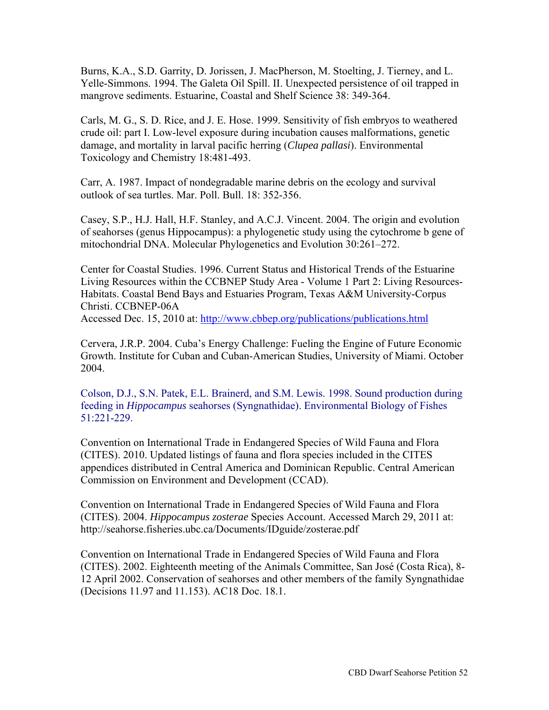Burns, K.A., S.D. Garrity, D. Jorissen, J. MacPherson, M. Stoelting, J. Tierney, and L. Yelle-Simmons. 1994. The Galeta Oil Spill. II. Unexpected persistence of oil trapped in mangrove sediments. Estuarine, Coastal and Shelf Science 38: 349-364.

Carls, M. G., S. D. Rice, and J. E. Hose. 1999. Sensitivity of fish embryos to weathered crude oil: part I. Low-level exposure during incubation causes malformations, genetic damage, and mortality in larval pacific herring (*Clupea pallasi*). Environmental Toxicology and Chemistry 18:481-493.

Carr, A. 1987. Impact of nondegradable marine debris on the ecology and survival outlook of sea turtles. Mar. Poll. Bull. 18: 352-356.

Casey, S.P., H.J. Hall, H.F. Stanley, and A.C.J. Vincent. 2004. The origin and evolution of seahorses (genus Hippocampus): a phylogenetic study using the cytochrome b gene of mitochondrial DNA. Molecular Phylogenetics and Evolution 30:261–272.

Center for Coastal Studies. 1996. Current Status and Historical Trends of the Estuarine Living Resources within the CCBNEP Study Area - Volume 1 Part 2: Living Resources-Habitats. Coastal Bend Bays and Estuaries Program, Texas A&M University-Corpus Christi. CCBNEP-06A

Accessed Dec. 15, 2010 at: <http://www.cbbep.org/publications/publications.html>

Cervera, J.R.P. 2004. Cuba's Energy Challenge: Fueling the Engine of Future Economic Growth. Institute for Cuban and Cuban-American Studies, University of Miami. October 2004.

Colson, D.J., S.N. Patek, E.L. Brainerd, and S.M. Lewis. 1998. Sound production during feeding in *Hippocampus* seahorses (Syngnathidae). Environmental Biology of Fishes 51:221-229.

Convention on International Trade in Endangered Species of Wild Fauna and Flora (CITES). 2010. Updated listings of fauna and flora species included in the CITES appendices distributed in Central America and Dominican Republic. Central American Commission on Environment and Development (CCAD).

Convention on International Trade in Endangered Species of Wild Fauna and Flora (CITES). 2004. *Hippocampus zosterae* Species Account. Accessed March 29, 2011 at: <http://seahorse.fisheries.ubc.ca/Documents/IDguide/zosterae.pdf>

Convention on International Trade in Endangered Species of Wild Fauna and Flora (CITES). 2002. Eighteenth meeting of the Animals Committee, San José (Costa Rica), 8- 12 April 2002. Conservation of seahorses and other members of the family Syngnathidae (Decisions 11.97 and 11.153). AC18 Doc. 18.1.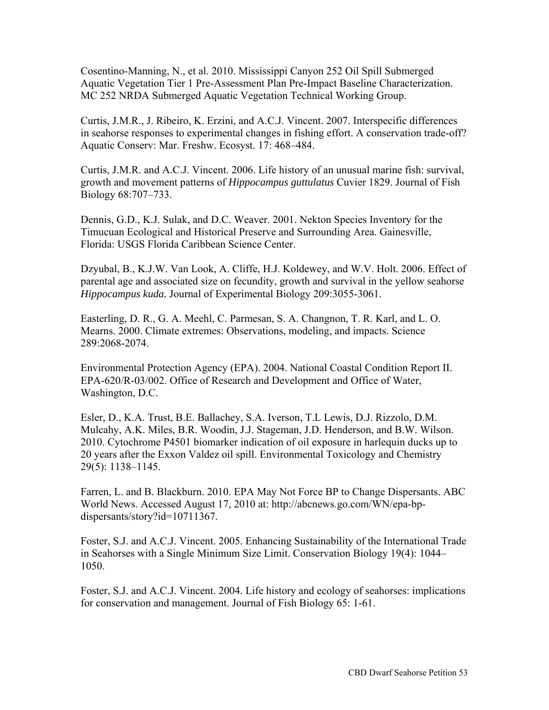Cosentino-Manning, N., et al. 2010. Mississippi Canyon 252 Oil Spill Submerged Aquatic Vegetation Tier 1 Pre-Assessment Plan Pre-Impact Baseline Characterization. MC 252 NRDA Submerged Aquatic Vegetation Technical Working Group.

Curtis, J.M.R., J. Ribeiro, K. Erzini, and A.C.J. Vincent. 2007. Interspecific differences in seahorse responses to experimental changes in fishing effort. A conservation trade-off? Aquatic Conserv: Mar. Freshw. Ecosyst. 17: 468–484.

Curtis, J.M.R. and A.C.J. Vincent. 2006. Life history of an unusual marine fish: survival, growth and movement patterns of *Hippocampus guttulatus* Cuvier 1829. Journal of Fish Biology 68:707–733.

Dennis, G.D., K.J. Sulak, and D.C. Weaver. 2001. Nekton Species Inventory for the Timucuan Ecological and Historical Preserve and Surrounding Area. Gainesville, Florida: USGS Florida Caribbean Science Center.

Dzyubal, B., K.J.W. Van Look, A. Cliffe, H.J. Koldewey, and W.V. Holt. 2006. Effect of parental age and associated size on fecundity, growth and survival in the yellow seahorse *Hippocampus kuda.* Journal of Experimental Biology 209:3055-3061.

Easterling, D. R., G. A. Meehl, C. Parmesan, S. A. Changnon, T. R. Karl, and L. O. Mearns. 2000. Climate extremes: Observations, modeling, and impacts. Science 289:2068-2074.

Environmental Protection Agency (EPA). 2004. National Coastal Condition Report II. EPA-620/R-03/002. Office of Research and Development and Office of Water, Washington, D.C.

Esler, D., K.A. Trust, B.E. Ballachey, S.A. Iverson, T.L Lewis, D.J. Rizzolo, D.M. Mulcahy, A.K. Miles, B.R. Woodin, J.J. Stageman, J.D. Henderson, and B.W. Wilson. 2010. Cytochrome P4501 biomarker indication of oil exposure in harlequin ducks up to 20 years after the Exxon Valdez oil spill. Environmental Toxicology and Chemistry 29(5): 1138–1145.

Farren, L. and B. Blackburn. 2010. EPA May Not Force BP to Change Dispersants. ABC [World News. Accessed August 17, 2010 at: http://abcnews.go.com/WN/epa-bp](http://abcnews.go.com/WN/epa-bp-dispersants/CBD)dispersants/story?id=10711367.

Foster, S.J. and A.C.J. Vincent. 2005. Enhancing Sustainability of the International Trade in Seahorses with a Single Minimum Size Limit. Conservation Biology 19(4): 1044– 1050.

Foster, S.J. and A.C.J. Vincent. 2004. Life history and ecology of seahorses: implications for conservation and management. Journal of Fish Biology 65: 1-61.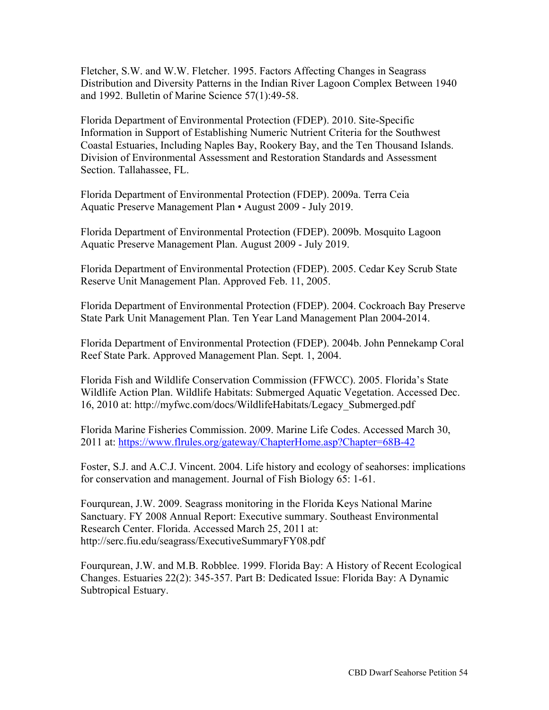Fletcher, S.W. and W.W. Fletcher. 1995. Factors Affecting Changes in Seagrass Distribution and Diversity Patterns in the Indian River Lagoon Complex Between 1940 and 1992. Bulletin of Marine Science 57(1):49-58.

Florida Department of Environmental Protection (FDEP). 2010. Site-Specific Information in Support of Establishing Numeric Nutrient Criteria for the Southwest Coastal Estuaries, Including Naples Bay, Rookery Bay, and the Ten Thousand Islands. Division of Environmental Assessment and Restoration Standards and Assessment Section. Tallahassee, FL.

Florida Department of Environmental Protection (FDEP). 2009a. Terra Ceia Aquatic Preserve Management Plan • August 2009 - July 2019.

Florida Department of Environmental Protection (FDEP). 2009b. Mosquito Lagoon Aquatic Preserve Management Plan. August 2009 - July 2019.

Florida Department of Environmental Protection (FDEP). 2005. Cedar Key Scrub State Reserve Unit Management Plan. Approved Feb. 11, 2005.

Florida Department of Environmental Protection (FDEP). 2004. Cockroach Bay Preserve State Park Unit Management Plan. Ten Year Land Management Plan 2004-2014.

Florida Department of Environmental Protection (FDEP). 2004b. John Pennekamp Coral Reef State Park. Approved Management Plan. Sept. 1, 2004.

Florida Fish and Wildlife Conservation Commission (FFWCC). 2005. Florida's State Wildlife Action Plan. Wildlife Habitats: Submerged Aquatic Vegetation. Accessed Dec. 16, 2010 at: [http://myfwc.com/docs/WildlifeHabitats/Legacy\\_Submerged.pdf](http://myfwc.com/docs/WildlifeHabitats/Legacy_Submerged.pdf) 

Florida Marine Fisheries Commission. 2009. Marine Life Codes. Accessed March 30, 2011 at:<https://www.flrules.org/gateway/ChapterHome.asp?Chapter=68B-42>

Foster, S.J. and A.C.J. Vincent. 2004. Life history and ecology of seahorses: implications for conservation and management. Journal of Fish Biology 65: 1-61.

Fourqurean, J.W. 2009. Seagrass monitoring in the Florida Keys National Marine Sanctuary. FY 2008 Annual Report: Executive summary. Southeast Environmental Research Center. Florida. Accessed March 25, 2011 at: <http://serc.fiu.edu/seagrass/ExecutiveSummaryFY08.pdf>

Fourqurean, J.W. and M.B. Robblee. 1999. Florida Bay: A History of Recent Ecological Changes. Estuaries 22(2): 345-357. Part B: Dedicated Issue: Florida Bay: A Dynamic Subtropical Estuary.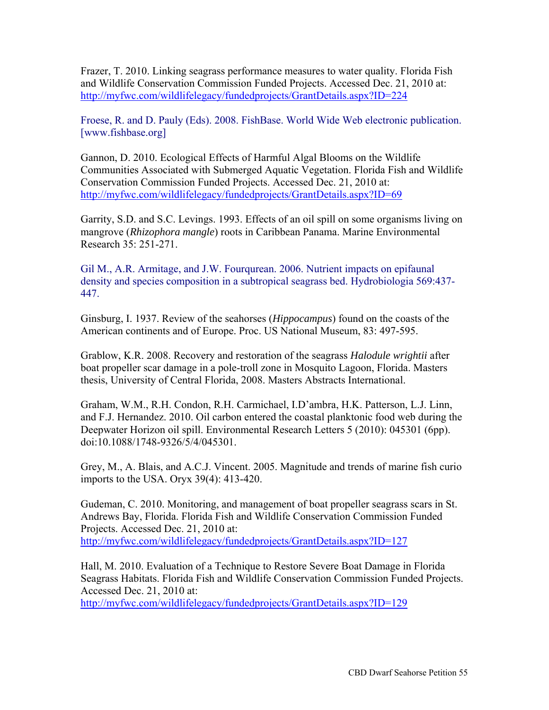Frazer, T. 2010. Linking seagrass performance measures to water quality. Florida Fish and Wildlife Conservation Commission Funded Projects. Accessed Dec. 21, 2010 at: <http://myfwc.com/wildlifelegacy/fundedprojects/GrantDetails.aspx?ID=224>

Froese, R. and D. Pauly (Eds). 2008. FishBase. World Wide Web electronic publication. [[www.fishbase.org\]](http://www.fishbase.org]) 

Gannon, D. 2010. Ecological Effects of Harmful Algal Blooms on the Wildlife Communities Associated with Submerged Aquatic Vegetation. Florida Fish and Wildlife Conservation Commission Funded Projects. Accessed Dec. 21, 2010 at: <http://myfwc.com/wildlifelegacy/fundedprojects/GrantDetails.aspx?ID=69>

Garrity, S.D. and S.C. Levings. 1993. Effects of an oil spill on some organisms living on mangrove (*Rhizophora mangle*) roots in Caribbean Panama. Marine Environmental Research 35: 251-271.

Gil M., A.R. Armitage, and J.W. Fourqurean. 2006. Nutrient impacts on epifaunal density and species composition in a subtropical seagrass bed. Hydrobiologia 569:437- 447.

Ginsburg, I. 1937. Review of the seahorses (*Hippocampus*) found on the coasts of the American continents and of Europe. Proc. US National Museum, 83: 497-595.

Grablow, K.R. 2008. Recovery and restoration of the seagrass *Halodule wrightii* after boat propeller scar damage in a pole-troll zone in Mosquito Lagoon, Florida. Masters thesis, University of Central Florida, 2008. Masters Abstracts International.

Graham, W.M., R.H. Condon, R.H. Carmichael, I.D'ambra, H.K. Patterson, L.J. Linn, and F.J. Hernandez. 2010. Oil carbon entered the coastal planktonic food web during the Deepwater Horizon oil spill. Environmental Research Letters 5 (2010): 045301 (6pp). doi:10.1088/1748-9326/5/4/045301.

Grey, M., A. Blais, and A.C.J. Vincent. 2005. Magnitude and trends of marine fish curio imports to the USA. Oryx 39(4): 413-420.

Gudeman, C. 2010. Monitoring, and management of boat propeller seagrass scars in St. Andrews Bay, Florida. Florida Fish and Wildlife Conservation Commission Funded Projects. Accessed Dec. 21, 2010 at: <http://myfwc.com/wildlifelegacy/fundedprojects/GrantDetails.aspx?ID=127>

Hall, M. 2010. Evaluation of a Technique to Restore Severe Boat Damage in Florida Seagrass Habitats. Florida Fish and Wildlife Conservation Commission Funded Projects. Accessed Dec. 21, 2010 at:

<http://myfwc.com/wildlifelegacy/fundedprojects/GrantDetails.aspx?ID=129>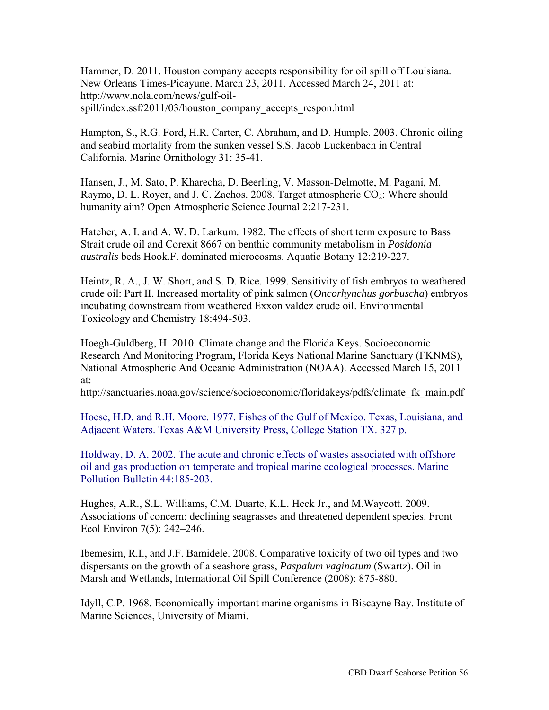Hammer, D. 2011. Houston company accepts responsibility for oil spill off Louisiana. New Orleans Times-Picayune. March 23, 2011. Accessed March 24, 2011 at: [http://www.nola.com/news/gulf-oil](http://www.nola.com/news/gulf-oil-spill/index.ssf/2011/03/houston_company_accepts_respon.html)spill/index.ssf/2011/03/houston\_company\_accepts\_respon.html

Hampton, S., R.G. Ford, H.R. Carter, C. Abraham, and D. Humple. 2003. Chronic oiling and seabird mortality from the sunken vessel S.S. Jacob Luckenbach in Central California. Marine Ornithology 31: 35-41.

Hansen, J., M. Sato, P. Kharecha, D. Beerling, V. Masson-Delmotte, M. Pagani, M. Raymo, D. L. Royer, and J. C. Zachos. 2008. Target atmospheric  $CO_2$ : Where should humanity aim? Open Atmospheric Science Journal 2:217-231.

Hatcher, A. I. and A. W. D. Larkum. 1982. The effects of short term exposure to Bass Strait crude oil and Corexit 8667 on benthic community metabolism in *Posidonia australis* beds Hook.F. dominated microcosms. Aquatic Botany 12:219-227.

Heintz, R. A., J. W. Short, and S. D. Rice. 1999. Sensitivity of fish embryos to weathered crude oil: Part II. Increased mortality of pink salmon (*Oncorhynchus gorbuscha*) embryos incubating downstream from weathered Exxon valdez crude oil. Environmental Toxicology and Chemistry 18:494-503.

Hoegh-Guldberg, H. 2010. Climate change and the Florida Keys. Socioeconomic Research And Monitoring Program, Florida Keys National Marine Sanctuary (FKNMS), National Atmospheric And Oceanic Administration (NOAA). Accessed March 15, 2011 at:

[http://sanctuaries.noaa.gov/science/socioeconomic/floridakeys/pdfs/climate\\_fk\\_main.pdf](http://sanctuaries.noaa.gov/science/socioeconomic/floridakeys/pdfs/climate_fk_main.pdf) 

Hoese, H.D. and R.H. Moore. 1977. Fishes of the Gulf of Mexico. Texas, Louisiana, and Adjacent Waters. Texas A&M University Press, College Station TX. 327 p.

Holdway, D. A. 2002. The acute and chronic effects of wastes associated with offshore oil and gas production on temperate and tropical marine ecological processes. Marine Pollution Bulletin 44:185-203.

Hughes, A.R., S.L. Williams, C.M. Duarte, K.L. Heck Jr., and M.Waycott. 2009. Associations of concern: declining seagrasses and threatened dependent species. Front Ecol Environ 7(5): 242–246.

Ibemesim, R.I., and J.F. Bamidele. 2008. Comparative toxicity of two oil types and two dispersants on the growth of a seashore grass, *Paspalum vaginatum* (Swartz). Oil in Marsh and Wetlands, International Oil Spill Conference (2008): 875-880.

Idyll, C.P. 1968. Economically important marine organisms in Biscayne Bay. Institute of Marine Sciences, University of Miami.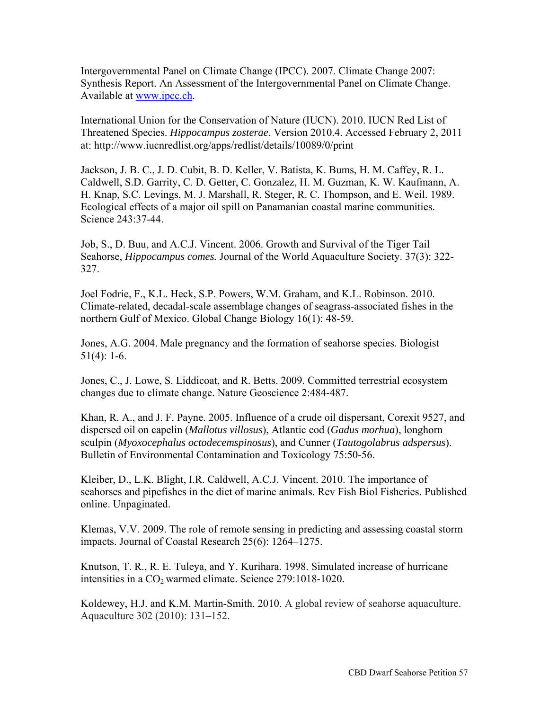Intergovernmental Panel on Climate Change (IPCC). 2007. Climate Change 2007: Synthesis Report. An Assessment of the Intergovernmental Panel on Climate Change. Available at [www.ipcc.ch.](http://www.ipcc.ch) 

International Union for the Conservation of Nature (IUCN). 2010. IUCN Red List of Threatened Species. *Hippocampus zosterae*. Version 2010.4. Accessed February 2, 2011 at:<http://www.iucnredlist.org/apps/redlist/details/10089/0/print>

Jackson, J. B. C., J. D. Cubit, B. D. Keller, V. Batista, K. Bums, H. M. Caffey, R. L. Caldwell, S.D. Garrity, C. D. Getter, C. Gonzalez, H. M. Guzman, K. W. Kaufmann, A. H. Knap, S.C. Levings, M. J. Marshall, R. Steger, R. C. Thompson, and E. Weil. 1989. Ecological effects of a major oil spill on Panamanian coastal marine communities. Science 243:37-44.

Job, S., D. Buu, and A.C.J. Vincent. 2006. Growth and Survival of the Tiger Tail Seahorse, *Hippocampus comes.* Journal of the World Aquaculture Society. 37(3): 322- 327.

Joel Fodrie, F., K.L. Heck, S.P. Powers, W.M. Graham, and K.L. Robinson. 2010. Climate-related, decadal-scale assemblage changes of seagrass-associated fishes in the northern Gulf of Mexico. Global Change Biology 16(1): 48-59.

Jones, A.G. 2004. Male pregnancy and the formation of seahorse species. Biologist  $51(4): 1-6.$ 

Jones, C., J. Lowe, S. Liddicoat, and R. Betts. 2009. Committed terrestrial ecosystem changes due to climate change. Nature Geoscience 2:484-487.

Khan, R. A., and J. F. Payne. 2005. Influence of a crude oil dispersant, Corexit 9527, and dispersed oil on capelin (*Mallotus villosus*), Atlantic cod (*Gadus morhua*), longhorn sculpin (*Myoxocephalus octodecemspinosus*), and Cunner (*Tautogolabrus adspersus*). Bulletin of Environmental Contamination and Toxicology 75:50-56.

Kleiber, D., L.K. Blight, I.R. Caldwell, A.C.J. Vincent. 2010. The importance of seahorses and pipefishes in the diet of marine animals. Rev Fish Biol Fisheries. Published online. Unpaginated.

Klemas, V.V. 2009. The role of remote sensing in predicting and assessing coastal storm impacts. Journal of Coastal Research 25(6): 1264–1275.

Knutson, T. R., R. E. Tuleya, and Y. Kurihara. 1998. Simulated increase of hurricane intensities in a CO<sub>2</sub> warmed climate. Science 279:1018-1020.

Koldewey, H.J. and K.M. Martin-Smith. 2010. A global review of seahorse aquaculture. Aquaculture 302 (2010): 131–152.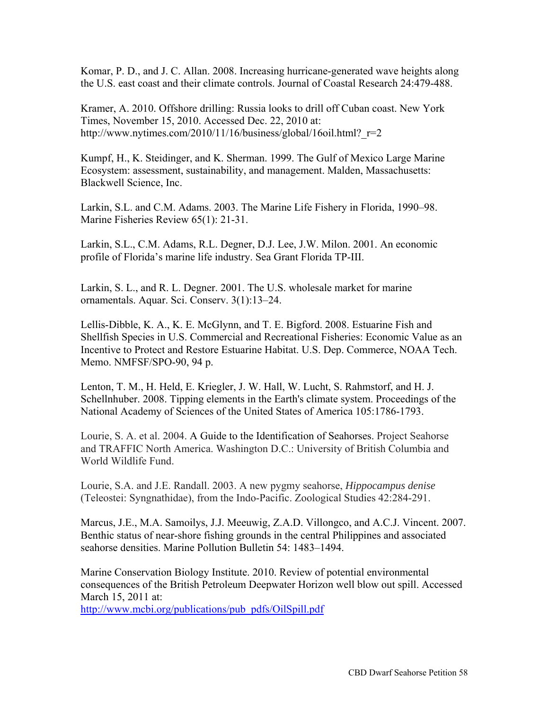Komar, P. D., and J. C. Allan. 2008. Increasing hurricane-generated wave heights along the U.S. east coast and their climate controls. Journal of Coastal Research 24:479-488.

Kramer, A. 2010. Offshore drilling: Russia looks to drill off Cuban coast. New York Times, November 15, 2010. Accessed Dec. 22, 2010 at: http://www.nytimes.com/2010/11/16/business/global/16oil.html? $r=2$ 

Kumpf, H., K. Steidinger, and K. Sherman. 1999. The Gulf of Mexico Large Marine Ecosystem: assessment, sustainability, and management. Malden, Massachusetts: Blackwell Science, Inc.

Larkin, S.L. and C.M. Adams. 2003. The Marine Life Fishery in Florida, 1990–98. Marine Fisheries Review 65(1): 21-31.

Larkin, S.L., C.M. Adams, R.L. Degner, D.J. Lee, J.W. Milon. 2001. An economic profile of Florida's marine life industry. Sea Grant Florida TP-III.

Larkin, S. L., and R. L. Degner. 2001. The U.S. wholesale market for marine ornamentals. Aquar. Sci. Conserv. 3(1):13–24.

Lellis-Dibble, K. A., K. E. McGlynn, and T. E. Bigford. 2008. Estuarine Fish and Shellfish Species in U.S. Commercial and Recreational Fisheries: Economic Value as an Incentive to Protect and Restore Estuarine Habitat. U.S. Dep. Commerce, NOAA Tech. Memo. NMFSF/SPO-90, 94 p.

Lenton, T. M., H. Held, E. Kriegler, J. W. Hall, W. Lucht, S. Rahmstorf, and H. J. Schellnhuber. 2008. Tipping elements in the Earth's climate system. Proceedings of the National Academy of Sciences of the United States of America 105:1786-1793.

Lourie, S. A. et al. 2004. A Guide to the Identification of Seahorses. Project Seahorse and TRAFFIC North America. Washington D.C.: University of British Columbia and World Wildlife Fund.

Lourie, S.A. and J.E. Randall. 2003. A new pygmy seahorse, *Hippocampus denise*  (Teleostei: Syngnathidae), from the Indo-Pacific. Zoological Studies 42:284-291.

Marcus, J.E., M.A. Samoilys, J.J. Meeuwig, Z.A.D. Villongco, and A.C.J. Vincent. 2007. Benthic status of near-shore fishing grounds in the central Philippines and associated seahorse densities. Marine Pollution Bulletin 54: 1483–1494.

Marine Conservation Biology Institute. 2010. Review of potential environmental consequences of the British Petroleum Deepwater Horizon well blow out spill. Accessed March 15, 2011 at:

[http://www.mcbi.org/publications/pub\\_pdfs/OilSpill.pdf](http://www.mcbi.org/publications/pub_pdfs/OilSpill.pdf)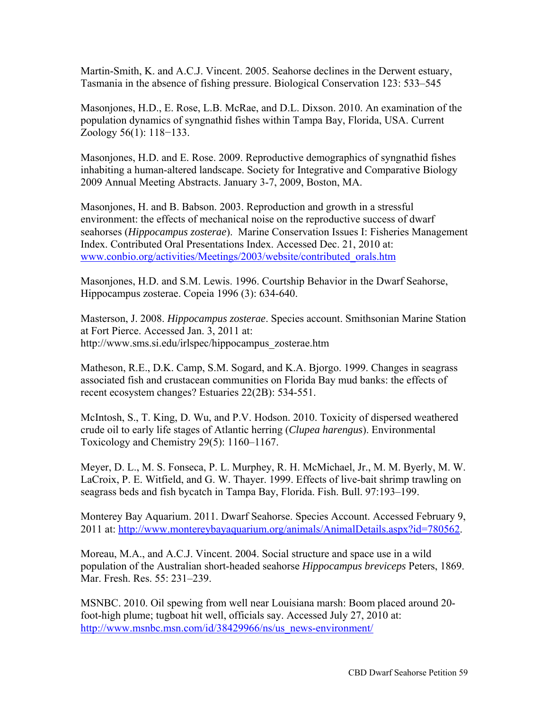Martin-Smith, K. and A.C.J. Vincent. 2005. Seahorse declines in the Derwent estuary, Tasmania in the absence of fishing pressure. Biological Conservation 123: 533–545

Masonjones, H.D., E. Rose, L.B. McRae, and D.L. Dixson. 2010. An examination of the population dynamics of syngnathid fishes within Tampa Bay, Florida, USA. Current Zoology 56(1): 118−133.

Masonjones, H.D. and E. Rose. 2009. Reproductive demographics of syngnathid fishes inhabiting a human-altered landscape. Society for Integrative and Comparative Biology 2009 Annual Meeting Abstracts. January 3-7, 2009, Boston, MA.

Masonjones, H. and B. Babson. 2003. Reproduction and growth in a stressful environment: the effects of mechanical noise on the reproductive success of dwarf seahorses (*Hippocampus zosterae*). Marine Conservation Issues I: Fisheries Management Index. Contributed Oral Presentations Index. Accessed Dec. 21, 2010 at: [www.conbio.org/activities/Meetings/2003/website/contributed\\_orals.htm](http://www.conbio.org/activities/Meetings/2003/website/contributed_orals.htm)

Masonjones, H.D. and S.M. Lewis. 1996. Courtship Behavior in the Dwarf Seahorse, Hippocampus zosterae. Copeia 1996 (3): 634-640.

Masterson, J. 2008. *Hippocampus zosterae*. Species account. Smithsonian Marine Station at Fort Pierce. Accessed Jan. 3, 2011 at: [http://www.sms.si.edu/irlspec/hippocampus\\_zosterae.htm](http://www.sms.si.edu/irlspec/hippocampus_zosterae.htm) 

Matheson, R.E., D.K. Camp, S.M. Sogard, and K.A. Bjorgo. 1999. Changes in seagrass associated fish and crustacean communities on Florida Bay mud banks: the effects of recent ecosystem changes? Estuaries 22(2B): 534-551.

McIntosh, S., T. King, D. Wu, and P.V. Hodson. 2010. Toxicity of dispersed weathered crude oil to early life stages of Atlantic herring (*Clupea harengus*). Environmental Toxicology and Chemistry 29(5): 1160–1167.

Meyer, D. L., M. S. Fonseca, P. L. Murphey, R. H. McMichael, Jr., M. M. Byerly, M. W. LaCroix, P. E. Witfield, and G. W. Thayer. 1999. Effects of live-bait shrimp trawling on seagrass beds and fish bycatch in Tampa Bay, Florida. Fish. Bull. 97:193–199.

Monterey Bay Aquarium. 2011. Dwarf Seahorse. Species Account. Accessed February 9, 2011 at: [http://www.montereybayaquarium.org/animals/AnimalDetails.aspx?id=780562.](http://www.montereybayaquarium.org/animals/AnimalDetails.aspx?id=780562) 

Moreau, M.A., and A.C.J. Vincent. 2004. Social structure and space use in a wild population of the Australian short-headed seahorse *Hippocampus breviceps* Peters, 1869. Mar. Fresh. Res. 55: 231–239.

MSNBC. 2010. Oil spewing from well near Louisiana marsh: Boom placed around 20 foot-high plume; tugboat hit well, officials say. Accessed July 27, 2010 at: [http://www.msnbc.msn.com/id/38429966/ns/us\\_news-environment/](http://www.msnbc.msn.com/id/38429966/ns/us_news-environment/)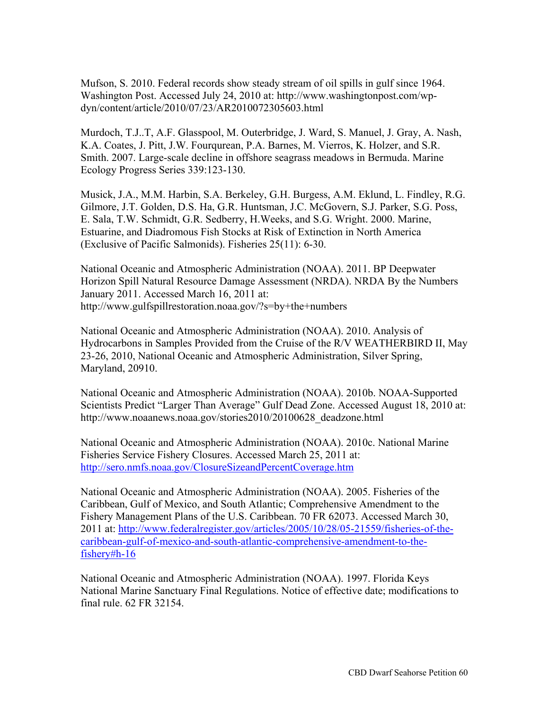Mufson, S. 2010. Federal records show steady stream of oil spills in gulf since 1964. [Washington Post. Accessed July 24, 2010 at: http://www.washingtonpost.com/wp](http://www.washingtonpost.com/wp-dyn/CBD)dyn/content/article/2010/07/23/AR2010072305603.html

Murdoch, T.J..T, A.F. Glasspool, M. Outerbridge, J. Ward, S. Manuel, J. Gray, A. Nash, K.A. Coates, J. Pitt, J.W. Fourqurean, P.A. Barnes, M. Vierros, K. Holzer, and S.R. Smith. 2007. Large-scale decline in offshore seagrass meadows in Bermuda. Marine Ecology Progress Series 339:123-130.

Musick, J.A., M.M. Harbin, S.A. Berkeley, G.H. Burgess, A.M. Eklund, L. Findley, R.G. Gilmore, J.T. Golden, D.S. Ha, G.R. Huntsman, J.C. McGovern, S.J. Parker, S.G. Poss, E. Sala, T.W. Schmidt, G.R. Sedberry, H.Weeks, and S.G. Wright. 2000. Marine, Estuarine, and Diadromous Fish Stocks at Risk of Extinction in North America (Exclusive of Pacific Salmonids). Fisheries 25(11): 6-30.

National Oceanic and Atmospheric Administration (NOAA). 2011. BP Deepwater Horizon Spill Natural Resource Damage Assessment (NRDA). NRDA By the Numbers January 2011. Accessed March 16, 2011 at: <http://www.gulfspillrestoration.noaa.gov/?s=by+the+numbers>

National Oceanic and Atmospheric Administration (NOAA). 2010. Analysis of Hydrocarbons in Samples Provided from the Cruise of the R/V WEATHERBIRD II, May 23-26, 2010, National Oceanic and Atmospheric Administration, Silver Spring, Maryland, 20910.

National Oceanic and Atmospheric Administration (NOAA). 2010b. NOAA-Supported Scientists Predict "Larger Than Average" Gulf Dead Zone. Accessed August 18, 2010 at: [http://www.noaanews.noaa.gov/stories2010/20100628\\_deadzone.html](http://www.noaanews.noaa.gov/stories2010/20100628_deadzone.html) 

National Oceanic and Atmospheric Administration (NOAA). 2010c. National Marine Fisheries Service Fishery Closures. Accessed March 25, 2011 at: <http://sero.nmfs.noaa.gov/ClosureSizeandPercentCoverage.htm>

National Oceanic and Atmospheric Administration (NOAA). 2005. Fisheries of the Caribbean, Gulf of Mexico, and South Atlantic; Comprehensive Amendment to the Fishery Management Plans of the U.S. Caribbean. 70 FR 62073. Accessed March 30, [2011 at: http://www.federalregister.gov/articles/2005/10/28/05-21559/fisheries-of-the](http://www.federalregister.gov/articles/2005/10/28/05-21559/fisheries-of-the-caribbean-gulf-of-mexico-and-south-atlantic-comprehensive-amendment-to-the-fishery#h-16)[caribbean-gulf-of-mexico-and-south-atlantic-comprehensive-amendment-to-the](http://www.federalregister.gov/articles/2005/10/28/05-21559/fisheries-of-the-caribbean-gulf-of-mexico-and-south-atlantic-comprehensive-amendment-to-the-fishery#h-16)fishery[#h-16](http://www.federalregister.gov/articles/2005/10/28/05-21559/fisheries-of-the-caribbean-gulf-of-mexico-and-south-atlantic-comprehensive-amendment-to-the-fishery#h-16)

National Oceanic and Atmospheric Administration (NOAA). 1997. Florida Keys National Marine Sanctuary Final Regulations. Notice of effective date; modifications to final rule. 62 FR 32154.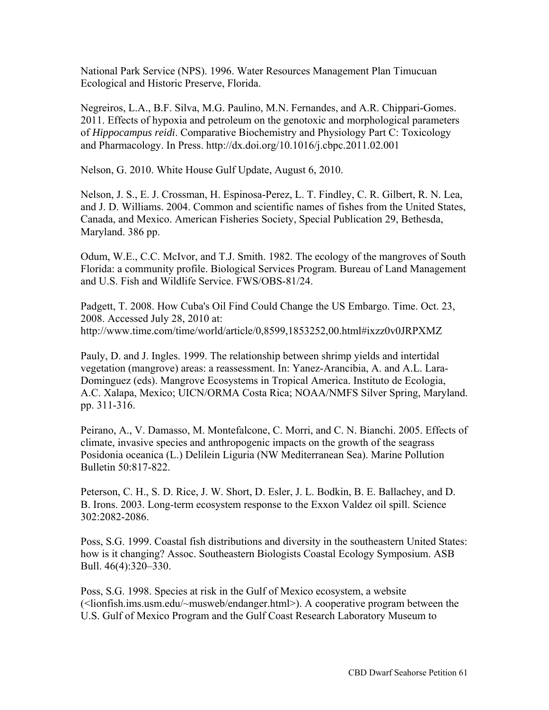National Park Service (NPS). 1996. Water Resources Management Plan Timucuan Ecological and Historic Preserve, Florida.

Negreiros, L.A., B.F. Silva, M.G. Paulino, M.N. Fernandes, and A.R. Chippari-Gomes. 2011. Effects of hypoxia and petroleum on the genotoxic and morphological parameters of *Hippocampus reidi*. Comparative Biochemistry and Physiology Part C: Toxicology and Pharmacology. In Press.<http://dx.doi.org/10.1016/j.cbpc.2011.02.001>

Nelson, G. 2010. White House Gulf Update, August 6, 2010.

Nelson, J. S., E. J. Crossman, H. Espinosa-Perez, L. T. Findley, C. R. Gilbert, R. N. Lea, and J. D. Williams. 2004. Common and scientific names of fishes from the United States, Canada, and Mexico. American Fisheries Society, Special Publication 29, Bethesda, Maryland. 386 pp.

Odum, W.E., C.C. McIvor, and T.J. Smith. 1982. The ecology of the mangroves of South Florida: a community profile. Biological Services Program. Bureau of Land Management and U.S. Fish and Wildlife Service. FWS/OBS-81/24.

Padgett, T. 2008. How Cuba's Oil Find Could Change the US Embargo. Time. Oct. 23, 2008. Accessed July 28, 2010 at: <http://www.time.com/time/world/article/0,8599,1853252,00.html#ixzz0v0JRPXMZ>

Pauly, D. and J. Ingles. 1999. The relationship between shrimp yields and intertidal vegetation (mangrove) areas: a reassessment. In: Yanez-Arancibia, A. and A.L. Lara-Dominguez (eds). Mangrove Ecosystems in Tropical America. Instituto de Ecologia, A.C. Xalapa, Mexico; UICN/ORMA Costa Rica; NOAA/NMFS Silver Spring, Maryland. pp. 311-316.

Peirano, A., V. Damasso, M. Montefalcone, C. Morri, and C. N. Bianchi. 2005. Effects of climate, invasive species and anthropogenic impacts on the growth of the seagrass Posidonia oceanica (L.) Delilein Liguria (NW Mediterranean Sea). Marine Pollution Bulletin 50:817-822.

Peterson, C. H., S. D. Rice, J. W. Short, D. Esler, J. L. Bodkin, B. E. Ballachey, and D. B. Irons. 2003. Long-term ecosystem response to the Exxon Valdez oil spill. Science 302:2082-2086.

Poss, S.G. 1999. Coastal fish distributions and diversity in the southeastern United States: how is it changing? Assoc. Southeastern Biologists Coastal Ecology Symposium. ASB Bull. 46(4):320–330.

Poss, S.G. 1998. Species at risk in the Gulf of Mexico ecosystem, a website (<lionfish.ims.usm.edu/~musweb/endanger.html>). A cooperative program between the U.S. Gulf of Mexico Program and the Gulf Coast Research Laboratory Museum to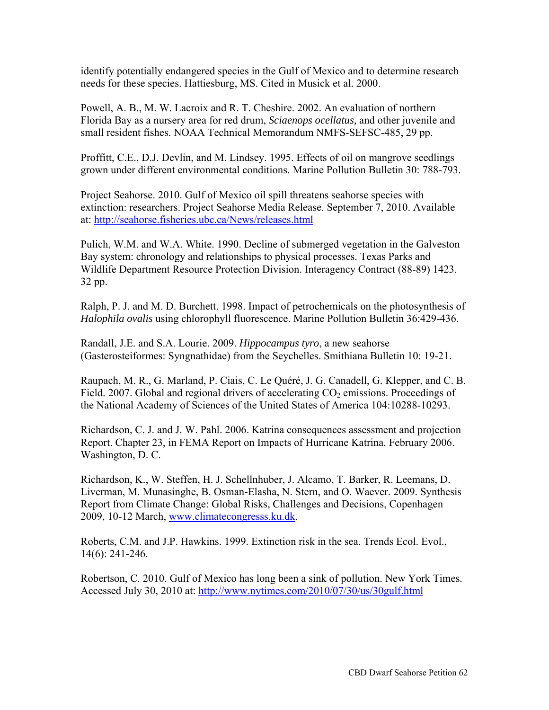identify potentially endangered species in the Gulf of Mexico and to determine research needs for these species. Hattiesburg, MS. Cited in Musick et al. 2000.

Powell, A. B., M. W. Lacroix and R. T. Cheshire. 2002. An evaluation of northern Florida Bay as a nursery area for red drum, *Sciaenops ocellatus,* and other juvenile and small resident fishes. NOAA Technical Memorandum NMFS-SEFSC-485, 29 pp.

Proffitt, C.E., D.J. Devlin, and M. Lindsey. 1995. Effects of oil on mangrove seedlings grown under different environmental conditions. Marine Pollution Bulletin 30: 788-793.

Project Seahorse. 2010. Gulf of Mexico oil spill threatens seahorse species with extinction: researchers. Project Seahorse Media Release. September 7, 2010. Available at:<http://seahorse.fisheries.ubc.ca/News/releases.html>

Pulich, W.M. and W.A. White. 1990. Decline of submerged vegetation in the Galveston Bay system: chronology and relationships to physical processes. Texas Parks and Wildlife Department Resource Protection Division. Interagency Contract (88-89) 1423. 32 pp.

Ralph, P. J. and M. D. Burchett. 1998. Impact of petrochemicals on the photosynthesis of *Halophila ovalis* using chlorophyll fluorescence. Marine Pollution Bulletin 36:429-436.

Randall, J.E. and S.A. Lourie. 2009. *Hippocampus tyro*, a new seahorse (Gasterosteiformes: Syngnathidae) from the Seychelles. Smithiana Bulletin 10: 19-21.

Raupach, M. R., G. Marland, P. Ciais, C. Le Quéré, J. G. Canadell, G. Klepper, and C. B. Field. 2007. Global and regional drivers of accelerating  $CO<sub>2</sub>$  emissions. Proceedings of the National Academy of Sciences of the United States of America 104:10288-10293.

Richardson, C. J. and J. W. Pahl. 2006. Katrina consequences assessment and projection Report. Chapter 23, in FEMA Report on Impacts of Hurricane Katrina. February 2006. Washington, D. C.

Richardson, K., W. Steffen, H. J. Schellnhuber, J. Alcamo, T. Barker, R. Leemans, D. Liverman, M. Munasinghe, B. Osman-Elasha, N. Stern, and O. Waever. 2009. Synthesis Report from Climate Change: Global Risks, Challenges and Decisions, Copenhagen 2009, 10-12 March, [www.climatecongresss.ku.dk.](http://www.climatecongresss.ku.dk) 

Roberts, C.M. and J.P. Hawkins. 1999. Extinction risk in the sea. Trends Ecol. Evol., 14(6): 241-246.

Robertson, C. 2010. Gulf of Mexico has long been a sink of pollution. New York Times. Accessed July 30, 2010 at:<http://www.nytimes.com/2010/07/30/us/30gulf.html>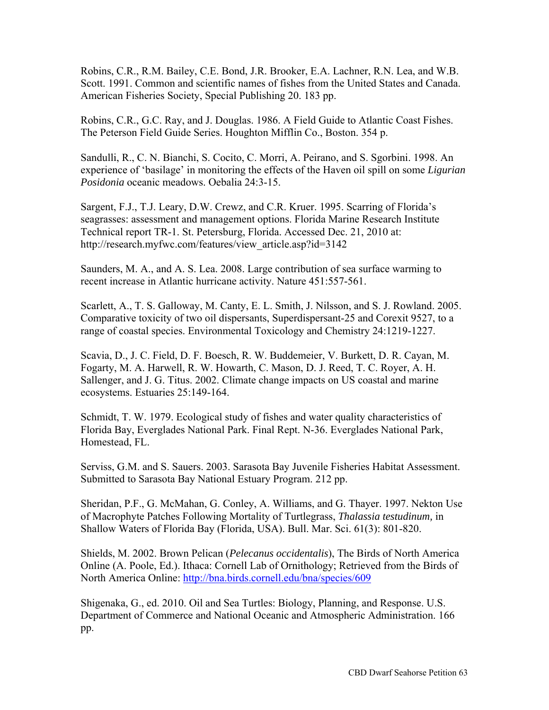Robins, C.R., R.M. Bailey, C.E. Bond, J.R. Brooker, E.A. Lachner, R.N. Lea, and W.B. Scott. 1991. Common and scientific names of fishes from the United States and Canada. American Fisheries Society, Special Publishing 20. 183 pp.

Robins, C.R., G.C. Ray, and J. Douglas. 1986. A Field Guide to Atlantic Coast Fishes. The Peterson Field Guide Series. Houghton Mifflin Co., Boston. 354 p.

Sandulli, R., C. N. Bianchi, S. Cocito, C. Morri, A. Peirano, and S. Sgorbini. 1998. An experience of 'basilage' in monitoring the effects of the Haven oil spill on some *Ligurian Posidonia* oceanic meadows. Oebalia 24:3-15.

Sargent, F.J., T.J. Leary, D.W. Crewz, and C.R. Kruer. 1995. Scarring of Florida's seagrasses: assessment and management options. Florida Marine Research Institute Technical report TR-1. St. Petersburg, Florida. Accessed Dec. 21, 2010 at: [http://research.myfwc.com/features/view\\_article.asp?id=3142](http://research.myfwc.com/features/view_article.asp?id=3142) 

Saunders, M. A., and A. S. Lea. 2008. Large contribution of sea surface warming to recent increase in Atlantic hurricane activity. Nature 451:557-561.

Scarlett, A., T. S. Galloway, M. Canty, E. L. Smith, J. Nilsson, and S. J. Rowland. 2005. Comparative toxicity of two oil dispersants, Superdispersant-25 and Corexit 9527, to a range of coastal species. Environmental Toxicology and Chemistry 24:1219-1227.

Scavia, D., J. C. Field, D. F. Boesch, R. W. Buddemeier, V. Burkett, D. R. Cayan, M. Fogarty, M. A. Harwell, R. W. Howarth, C. Mason, D. J. Reed, T. C. Royer, A. H. Sallenger, and J. G. Titus. 2002. Climate change impacts on US coastal and marine ecosystems. Estuaries 25:149-164.

Schmidt, T. W. 1979. Ecological study of fishes and water quality characteristics of Florida Bay, Everglades National Park. Final Rept. N-36. Everglades National Park, Homestead, FL.

Serviss, G.M. and S. Sauers. 2003. Sarasota Bay Juvenile Fisheries Habitat Assessment. Submitted to Sarasota Bay National Estuary Program. 212 pp.

Sheridan, P.F., G. McMahan, G. Conley, A. Williams, and G. Thayer. 1997. Nekton Use of Macrophyte Patches Following Mortality of Turtlegrass, *Thalassia testudinum,* in Shallow Waters of Florida Bay (Florida, USA). Bull. Mar. Sci. 61(3): 801-820.

Shields, M. 2002. Brown Pelican (*Pelecanus occidentalis*), The Birds of North America Online (A. Poole, Ed.). Ithaca: Cornell Lab of Ornithology; Retrieved from the Birds of North America Online:<http://bna.birds.cornell.edu/bna/species/609>

Shigenaka, G., ed. 2010. Oil and Sea Turtles: Biology, Planning, and Response. U.S. Department of Commerce and National Oceanic and Atmospheric Administration. 166 pp.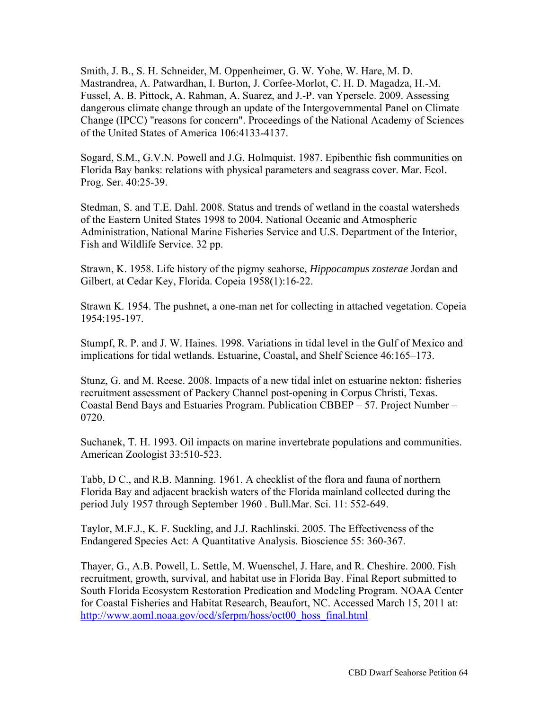Smith, J. B., S. H. Schneider, M. Oppenheimer, G. W. Yohe, W. Hare, M. D. Mastrandrea, A. Patwardhan, I. Burton, J. Corfee-Morlot, C. H. D. Magadza, H.-M. Fussel, A. B. Pittock, A. Rahman, A. Suarez, and J.-P. van Ypersele. 2009. Assessing dangerous climate change through an update of the Intergovernmental Panel on Climate Change (IPCC) "reasons for concern". Proceedings of the National Academy of Sciences of the United States of America 106:4133-4137.

Sogard, S.M., G.V.N. Powell and J.G. Holmquist. 1987. Epibenthic fish communities on Florida Bay banks: relations with physical parameters and seagrass cover. Mar. Ecol. Prog. Ser. 40:25-39.

Stedman, S. and T.E. Dahl. 2008. Status and trends of wetland in the coastal watersheds of the Eastern United States 1998 to 2004. National Oceanic and Atmospheric Administration, National Marine Fisheries Service and U.S. Department of the Interior, Fish and Wildlife Service. 32 pp.

Strawn, K. 1958. Life history of the pigmy seahorse, *Hippocampus zosterae* Jordan and Gilbert, at Cedar Key, Florida. Copeia 1958(1):16-22.

Strawn K. 1954. The pushnet, a one-man net for collecting in attached vegetation. Copeia 1954:195-197.

Stumpf, R. P. and J. W. Haines. 1998. Variations in tidal level in the Gulf of Mexico and implications for tidal wetlands. Estuarine, Coastal, and Shelf Science 46:165–173.

Stunz, G. and M. Reese. 2008. Impacts of a new tidal inlet on estuarine nekton: fisheries recruitment assessment of Packery Channel post-opening in Corpus Christi, Texas. Coastal Bend Bays and Estuaries Program. Publication CBBEP – 57. Project Number – 0720.

Suchanek, T. H. 1993. Oil impacts on marine invertebrate populations and communities. American Zoologist 33:510-523.

Tabb, D C., and R.B. Manning. 1961. A checklist of the flora and fauna of northern Florida Bay and adjacent brackish waters of the Florida mainland collected during the period July 1957 through September 1960 . Bull.Mar. Sci. 11: 552-649.

Taylor, M.F.J., K. F. Suckling, and J.J. Rachlinski. 2005. The Effectiveness of the Endangered Species Act: A Quantitative Analysis. Bioscience 55: 360-367.

Thayer, G., A.B. Powell, L. Settle, M. Wuenschel, J. Hare, and R. Cheshire. 2000. Fish recruitment, growth, survival, and habitat use in Florida Bay. Final Report submitted to South Florida Ecosystem Restoration Predication and Modeling Program. NOAA Center for Coastal Fisheries and Habitat Research, Beaufort, NC. Accessed March 15, 2011 at: [http://www.aoml.noaa.gov/ocd/sferpm/hoss/oct00\\_hoss\\_final.html](http://www.aoml.noaa.gov/ocd/sferpm/hoss/oct00_hoss_final.html)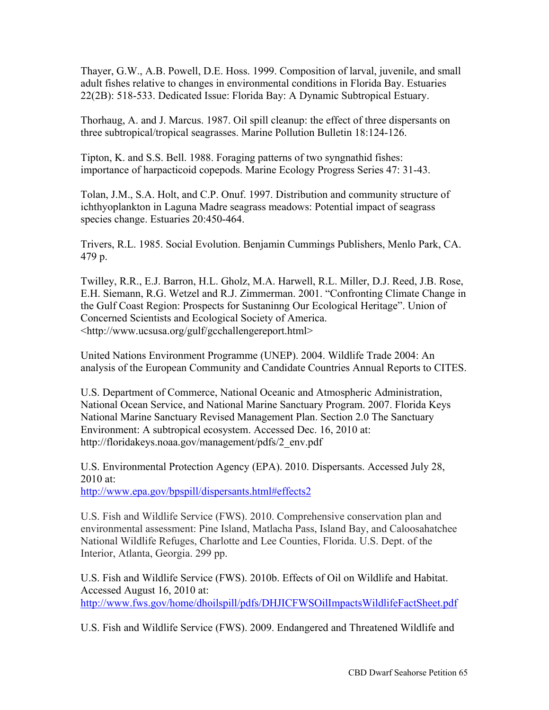Thayer, G.W., A.B. Powell, D.E. Hoss. 1999. Composition of larval, juvenile, and small adult fishes relative to changes in environmental conditions in Florida Bay. Estuaries 22(2B): 518-533. Dedicated Issue: Florida Bay: A Dynamic Subtropical Estuary.

Thorhaug, A. and J. Marcus. 1987. Oil spill cleanup: the effect of three dispersants on three subtropical/tropical seagrasses. Marine Pollution Bulletin 18:124-126.

Tipton, K. and S.S. Bell. 1988. Foraging patterns of two syngnathid fishes: importance of harpacticoid copepods. Marine Ecology Progress Series 47: 31-43.

Tolan, J.M., S.A. Holt, and C.P. Onuf. 1997. Distribution and community structure of ichthyoplankton in Laguna Madre seagrass meadows: Potential impact of seagrass species change. Estuaries 20:450-464.

Trivers, R.L. 1985. Social Evolution. Benjamin Cummings Publishers, Menlo Park, CA. 479 p.

Twilley, R.R., E.J. Barron, H.L. Gholz, M.A. Harwell, R.L. Miller, D.J. Reed, J.B. Rose, E.H. Siemann, R.G. Wetzel and R.J. Zimmerman. 2001. "Confronting Climate Change in the Gulf Coast Region: Prospects for Sustaninng Our Ecological Heritage". Union of Concerned Scientists and Ecological Society of America. <[http://www.ucsusa.org/gulf/gcchallengereport.html>](http://www.ucsusa.org/gulf/gcchallengereport.html) 

United Nations Environment Programme (UNEP). 2004. Wildlife Trade 2004: An analysis of the European Community and Candidate Countries Annual Reports to CITES.

U.S. Department of Commerce, National Oceanic and Atmospheric Administration, National Ocean Service, and National Marine Sanctuary Program. 2007. Florida Keys National Marine Sanctuary Revised Management Plan. Section 2.0 The Sanctuary Environment: A subtropical ecosystem. Accessed Dec. 16, 2010 at: [http://floridakeys.noaa.gov/management/pdfs/2\\_env.pdf](http://floridakeys.noaa.gov/management/pdfs/2_env.pdf) 

U.S. Environmental Protection Agency (EPA). 2010. Dispersants. Accessed July 28, 2010 at:

<http://www.epa.gov/bpspill/dispersants.html#effects2>

U.S. Fish and Wildlife Service (FWS). 2010. Comprehensive conservation plan and environmental assessment: Pine Island, Matlacha Pass, Island Bay, and Caloosahatchee National Wildlife Refuges, Charlotte and Lee Counties, Florida. U.S. Dept. of the Interior, Atlanta, Georgia. 299 pp.

U.S. Fish and Wildlife Service (FWS). 2010b. Effects of Oil on Wildlife and Habitat. Accessed August 16, 2010 at: <http://www.fws.gov/home/dhoilspill/pdfs/DHJICFWSOilImpactsWildlifeFactSheet.pdf>

U.S. Fish and Wildlife Service (FWS). 2009. Endangered and Threatened Wildlife and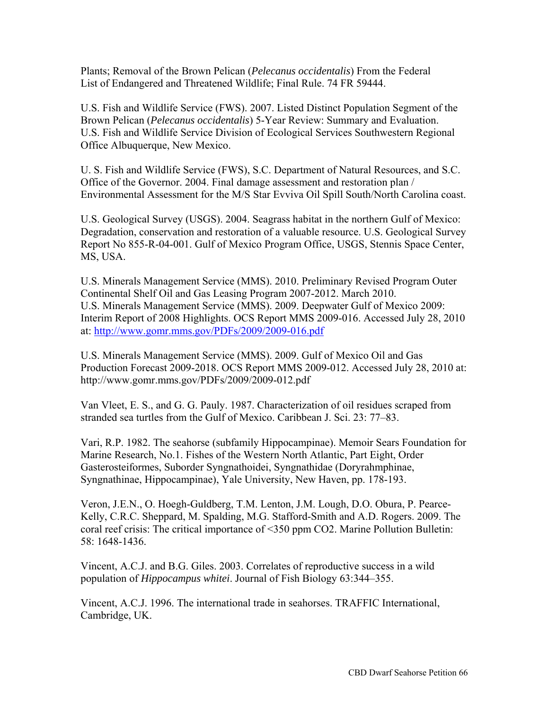Plants; Removal of the Brown Pelican (*Pelecanus occidentalis*) From the Federal List of Endangered and Threatened Wildlife; Final Rule. 74 FR 59444.

U.S. Fish and Wildlife Service (FWS). 2007. Listed Distinct Population Segment of the Brown Pelican (*Pelecanus occidentalis*) 5-Year Review: Summary and Evaluation. U.S. Fish and Wildlife Service Division of Ecological Services Southwestern Regional Office Albuquerque, New Mexico.

U. S. Fish and Wildlife Service (FWS), S.C. Department of Natural Resources, and S.C. Office of the Governor. 2004. Final damage assessment and restoration plan / Environmental Assessment for the M/S Star Evviva Oil Spill South/North Carolina coast.

U.S. Geological Survey (USGS). 2004. Seagrass habitat in the northern Gulf of Mexico: Degradation, conservation and restoration of a valuable resource. U.S. Geological Survey Report No 855-R-04-001. Gulf of Mexico Program Office, USGS, Stennis Space Center, MS, USA.

U.S. Minerals Management Service (MMS). 2010. Preliminary Revised Program Outer Continental Shelf Oil and Gas Leasing Program 2007-2012. March 2010. U.S. Minerals Management Service (MMS). 2009. Deepwater Gulf of Mexico 2009: Interim Report of 2008 Highlights. OCS Report MMS 2009-016. Accessed July 28, 2010 at:<http://www.gomr.mms.gov/PDFs/2009/2009-016.pdf>

U.S. Minerals Management Service (MMS). 2009. Gulf of Mexico Oil and Gas Production Forecast 2009-2018. OCS Report MMS 2009-012. Accessed July 28, 2010 at: <http://www.gomr.mms.gov/PDFs/2009/2009-012.pdf>

Van Vleet, E. S., and G. G. Pauly. 1987. Characterization of oil residues scraped from stranded sea turtles from the Gulf of Mexico. Caribbean J. Sci. 23: 77–83.

Vari, R.P. 1982. The seahorse (subfamily Hippocampinae). Memoir Sears Foundation for Marine Research, No.1. Fishes of the Western North Atlantic, Part Eight, Order Gasterosteiformes, Suborder Syngnathoidei, Syngnathidae (Doryrahmphinae, Syngnathinae, Hippocampinae), Yale University, New Haven, pp. 178-193.

Veron, J.E.N., O. Hoegh-Guldberg, T.M. Lenton, J.M. Lough, D.O. Obura, P. Pearce-Kelly, C.R.C. Sheppard, M. Spalding, M.G. Stafford-Smith and A.D. Rogers. 2009. The coral reef crisis: The critical importance of <350 ppm CO2. Marine Pollution Bulletin: 58: 1648-1436.

Vincent, A.C.J. and B.G. Giles. 2003. Correlates of reproductive success in a wild population of *Hippocampus whitei*. Journal of Fish Biology 63:344–355.

Vincent, A.C.J. 1996. The international trade in seahorses. TRAFFIC International, Cambridge, UK.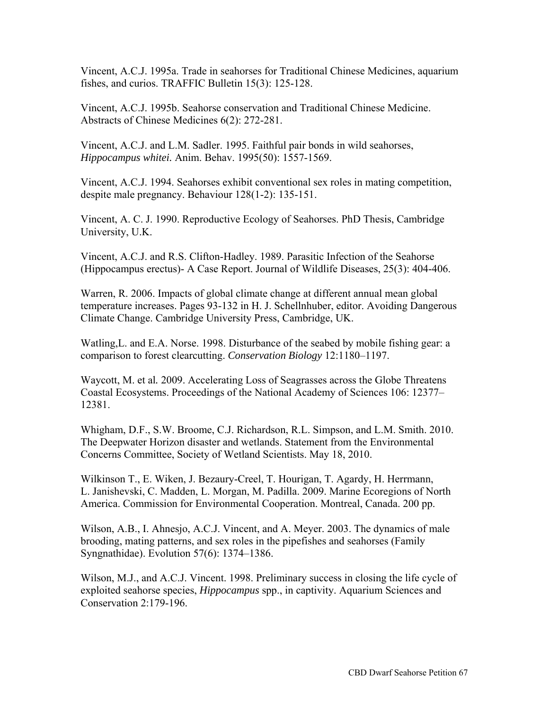Vincent, A.C.J. 1995a. Trade in seahorses for Traditional Chinese Medicines, aquarium fishes, and curios. TRAFFIC Bulletin 15(3): 125-128.

Vincent, A.C.J. 1995b. Seahorse conservation and Traditional Chinese Medicine. Abstracts of Chinese Medicines 6(2): 272-281.

Vincent, A.C.J. and L.M. Sadler. 1995. Faithful pair bonds in wild seahorses, *Hippocampus whitei.* Anim. Behav. 1995(50): 1557-1569.

Vincent, A.C.J. 1994. Seahorses exhibit conventional sex roles in mating competition, despite male pregnancy. Behaviour 128(1-2): 135-151.

Vincent, A. C. J. 1990. Reproductive Ecology of Seahorses. PhD Thesis, Cambridge University, U.K.

Vincent, A.C.J. and R.S. Clifton-Hadley. 1989. Parasitic Infection of the Seahorse (Hippocampus erectus)- A Case Report. Journal of Wildlife Diseases, 25(3): 404-406.

Warren, R. 2006. Impacts of global climate change at different annual mean global temperature increases. Pages 93-132 in H. J. Schellnhuber, editor. Avoiding Dangerous Climate Change. Cambridge University Press, Cambridge, UK.

Watling,L. and E.A. Norse. 1998. Disturbance of the seabed by mobile fishing gear: a comparison to forest clearcutting. *Conservation Biology* 12:1180–1197.

Waycott, M. et al*.* 2009. Accelerating Loss of Seagrasses across the Globe Threatens Coastal Ecosystems. Proceedings of the National Academy of Sciences 106: 12377– 12381.

Whigham, D.F., S.W. Broome, C.J. Richardson, R.L. Simpson, and L.M. Smith. 2010. The Deepwater Horizon disaster and wetlands. Statement from the Environmental Concerns Committee, Society of Wetland Scientists. May 18, 2010.

Wilkinson T., E. Wiken, J. Bezaury-Creel, T. Hourigan, T. Agardy, H. Herrmann, L. Janishevski, C. Madden, L. Morgan, M. Padilla. 2009. Marine Ecoregions of North America. Commission for Environmental Cooperation. Montreal, Canada. 200 pp.

Wilson, A.B., I. Ahnesjo, A.C.J. Vincent, and A. Meyer. 2003. The dynamics of male brooding, mating patterns, and sex roles in the pipefishes and seahorses (Family Syngnathidae). Evolution 57(6): 1374–1386.

Wilson, M.J., and A.C.J. Vincent. 1998. Preliminary success in closing the life cycle of exploited seahorse species, *Hippocampus* spp., in captivity. Aquarium Sciences and Conservation 2:179-196.